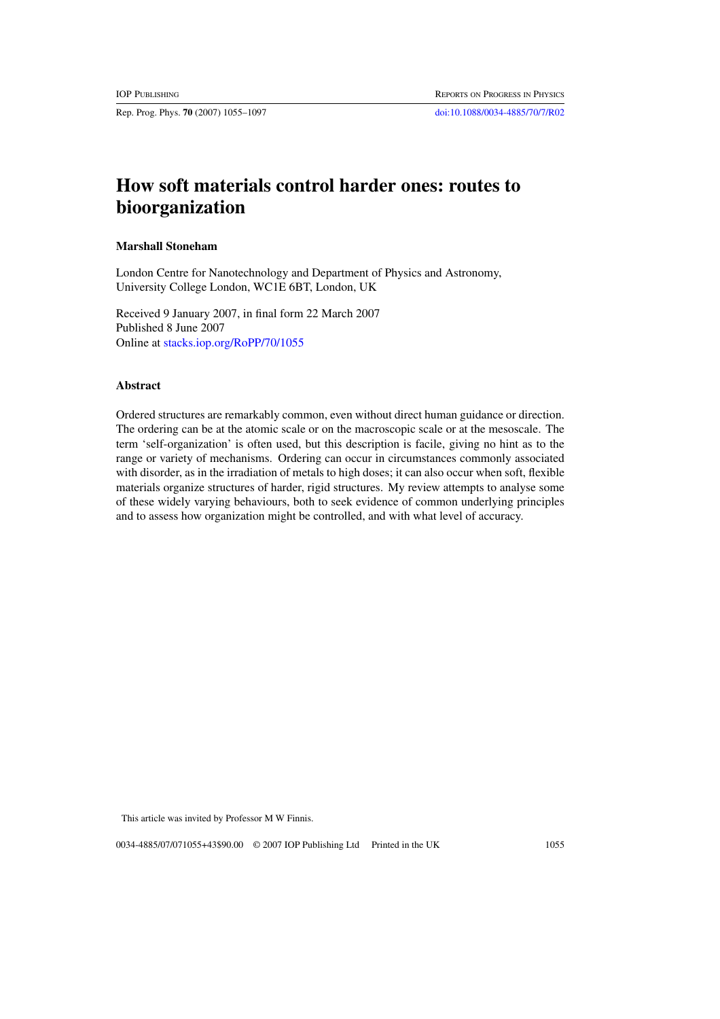Rep. Prog. Phys. **70** (2007) 1055–1097 [doi:10.1088/0034-4885/70/7/R02](http://dx.doi.org/10.1088/0034-4885/70/7/R02)

# **How soft materials control harder ones: routes to bioorganization**

## **Marshall Stoneham**

London Centre for Nanotechnology and Department of Physics and Astronomy, University College London, WC1E 6BT, London, UK

Received 9 January 2007, in final form 22 March 2007 Published 8 June 2007 Online at [stacks.iop.org/RoPP/70/1055](http://stacks.iop.org/RoPP/70/1055)

## **Abstract**

Ordered structures are remarkably common, even without direct human guidance or direction. The ordering can be at the atomic scale or on the macroscopic scale or at the mesoscale. The term 'self-organization' is often used, but this description is facile, giving no hint as to the range or variety of mechanisms. Ordering can occur in circumstances commonly associated with disorder, as in the irradiation of metals to high doses; it can also occur when soft, flexible materials organize structures of harder, rigid structures. My review attempts to analyse some of these widely varying behaviours, both to seek evidence of common underlying principles and to assess how organization might be controlled, and with what level of accuracy.

This article was invited by Professor M W Finnis.

0034-4885/07/071055+43\$90.00 © 2007 IOP Publishing Ltd Printed in the UK 1055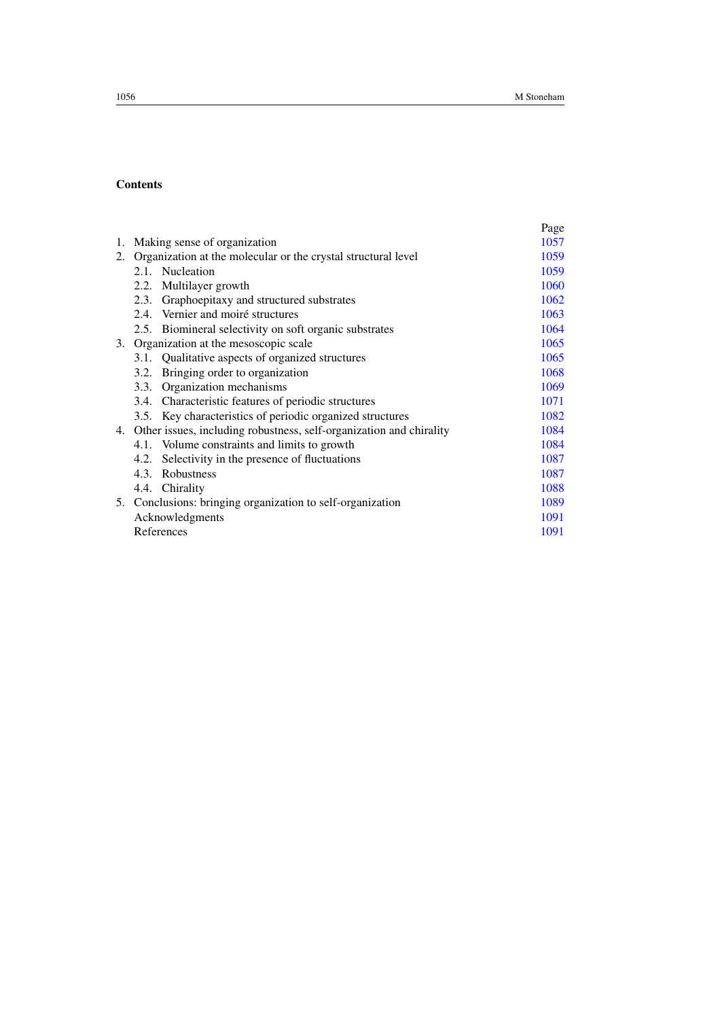## **Contents**

|    |                                                                        | Page |
|----|------------------------------------------------------------------------|------|
| 1. | Making sense of organization                                           | 1057 |
| 2. | Organization at the molecular or the crystal structural level          | 1059 |
|    | 2.1. Nucleation                                                        | 1059 |
|    | 2.2. Multilayer growth                                                 | 1060 |
|    | Graphoepitaxy and structured substrates<br>2.3.                        | 1062 |
|    | 2.4. Vernier and moiré structures                                      | 1063 |
|    | 2.5. Biomineral selectivity on soft organic substrates                 | 1064 |
|    | 3. Organization at the mesoscopic scale                                | 1065 |
|    | 3.1. Qualitative aspects of organized structures                       | 1065 |
|    | Bringing order to organization<br>3.2.                                 | 1068 |
|    | Organization mechanisms<br>3.3.                                        | 1069 |
|    | 3.4. Characteristic features of periodic structures                    | 1071 |
|    | 3.5. Key characteristics of periodic organized structures              | 1082 |
|    | 4. Other issues, including robustness, self-organization and chirality | 1084 |
|    | 4.1. Volume constraints and limits to growth                           | 1084 |
|    | Selectivity in the presence of fluctuations<br>4.2.                    | 1087 |
|    | Robustness<br>4.3.                                                     | 1087 |
|    | 4.4. Chirality                                                         | 1088 |
|    | 5. Conclusions: bringing organization to self-organization             | 1089 |
|    | Acknowledgments                                                        | 1091 |
|    | References                                                             | 1091 |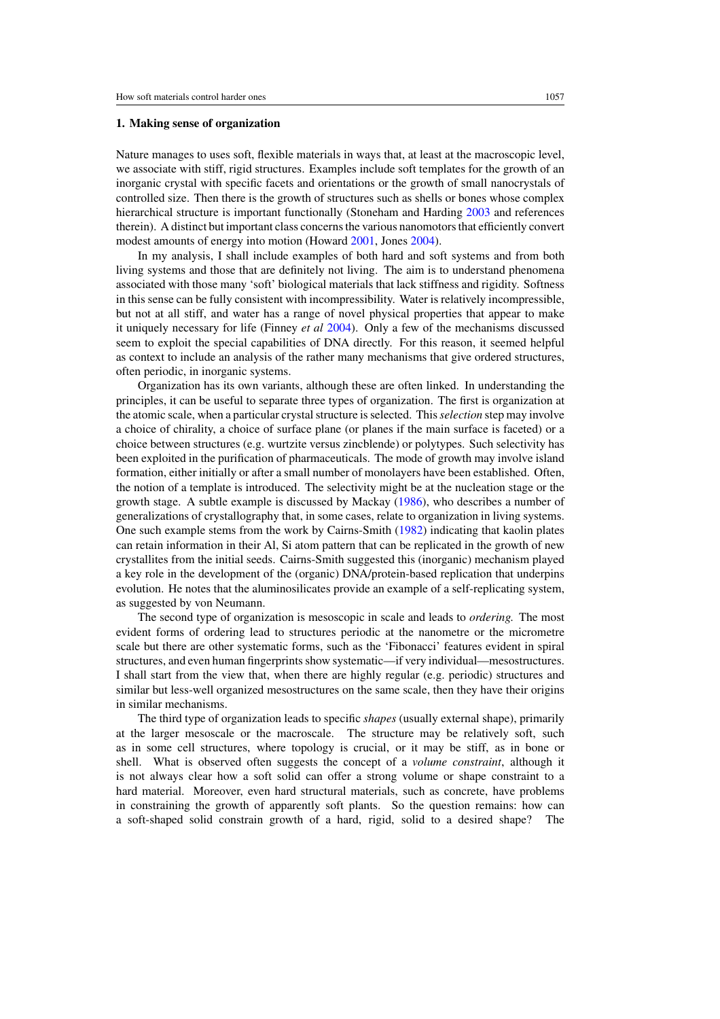## <span id="page-2-0"></span>**1. Making sense of organization**

Nature manages to uses soft, flexible materials in ways that, at least at the macroscopic level, we associate with stiff, rigid structures. Examples include soft templates for the growth of an inorganic crystal with specific facets and orientations or the growth of small nanocrystals of controlled size. Then there is the growth of structures such as shells or bones whose complex hierarchical structure is important functionally (Stoneham and Harding [2003](#page-41-0) and references therein). A distinct but important class concerns the various nanomotors that efficiently convert modest amounts of energy into motion (Howard [2001,](#page-38-0) Jones [2004](#page-39-0)).

In my analysis, I shall include examples of both hard and soft systems and from both living systems and those that are definitely not living. The aim is to understand phenomena associated with those many 'soft' biological materials that lack stiffness and rigidity. Softness in this sense can be fully consistent with incompressibility. Water is relatively incompressible, but not at all stiff, and water has a range of novel physical properties that appear to make it uniquely necessary for life (Finney *et al* [2004](#page-38-0)). Only a few of the mechanisms discussed seem to exploit the special capabilities of DNA directly. For this reason, it seemed helpful as context to include an analysis of the rather many mechanisms that give ordered structures, often periodic, in inorganic systems.

Organization has its own variants, although these are often linked. In understanding the principles, it can be useful to separate three types of organization. The first is organization at the atomic scale, when a particular crystal structure is selected. This*selection* step may involve a choice of chirality, a choice of surface plane (or planes if the main surface is faceted) or a choice between structures (e.g. wurtzite versus zincblende) or polytypes. Such selectivity has been exploited in the purification of pharmaceuticals. The mode of growth may involve island formation, either initially or after a small number of monolayers have been established. Often, the notion of a template is introduced. The selectivity might be at the nucleation stage or the growth stage. A subtle example is discussed by Mackay [\(1986](#page-39-0)), who describes a number of generalizations of crystallography that, in some cases, relate to organization in living systems. One such example stems from the work by Cairns-Smith [\(1982\)](#page-37-0) indicating that kaolin plates can retain information in their Al, Si atom pattern that can be replicated in the growth of new crystallites from the initial seeds. Cairns-Smith suggested this (inorganic) mechanism played a key role in the development of the (organic) DNA/protein-based replication that underpins evolution. He notes that the aluminosilicates provide an example of a self-replicating system, as suggested by von Neumann.

The second type of organization is mesoscopic in scale and leads to *ordering.* The most evident forms of ordering lead to structures periodic at the nanometre or the micrometre scale but there are other systematic forms, such as the 'Fibonacci' features evident in spiral structures, and even human fingerprints show systematic—if very individual—mesostructures. I shall start from the view that, when there are highly regular (e.g. periodic) structures and similar but less-well organized mesostructures on the same scale, then they have their origins in similar mechanisms.

The third type of organization leads to specific *shapes* (usually external shape), primarily at the larger mesoscale or the macroscale. The structure may be relatively soft, such as in some cell structures, where topology is crucial, or it may be stiff, as in bone or shell. What is observed often suggests the concept of a *volume constraint*, although it is not always clear how a soft solid can offer a strong volume or shape constraint to a hard material. Moreover, even hard structural materials, such as concrete, have problems in constraining the growth of apparently soft plants. So the question remains: how can a soft-shaped solid constrain growth of a hard, rigid, solid to a desired shape? The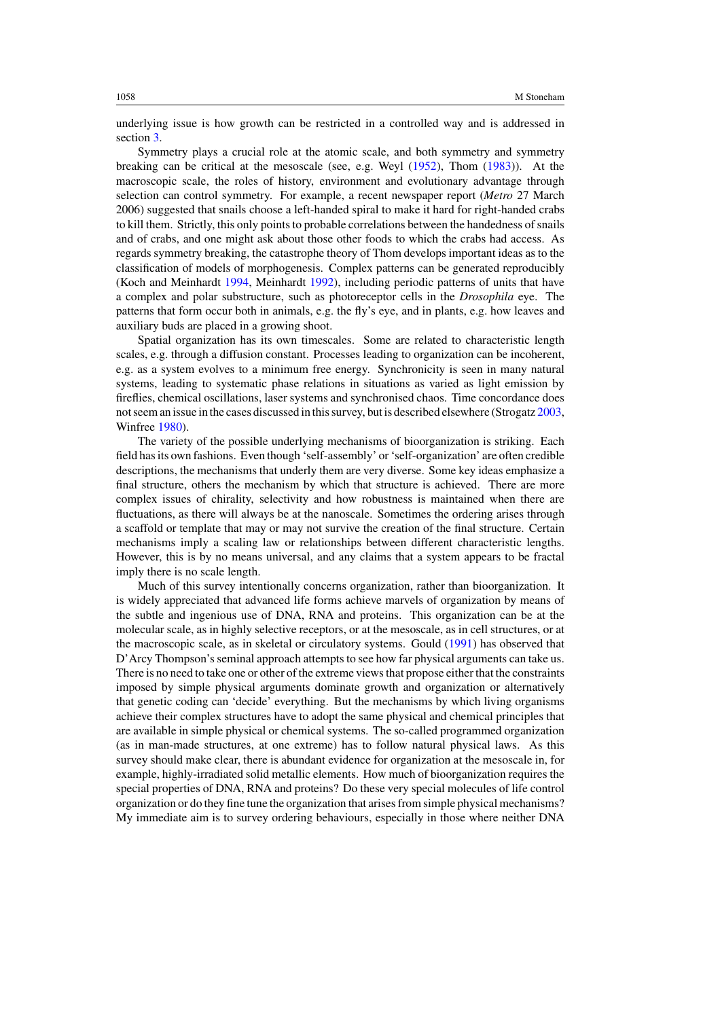underlying issue is how growth can be restricted in a controlled way and is addressed in section [3.](#page-10-0)

Symmetry plays a crucial role at the atomic scale, and both symmetry and symmetry breaking can be critical at the mesoscale (see, e.g. Weyl [\(1952\)](#page-42-0), Thom [\(1983](#page-41-0))). At the macroscopic scale, the roles of history, environment and evolutionary advantage through selection can control symmetry. For example, a recent newspaper report (*Metro* 27 March 2006) suggested that snails choose a left-handed spiral to make it hard for right-handed crabs to kill them. Strictly, this only points to probable correlations between the handedness of snails and of crabs, and one might ask about those other foods to which the crabs had access. As regards symmetry breaking, the catastrophe theory of Thom develops important ideas as to the classification of models of morphogenesis. Complex patterns can be generated reproducibly (Koch and Meinhardt [1994,](#page-39-0) Meinhardt [1992\)](#page-39-0), including periodic patterns of units that have a complex and polar substructure, such as photoreceptor cells in the *Drosophila* eye. The patterns that form occur both in animals, e.g. the fly's eye, and in plants, e.g. how leaves and auxiliary buds are placed in a growing shoot.

Spatial organization has its own timescales. Some are related to characteristic length scales, e.g. through a diffusion constant. Processes leading to organization can be incoherent, e.g. as a system evolves to a minimum free energy. Synchronicity is seen in many natural systems, leading to systematic phase relations in situations as varied as light emission by fireflies, chemical oscillations, laser systems and synchronised chaos. Time concordance does not seem an issue in the cases discussed in this survey, but is described elsewhere (Strogatz [2003](#page-41-0), Winfree [1980\)](#page-42-0).

The variety of the possible underlying mechanisms of bioorganization is striking. Each field has its own fashions. Even though 'self-assembly' or 'self-organization' are often credible descriptions, the mechanisms that underly them are very diverse. Some key ideas emphasize a final structure, others the mechanism by which that structure is achieved. There are more complex issues of chirality, selectivity and how robustness is maintained when there are fluctuations, as there will always be at the nanoscale. Sometimes the ordering arises through a scaffold or template that may or may not survive the creation of the final structure. Certain mechanisms imply a scaling law or relationships between different characteristic lengths. However, this is by no means universal, and any claims that a system appears to be fractal imply there is no scale length.

Much of this survey intentionally concerns organization, rather than bioorganization. It is widely appreciated that advanced life forms achieve marvels of organization by means of the subtle and ingenious use of DNA, RNA and proteins. This organization can be at the molecular scale, as in highly selective receptors, or at the mesoscale, as in cell structures, or at the macroscopic scale, as in skeletal or circulatory systems. Gould [\(1991\)](#page-38-0) has observed that D'Arcy Thompson's seminal approach attempts to see how far physical arguments can take us. There is no need to take one or other of the extreme views that propose either that the constraints imposed by simple physical arguments dominate growth and organization or alternatively that genetic coding can 'decide' everything. But the mechanisms by which living organisms achieve their complex structures have to adopt the same physical and chemical principles that are available in simple physical or chemical systems. The so-called programmed organization (as in man-made structures, at one extreme) has to follow natural physical laws. As this survey should make clear, there is abundant evidence for organization at the mesoscale in, for example, highly-irradiated solid metallic elements. How much of bioorganization requires the special properties of DNA, RNA and proteins? Do these very special molecules of life control organization or do they fine tune the organization that arises from simple physical mechanisms? My immediate aim is to survey ordering behaviours, especially in those where neither DNA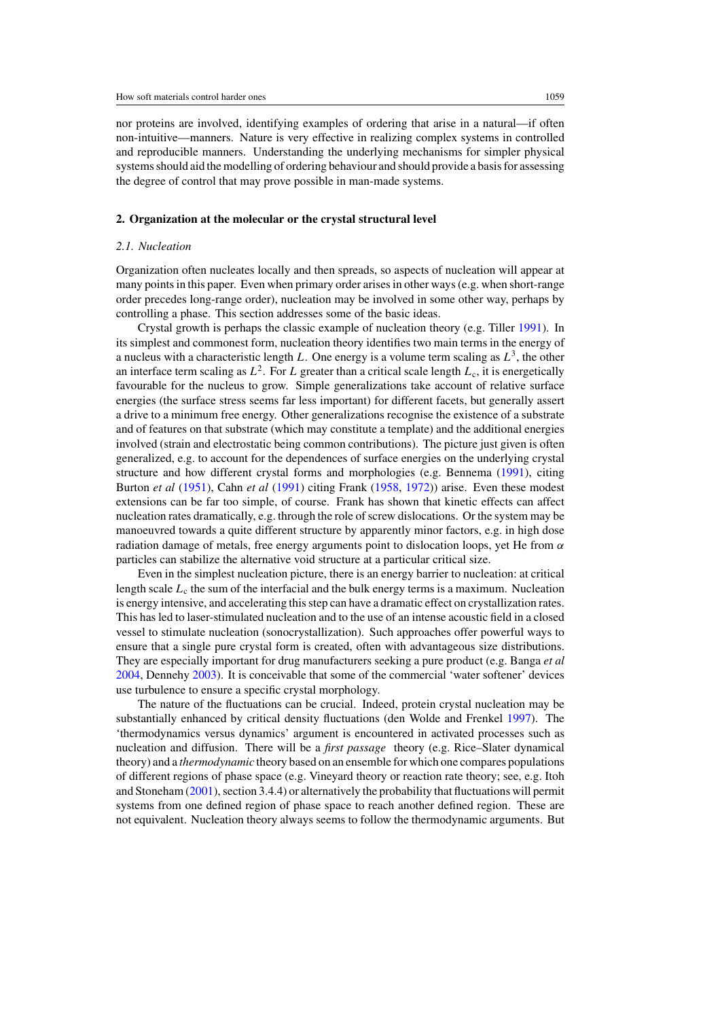<span id="page-4-0"></span>nor proteins are involved, identifying examples of ordering that arise in a natural—if often non-intuitive—manners. Nature is very effective in realizing complex systems in controlled and reproducible manners. Understanding the underlying mechanisms for simpler physical systems should aid the modelling of ordering behaviour and should provide a basis for assessing the degree of control that may prove possible in man-made systems.

### **2. Organization at the molecular or the crystal structural level**

#### *2.1. Nucleation*

Organization often nucleates locally and then spreads, so aspects of nucleation will appear at many points in this paper. Even when primary order arises in other ways (e.g. when short-range order precedes long-range order), nucleation may be involved in some other way, perhaps by controlling a phase. This section addresses some of the basic ideas.

Crystal growth is perhaps the classic example of nucleation theory (e.g. Tiller [1991](#page-41-0)). In its simplest and commonest form, nucleation theory identifies two main terms in the energy of a nucleus with a characteristic length L. One energy is a volume term scaling as  $L^3$ , the other an interface term scaling as  $L^2$ . For *L* greater than a critical scale length  $L_c$ , it is energetically favourable for the nucleus to grow. Simple generalizations take account of relative surface energies (the surface stress seems far less important) for different facets, but generally assert a drive to a minimum free energy. Other generalizations recognise the existence of a substrate and of features on that substrate (which may constitute a template) and the additional energies involved (strain and electrostatic being common contributions). The picture just given is often generalized, e.g. to account for the dependences of surface energies on the underlying crystal structure and how different crystal forms and morphologies (e.g. Bennema [\(1991\)](#page-36-0), citing Burton *et al* [\(1951\)](#page-37-0), Cahn *et al* [\(1991](#page-37-0)) citing Frank [\(1958,](#page-38-0) [1972](#page-38-0))) arise. Even these modest extensions can be far too simple, of course. Frank has shown that kinetic effects can affect nucleation rates dramatically, e.g. through the role of screw dislocations. Or the system may be manoeuvred towards a quite different structure by apparently minor factors, e.g. in high dose radiation damage of metals, free energy arguments point to dislocation loops, yet He from *α* particles can stabilize the alternative void structure at a particular critical size.

Even in the simplest nucleation picture, there is an energy barrier to nucleation: at critical length scale  $L_c$  the sum of the interfacial and the bulk energy terms is a maximum. Nucleation is energy intensive, and accelerating this step can have a dramatic effect on crystallization rates. This has led to laser-stimulated nucleation and to the use of an intense acoustic field in a closed vessel to stimulate nucleation (sonocrystallization). Such approaches offer powerful ways to ensure that a single pure crystal form is created, often with advantageous size distributions. They are especially important for drug manufacturers seeking a pure product (e.g. Banga *et al* [2004,](#page-36-0) Dennehy [2003](#page-37-0)). It is conceivable that some of the commercial 'water softener' devices use turbulence to ensure a specific crystal morphology.

The nature of the fluctuations can be crucial. Indeed, protein crystal nucleation may be substantially enhanced by critical density fluctuations (den Wolde and Frenkel [1997\)](#page-37-0). The 'thermodynamics versus dynamics' argument is encountered in activated processes such as nucleation and diffusion. There will be a *first passage* theory (e.g. Rice–Slater dynamical theory) and a *thermodynamic* theory based on an ensemble for which one compares populations of different regions of phase space (e.g. Vineyard theory or reaction rate theory; see, e.g. Itoh and Stoneham [\(2001\)](#page-39-0), section 3.4.4) or alternatively the probability that fluctuations will permit systems from one defined region of phase space to reach another defined region. These are not equivalent. Nucleation theory always seems to follow the thermodynamic arguments. But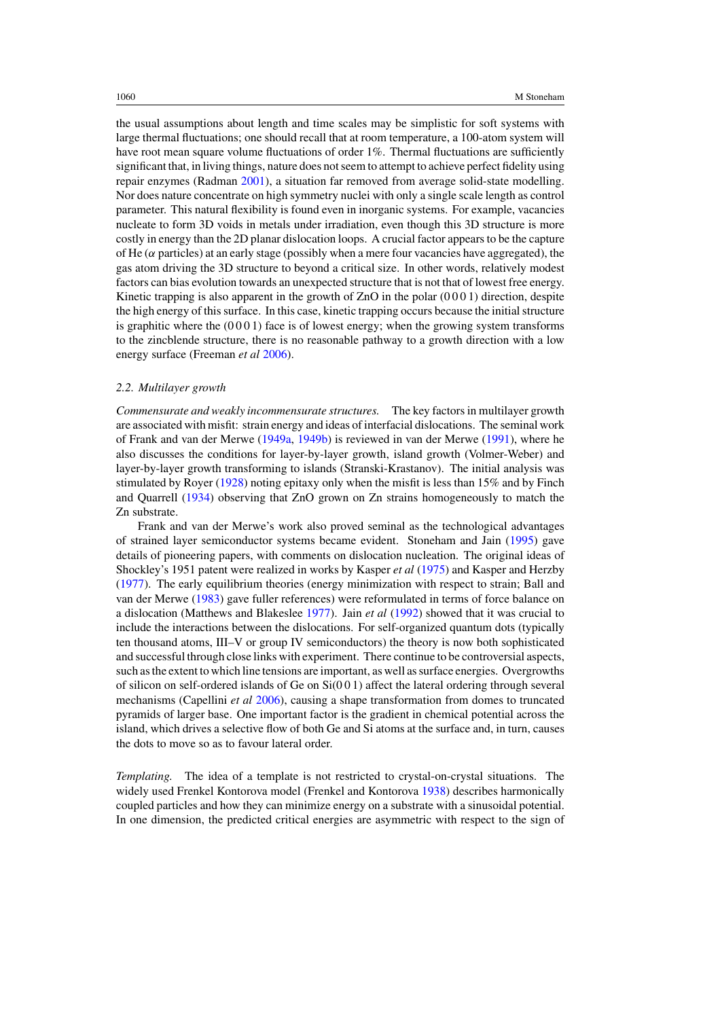<span id="page-5-0"></span>the usual assumptions about length and time scales may be simplistic for soft systems with large thermal fluctuations; one should recall that at room temperature, a 100-atom system will have root mean square volume fluctuations of order 1%. Thermal fluctuations are sufficiently significant that, in living things, nature does not seem to attempt to achieve perfect fidelity using repair enzymes (Radman [2001](#page-40-0)), a situation far removed from average solid-state modelling. Nor does nature concentrate on high symmetry nuclei with only a single scale length as control parameter. This natural flexibility is found even in inorganic systems. For example, vacancies nucleate to form 3D voids in metals under irradiation, even though this 3D structure is more costly in energy than the 2D planar dislocation loops. A crucial factor appears to be the capture of He ( $\alpha$  particles) at an early stage (possibly when a mere four vacancies have aggregated), the gas atom driving the 3D structure to beyond a critical size. In other words, relatively modest factors can bias evolution towards an unexpected structure that is not that of lowest free energy. Kinetic trapping is also apparent in the growth of  $ZnO$  in the polar  $(0001)$  direction, despite the high energy of this surface. In this case, kinetic trapping occurs because the initial structure is graphitic where the  $(0001)$  face is of lowest energy; when the growing system transforms to the zincblende structure, there is no reasonable pathway to a growth direction with a low energy surface (Freeman *et al* [2006](#page-38-0)).

## *2.2. Multilayer growth*

*Commensurate and weakly incommensurate structures.* The key factors in multilayer growth are associated with misfit: strain energy and ideas of interfacial dislocations. The seminal work of Frank and van der Merwe [\(1949a,](#page-38-0) [1949b\)](#page-38-0) is reviewed in van der Merwe [\(1991\)](#page-41-0), where he also discusses the conditions for layer-by-layer growth, island growth (Volmer-Weber) and layer-by-layer growth transforming to islands (Stranski-Krastanov). The initial analysis was stimulated by Royer [\(1928\)](#page-40-0) noting epitaxy only when the misfit is less than 15% and by Finch and Quarrell [\(1934\)](#page-38-0) observing that ZnO grown on Zn strains homogeneously to match the Zn substrate.

Frank and van der Merwe's work also proved seminal as the technological advantages of strained layer semiconductor systems became evident. Stoneham and Jain [\(1995](#page-41-0)) gave details of pioneering papers, with comments on dislocation nucleation. The original ideas of Shockley's 1951 patent were realized in works by Kasper *et al* [\(1975\)](#page-39-0) and Kasper and Herzby [\(1977](#page-39-0)). The early equilibrium theories (energy minimization with respect to strain; Ball and van der Merwe [\(1983\)](#page-36-0) gave fuller references) were reformulated in terms of force balance on a dislocation (Matthews and Blakeslee [1977](#page-39-0)). Jain *et al* [\(1992\)](#page-39-0) showed that it was crucial to include the interactions between the dislocations. For self-organized quantum dots (typically ten thousand atoms, III–V or group IV semiconductors) the theory is now both sophisticated and successful through close links with experiment. There continue to be controversial aspects, such as the extent to which line tensions are important, as well as surface energies. Overgrowths of silicon on self-ordered islands of Ge on  $Si(001)$  affect the lateral ordering through several mechanisms (Capellini *et al* [2006\)](#page-37-0), causing a shape transformation from domes to truncated pyramids of larger base. One important factor is the gradient in chemical potential across the island, which drives a selective flow of both Ge and Si atoms at the surface and, in turn, causes the dots to move so as to favour lateral order.

*Templating.* The idea of a template is not restricted to crystal-on-crystal situations. The widely used Frenkel Kontorova model (Frenkel and Kontorova [1938](#page-38-0)) describes harmonically coupled particles and how they can minimize energy on a substrate with a sinusoidal potential. In one dimension, the predicted critical energies are asymmetric with respect to the sign of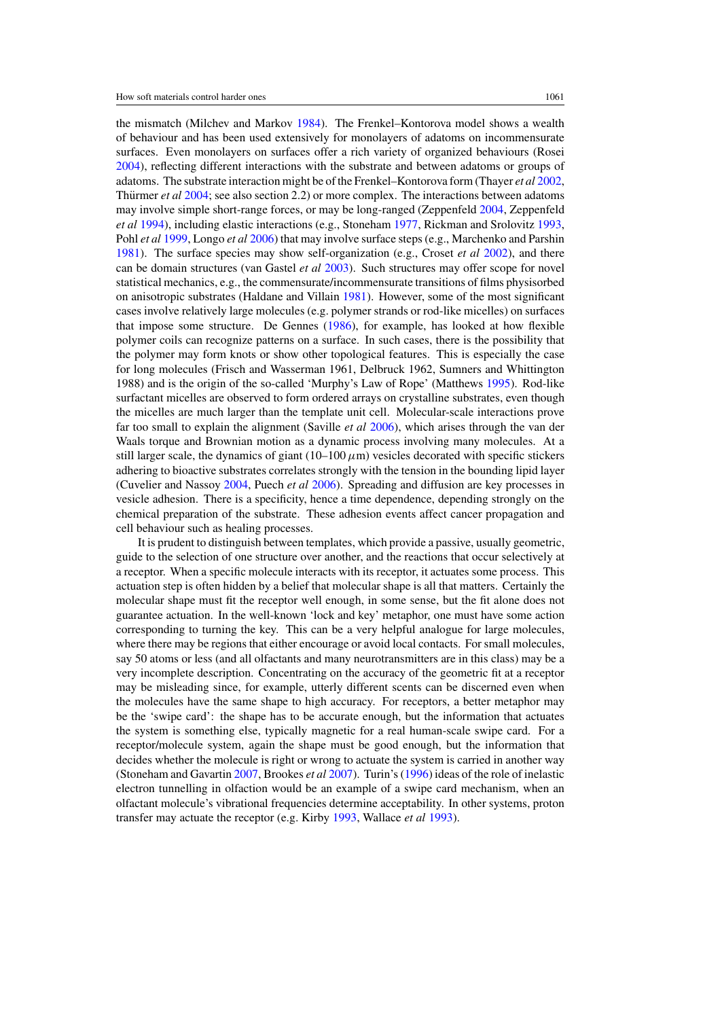the mismatch (Milchev and Markov [1984](#page-39-0)). The Frenkel–Kontorova model shows a wealth of behaviour and has been used extensively for monolayers of adatoms on incommensurate surfaces. Even monolayers on surfaces offer a rich variety of organized behaviours (Rosei [2004\)](#page-40-0), reflecting different interactions with the substrate and between adatoms or groups of adatoms. The substrate interaction might be of the Frenkel–Kontorova form (Thayer *et al* [2002](#page-41-0), Thurmer *et al* [2004](#page-41-0); see also section 2.2) or more complex. The interactions between adatoms may involve simple short-range forces, or may be long-ranged (Zeppenfeld [2004](#page-42-0), Zeppenfeld *et al* [1994\)](#page-42-0), including elastic interactions (e.g., Stoneham [1977](#page-41-0), Rickman and Srolovitz [1993](#page-40-0), Pohl *et al* [1999](#page-40-0), Longo *et al* [2006](#page-39-0)) that may involve surface steps (e.g., Marchenko and Parshin [1981\)](#page-39-0). The surface species may show self-organization (e.g., Croset *et al* [2002\)](#page-37-0), and there can be domain structures (van Gastel *et al* [2003](#page-41-0)). Such structures may offer scope for novel statistical mechanics, e.g., the commensurate/incommensurate transitions of films physisorbed on anisotropic substrates (Haldane and Villain [1981](#page-38-0)). However, some of the most significant cases involve relatively large molecules (e.g. polymer strands or rod-like micelles) on surfaces that impose some structure. De Gennes [\(1986](#page-37-0)), for example, has looked at how flexible polymer coils can recognize patterns on a surface. In such cases, there is the possibility that the polymer may form knots or show other topological features. This is especially the case for long molecules (Frisch and Wasserman 1961, Delbruck 1962, Sumners and Whittington 1988) and is the origin of the so-called 'Murphy's Law of Rope' (Matthews [1995\)](#page-39-0). Rod-like surfactant micelles are observed to form ordered arrays on crystalline substrates, even though the micelles are much larger than the template unit cell. Molecular-scale interactions prove far too small to explain the alignment (Saville *et al* [2006\)](#page-40-0), which arises through the van der Waals torque and Brownian motion as a dynamic process involving many molecules. At a still larger scale, the dynamics of giant  $(10-100 \,\mu m)$  vesicles decorated with specific stickers adhering to bioactive substrates correlates strongly with the tension in the bounding lipid layer (Cuvelier and Nassoy [2004](#page-37-0), Puech *et al* [2006\)](#page-40-0). Spreading and diffusion are key processes in vesicle adhesion. There is a specificity, hence a time dependence, depending strongly on the chemical preparation of the substrate. These adhesion events affect cancer propagation and cell behaviour such as healing processes.

It is prudent to distinguish between templates, which provide a passive, usually geometric, guide to the selection of one structure over another, and the reactions that occur selectively at a receptor. When a specific molecule interacts with its receptor, it actuates some process. This actuation step is often hidden by a belief that molecular shape is all that matters. Certainly the molecular shape must fit the receptor well enough, in some sense, but the fit alone does not guarantee actuation. In the well-known 'lock and key' metaphor, one must have some action corresponding to turning the key. This can be a very helpful analogue for large molecules, where there may be regions that either encourage or avoid local contacts. For small molecules, say 50 atoms or less (and all olfactants and many neurotransmitters are in this class) may be a very incomplete description. Concentrating on the accuracy of the geometric fit at a receptor may be misleading since, for example, utterly different scents can be discerned even when the molecules have the same shape to high accuracy. For receptors, a better metaphor may be the 'swipe card': the shape has to be accurate enough, but the information that actuates the system is something else, typically magnetic for a real human-scale swipe card. For a receptor/molecule system, again the shape must be good enough, but the information that decides whether the molecule is right or wrong to actuate the system is carried in another way (Stoneham and Gavartin [2007](#page-41-0), Brookes *et al* [2007\)](#page-36-0). Turin's [\(1996](#page-41-0)) ideas of the role of inelastic electron tunnelling in olfaction would be an example of a swipe card mechanism, when an olfactant molecule's vibrational frequencies determine acceptability. In other systems, proton transfer may actuate the receptor (e.g. Kirby [1993,](#page-39-0) Wallace *et al* [1993](#page-41-0)).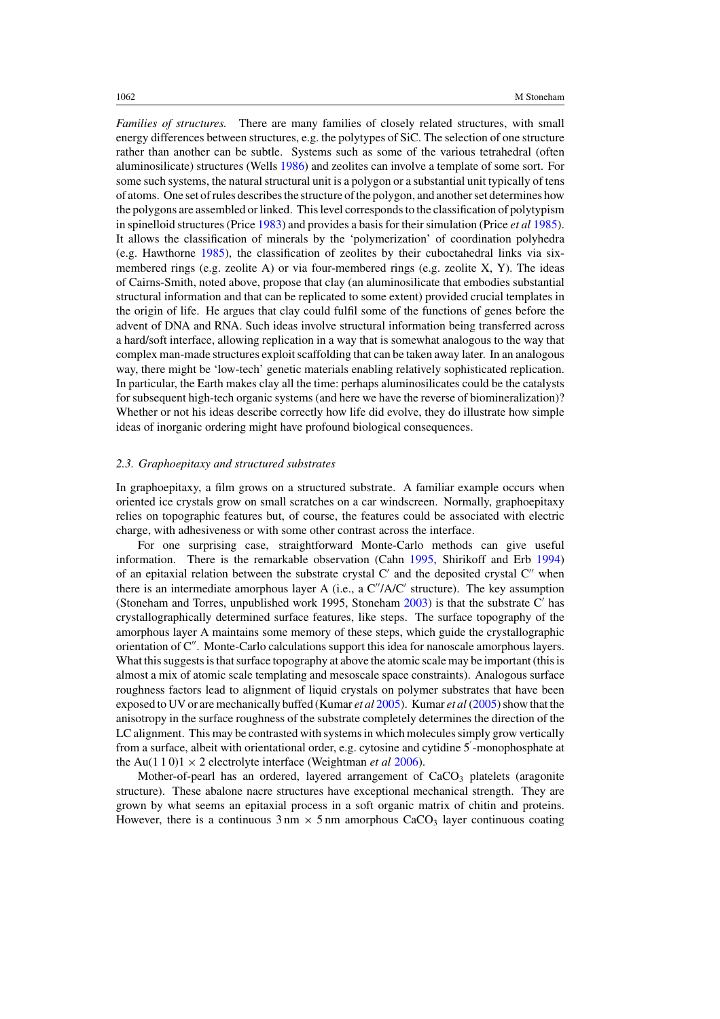<span id="page-7-0"></span>*Families of structures.* There are many families of closely related structures, with small energy differences between structures, e.g. the polytypes of SiC. The selection of one structure rather than another can be subtle. Systems such as some of the various tetrahedral (often aluminosilicate) structures (Wells [1986\)](#page-41-0) and zeolites can involve a template of some sort. For some such systems, the natural structural unit is a polygon or a substantial unit typically of tens of atoms. One set of rules describes the structure of the polygon, and another set determines how the polygons are assembled or linked. This level corresponds to the classification of polytypism in spinelloid structures (Price [1983\)](#page-40-0) and provides a basis for their simulation (Price *et al* [1985\)](#page-40-0). It allows the classification of minerals by the 'polymerization' of coordination polyhedra (e.g. Hawthorne [1985\)](#page-38-0), the classification of zeolites by their cuboctahedral links via sixmembered rings (e.g. zeolite A) or via four-membered rings (e.g. zeolite X, Y). The ideas of Cairns-Smith, noted above, propose that clay (an aluminosilicate that embodies substantial structural information and that can be replicated to some extent) provided crucial templates in the origin of life. He argues that clay could fulfil some of the functions of genes before the advent of DNA and RNA. Such ideas involve structural information being transferred across a hard/soft interface, allowing replication in a way that is somewhat analogous to the way that complex man-made structures exploit scaffolding that can be taken away later. In an analogous way, there might be 'low-tech' genetic materials enabling relatively sophisticated replication. In particular, the Earth makes clay all the time: perhaps aluminosilicates could be the catalysts for subsequent high-tech organic systems (and here we have the reverse of biomineralization)? Whether or not his ideas describe correctly how life did evolve, they do illustrate how simple ideas of inorganic ordering might have profound biological consequences.

#### *2.3. Graphoepitaxy and structured substrates*

In graphoepitaxy, a film grows on a structured substrate. A familiar example occurs when oriented ice crystals grow on small scratches on a car windscreen. Normally, graphoepitaxy relies on topographic features but, of course, the features could be associated with electric charge, with adhesiveness or with some other contrast across the interface.

For one surprising case, straightforward Monte-Carlo methods can give useful information. There is the remarkable observation (Cahn [1995](#page-37-0), Shirikoff and Erb [1994](#page-40-0)) of an epitaxial relation between the substrate crystal  $C'$  and the deposited crystal  $C''$  when there is an intermediate amorphous layer A (i.e., a  $C''/A/C'$  structure). The key assumption (Stoneham and Torres, unpublished work 1995, Stoneham  $2003$ ) is that the substrate C' has crystallographically determined surface features, like steps. The surface topography of the amorphous layer A maintains some memory of these steps, which guide the crystallographic orientation of  $C''$ . Monte-Carlo calculations support this idea for nanoscale amorphous layers. What this suggests is that surface topography at above the atomic scale may be important (this is almost a mix of atomic scale templating and mesoscale space constraints). Analogous surface roughness factors lead to alignment of liquid crystals on polymer substrates that have been exposed to UV or are mechanically buffed (Kumar *et al* [2005](#page-39-0)). Kumar *et al* [\(2005\)](#page-39-0) show that the anisotropy in the surface roughness of the substrate completely determines the direction of the LC alignment. This may be contrasted with systems in which molecules simply grow vertically from a surface, albeit with orientational order, e.g. cytosine and cytidine 5 -monophosphate at the Au(1 1 0)1  $\times$  2 electrolyte interface (Weightman *et al* [2006\)](#page-41-0).

Mother-of-pearl has an ordered, layered arrangement of  $CaCO<sub>3</sub>$  platelets (aragonite structure). These abalone nacre structures have exceptional mechanical strength. They are grown by what seems an epitaxial process in a soft organic matrix of chitin and proteins. However, there is a continuous  $3 \text{ nm} \times 5 \text{ nm}$  amorphous CaCO<sub>3</sub> layer continuous coating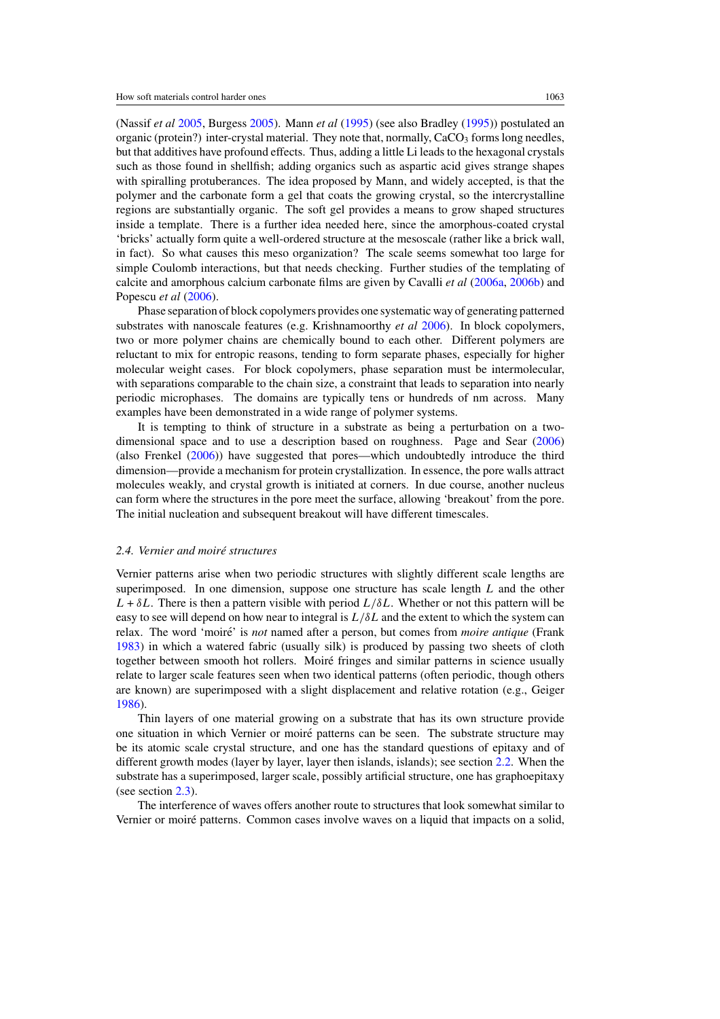<span id="page-8-0"></span>(Nassif *et al* [2005](#page-40-0), Burgess [2005](#page-37-0)). Mann *et al* [\(1995\)](#page-39-0) (see also Bradley [\(1995\)](#page-36-0)) postulated an organic (protein?) inter-crystal material. They note that, normally, CaCO<sub>3</sub> forms long needles, but that additives have profound effects. Thus, adding a little Li leads to the hexagonal crystals such as those found in shellfish; adding organics such as aspartic acid gives strange shapes with spiralling protuberances. The idea proposed by Mann, and widely accepted, is that the polymer and the carbonate form a gel that coats the growing crystal, so the intercrystalline regions are substantially organic. The soft gel provides a means to grow shaped structures inside a template. There is a further idea needed here, since the amorphous-coated crystal 'bricks' actually form quite a well-ordered structure at the mesoscale (rather like a brick wall, in fact). So what causes this meso organization? The scale seems somewhat too large for simple Coulomb interactions, but that needs checking. Further studies of the templating of calcite and amorphous calcium carbonate films are given by Cavalli *et al* [\(2006a](#page-37-0), [2006b](#page-37-0)) and Popescu *et al* [\(2006](#page-40-0)).

Phase separation of block copolymers provides one systematic way of generating patterned substrates with nanoscale features (e.g. Krishnamoorthy *et al* [2006\)](#page-39-0). In block copolymers, two or more polymer chains are chemically bound to each other. Different polymers are reluctant to mix for entropic reasons, tending to form separate phases, especially for higher molecular weight cases. For block copolymers, phase separation must be intermolecular, with separations comparable to the chain size, a constraint that leads to separation into nearly periodic microphases. The domains are typically tens or hundreds of nm across. Many examples have been demonstrated in a wide range of polymer systems.

It is tempting to think of structure in a substrate as being a perturbation on a twodimensional space and to use a description based on roughness. Page and Sear [\(2006](#page-40-0)) (also Frenkel [\(2006\)](#page-38-0)) have suggested that pores—which undoubtedly introduce the third dimension—provide a mechanism for protein crystallization. In essence, the pore walls attract molecules weakly, and crystal growth is initiated at corners. In due course, another nucleus can form where the structures in the pore meet the surface, allowing 'breakout' from the pore. The initial nucleation and subsequent breakout will have different timescales.

#### *2.4. Vernier and moire structures ´*

Vernier patterns arise when two periodic structures with slightly different scale lengths are superimposed. In one dimension, suppose one structure has scale length *L* and the other *L* + *δL*. There is then a pattern visible with period *L/δL*. Whether or not this pattern will be easy to see will depend on how near to integral is *L/δL* and the extent to which the system can relax. The word 'moire' is *not* named after a person, but comes from *moire antique* (Frank [1983\)](#page-38-0) in which a watered fabric (usually silk) is produced by passing two sheets of cloth together between smooth hot rollers. Moire fringes and similar patterns in science usually ´ relate to larger scale features seen when two identical patterns (often periodic, though others are known) are superimposed with a slight displacement and relative rotation (e.g., Geiger [1986\)](#page-38-0).

Thin layers of one material growing on a substrate that has its own structure provide one situation in which Vernier or moire patterns can be seen. The substrate structure may ´ be its atomic scale crystal structure, and one has the standard questions of epitaxy and of different growth modes (layer by layer, layer then islands, islands); see section [2.2.](#page-5-0) When the substrate has a superimposed, larger scale, possibly artificial structure, one has graphoepitaxy (see section [2.3\)](#page-7-0).

The interference of waves offers another route to structures that look somewhat similar to Vernier or moire patterns. Common cases involve waves on a liquid that impacts on a solid, ´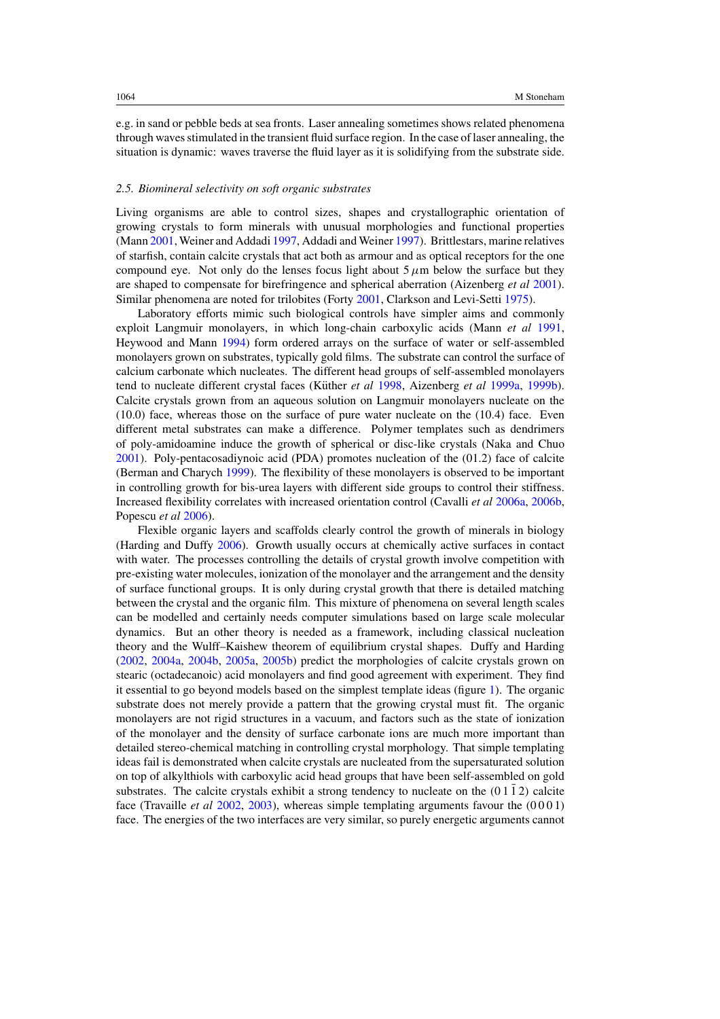<span id="page-9-0"></span>e.g. in sand or pebble beds at sea fronts. Laser annealing sometimes shows related phenomena through waves stimulated in the transient fluid surface region. In the case of laser annealing, the situation is dynamic: waves traverse the fluid layer as it is solidifying from the substrate side.

## *2.5. Biomineral selectivity on soft organic substrates*

Living organisms are able to control sizes, shapes and crystallographic orientation of growing crystals to form minerals with unusual morphologies and functional properties (Mann [2001](#page-39-0), Weiner and Addadi [1997](#page-41-0), Addadi and Weiner [1997\)](#page-36-0). Brittlestars, marine relatives of starfish, contain calcite crystals that act both as armour and as optical receptors for the one compound eye. Not only do the lenses focus light about  $5 \mu m$  below the surface but they are shaped to compensate for birefringence and spherical aberration (Aizenberg *et al* [2001\)](#page-36-0). Similar phenomena are noted for trilobites (Forty [2001,](#page-38-0) Clarkson and Levi-Setti [1975\)](#page-37-0).

Laboratory efforts mimic such biological controls have simpler aims and commonly exploit Langmuir monolayers, in which long-chain carboxylic acids (Mann *et al* [1991](#page-39-0), Heywood and Mann [1994](#page-38-0)) form ordered arrays on the surface of water or self-assembled monolayers grown on substrates, typically gold films. The substrate can control the surface of calcium carbonate which nucleates. The different head groups of self-assembled monolayers tend to nucleate different crystal faces (Küther et al [1998](#page-39-0), Aizenberg et al [1999a,](#page-36-0) [1999b\)](#page-36-0). Calcite crystals grown from an aqueous solution on Langmuir monolayers nucleate on the (10.0) face, whereas those on the surface of pure water nucleate on the (10.4) face. Even different metal substrates can make a difference. Polymer templates such as dendrimers of poly-amidoamine induce the growth of spherical or disc-like crystals (Naka and Chuo [2001\)](#page-40-0). Poly-pentacosadiynoic acid (PDA) promotes nucleation of the (01.2) face of calcite (Berman and Charych [1999](#page-36-0)). The flexibility of these monolayers is observed to be important in controlling growth for bis-urea layers with different side groups to control their stiffness. Increased flexibility correlates with increased orientation control (Cavalli *et al* [2006a](#page-37-0), [2006b](#page-37-0), Popescu *et al* [2006\)](#page-40-0).

Flexible organic layers and scaffolds clearly control the growth of minerals in biology (Harding and Duffy [2006\)](#page-38-0). Growth usually occurs at chemically active surfaces in contact with water. The processes controlling the details of crystal growth involve competition with pre-existing water molecules, ionization of the monolayer and the arrangement and the density of surface functional groups. It is only during crystal growth that there is detailed matching between the crystal and the organic film. This mixture of phenomena on several length scales can be modelled and certainly needs computer simulations based on large scale molecular dynamics. But an other theory is needed as a framework, including classical nucleation theory and the Wulff–Kaishew theorem of equilibrium crystal shapes. Duffy and Harding [\(2002](#page-37-0), [2004a,](#page-37-0) [2004b,](#page-37-0) [2005a,](#page-38-0) [2005b\)](#page-38-0) predict the morphologies of calcite crystals grown on stearic (octadecanoic) acid monolayers and find good agreement with experiment. They find it essential to go beyond models based on the simplest template ideas (figure [1\)](#page-10-0). The organic substrate does not merely provide a pattern that the growing crystal must fit. The organic monolayers are not rigid structures in a vacuum, and factors such as the state of ionization of the monolayer and the density of surface carbonate ions are much more important than detailed stereo-chemical matching in controlling crystal morphology. That simple templating ideas fail is demonstrated when calcite crystals are nucleated from the supersaturated solution on top of alkylthiols with carboxylic acid head groups that have been self-assembled on gold substrates. The calcite crystals exhibit a strong tendency to nucleate on the  $(0112)$  calcite face (Travaille *et al* [2002](#page-41-0), [2003](#page-41-0)), whereas simple templating arguments favour the (0 0 0 1) face. The energies of the two interfaces are very similar, so purely energetic arguments cannot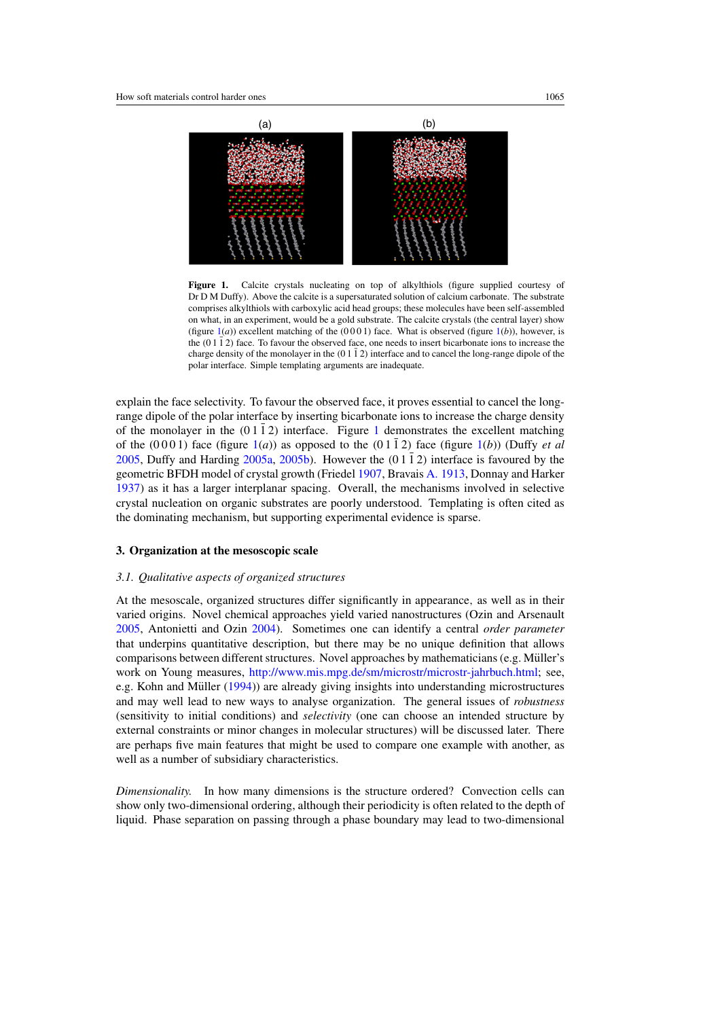<span id="page-10-0"></span>

Figure 1. Calcite crystals nucleating on top of alkylthiols (figure supplied courtesy of Dr D M Duffy). Above the calcite is a supersaturated solution of calcium carbonate. The substrate comprises alkylthiols with carboxylic acid head groups; these molecules have been self-assembled on what, in an experiment, would be a gold substrate. The calcite crystals (the central layer) show (figure  $1(a)$ ) excellent matching of the  $(0\,0\,0\,1)$  face. What is observed (figure  $1(b)$ ), however, is the  $(0 1 \overline{1} 2)$  face. To favour the observed face, one needs to insert bicarbonate ions to increase the charge density of the monolayer in the  $(0 1 \overline{1} 2)$  interface and to cancel the long-range dipole of the polar interface. Simple templating arguments are inadequate.

explain the face selectivity. To favour the observed face, it proves essential to cancel the longrange dipole of the polar interface by inserting bicarbonate ions to increase the charge density of the monolayer in the  $(0112)$  interface. Figure 1 demonstrates the excellent matching of the  $(0 0 0 1)$  face (figure  $1(a)$ ) as opposed to the  $(0 1 1 2)$  face (figure  $1(b)$ ) (Duffy *et al*) [2005,](#page-38-0) Duffy and Harding [2005a](#page-38-0), [2005b\)](#page-38-0). However the  $(0 1 1 2)$  interface is favoured by the geometric BFDH model of crystal growth (Friedel [1907,](#page-38-0) Bravais [A. 1913](#page-36-0), Donnay and Harker [1937\)](#page-37-0) as it has a larger interplanar spacing. Overall, the mechanisms involved in selective crystal nucleation on organic substrates are poorly understood. Templating is often cited as the dominating mechanism, but supporting experimental evidence is sparse.

#### **3. Organization at the mesoscopic scale**

#### *3.1. Qualitative aspects of organized structures*

At the mesoscale, organized structures differ significantly in appearance*,* as well as in their varied origins. Novel chemical approaches yield varied nanostructures (Ozin and Arsenault [2005,](#page-40-0) Antonietti and Ozin [2004](#page-36-0)). Sometimes one can identify a central *order parameter* that underpins quantitative description, but there may be no unique definition that allows comparisons between different structures. Novel approaches by mathematicians (e.g. Müller's work on Young measures, [http://www.mis.mpg.de/sm/microstr/microstr-jahrbuch.html;](http://www.mis.mpg.de/sm/microstr/microstr-jahrbuch.html) see, e.g. Kohn and Müller ([1994](#page-39-0))) are already giving insights into understanding microstructures and may well lead to new ways to analyse organization. The general issues of *robustness* (sensitivity to initial conditions) and *selectivity* (one can choose an intended structure by external constraints or minor changes in molecular structures) will be discussed later. There are perhaps five main features that might be used to compare one example with another, as well as a number of subsidiary characteristics.

*Dimensionality.* In how many dimensions is the structure ordered? Convection cells can show only two-dimensional ordering, although their periodicity is often related to the depth of liquid. Phase separation on passing through a phase boundary may lead to two-dimensional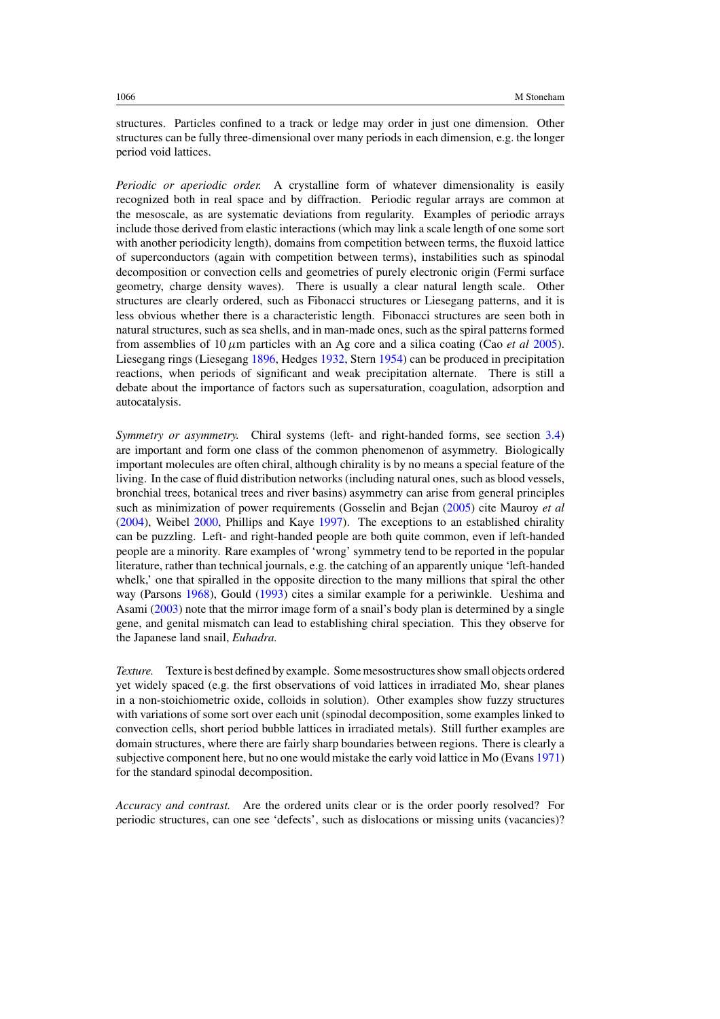structures. Particles confined to a track or ledge may order in just one dimension. Other structures can be fully three-dimensional over many periods in each dimension, e.g. the longer period void lattices.

*Periodic or aperiodic order.* A crystalline form of whatever dimensionality is easily recognized both in real space and by diffraction. Periodic regular arrays are common at the mesoscale, as are systematic deviations from regularity. Examples of periodic arrays include those derived from elastic interactions (which may link a scale length of one some sort with another periodicity length), domains from competition between terms, the fluxoid lattice of superconductors (again with competition between terms), instabilities such as spinodal decomposition or convection cells and geometries of purely electronic origin (Fermi surface geometry, charge density waves). There is usually a clear natural length scale. Other structures are clearly ordered, such as Fibonacci structures or Liesegang patterns, and it is less obvious whether there is a characteristic length. Fibonacci structures are seen both in natural structures, such as sea shells, and in man-made ones, such as the spiral patterns formed from assemblies of 10*µ*m particles with an Ag core and a silica coating (Cao *et al* [2005\)](#page-37-0). Liesegang rings (Liesegang [1896,](#page-39-0) Hedges [1932,](#page-38-0) Stern [1954\)](#page-40-0) can be produced in precipitation reactions, when periods of significant and weak precipitation alternate. There is still a debate about the importance of factors such as supersaturation, coagulation, adsorption and autocatalysis.

*Symmetry or asymmetry.* Chiral systems (left- and right-handed forms, see section [3.4\)](#page-16-0) are important and form one class of the common phenomenon of asymmetry. Biologically important molecules are often chiral, although chirality is by no means a special feature of the living. In the case of fluid distribution networks (including natural ones, such as blood vessels, bronchial trees, botanical trees and river basins) asymmetry can arise from general principles such as minimization of power requirements (Gosselin and Bejan [\(2005](#page-38-0)) cite Mauroy *et al* [\(2004](#page-39-0)), Weibel [2000](#page-41-0), Phillips and Kaye [1997](#page-40-0)). The exceptions to an established chirality can be puzzling. Left- and right-handed people are both quite common, even if left-handed people are a minority. Rare examples of 'wrong' symmetry tend to be reported in the popular literature, rather than technical journals, e.g. the catching of an apparently unique 'left-handed whelk,' one that spiralled in the opposite direction to the many millions that spiral the other way (Parsons [1968](#page-40-0)), Gould [\(1993](#page-38-0)) cites a similar example for a periwinkle. Ueshima and Asami [\(2003](#page-41-0)) note that the mirror image form of a snail's body plan is determined by a single gene, and genital mismatch can lead to establishing chiral speciation. This they observe for the Japanese land snail, *Euhadra.*

*Texture.* Texture is best defined by example. Some mesostructures show small objects ordered yet widely spaced (e.g. the first observations of void lattices in irradiated Mo, shear planes in a non-stoichiometric oxide, colloids in solution). Other examples show fuzzy structures with variations of some sort over each unit (spinodal decomposition, some examples linked to convection cells, short period bubble lattices in irradiated metals). Still further examples are domain structures, where there are fairly sharp boundaries between regions. There is clearly a subjective component here, but no one would mistake the early void lattice in Mo (Evans [1971](#page-38-0)) for the standard spinodal decomposition.

*Accuracy and contrast.* Are the ordered units clear or is the order poorly resolved? For periodic structures, can one see 'defects', such as dislocations or missing units (vacancies)?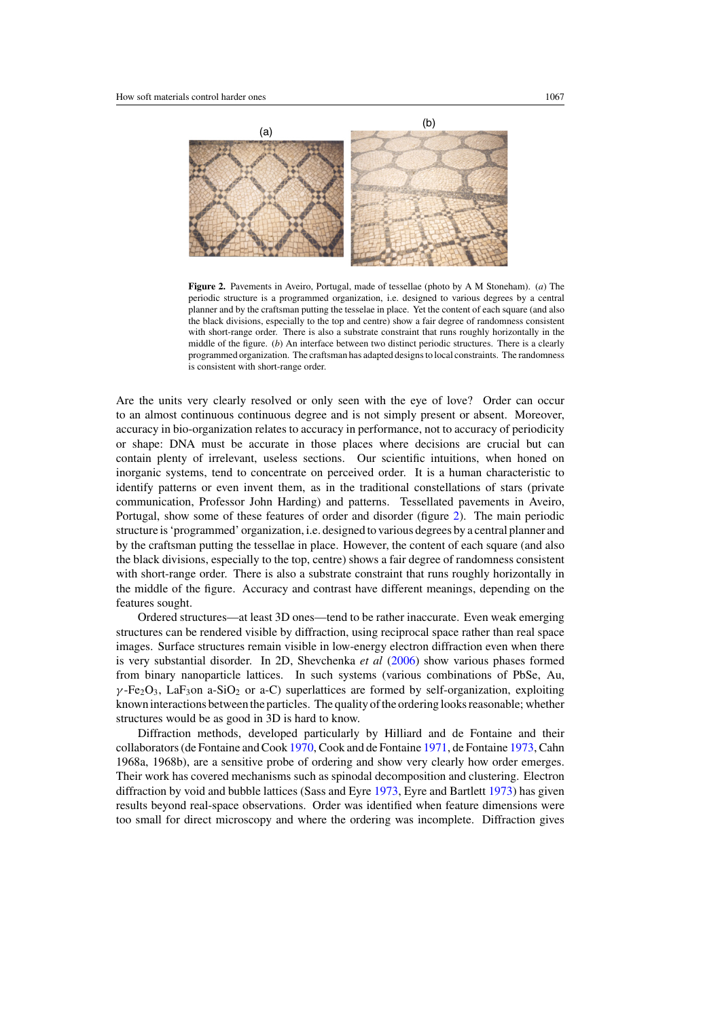

**Figure 2.** Pavements in Aveiro, Portugal, made of tessellae (photo by A M Stoneham). (*a*) The periodic structure is a programmed organization, i.e. designed to various degrees by a central planner and by the craftsman putting the tesselae in place. Yet the content of each square (and also the black divisions, especially to the top and centre) show a fair degree of randomness consistent with short-range order. There is also a substrate constraint that runs roughly horizontally in the middle of the figure. (*b*) An interface between two distinct periodic structures. There is a clearly programmed organization. The craftsman has adapted designs to local constraints. The randomness is consistent with short-range order.

Are the units very clearly resolved or only seen with the eye of love? Order can occur to an almost continuous continuous degree and is not simply present or absent. Moreover, accuracy in bio-organization relates to accuracy in performance, not to accuracy of periodicity or shape: DNA must be accurate in those places where decisions are crucial but can contain plenty of irrelevant, useless sections. Our scientific intuitions, when honed on inorganic systems, tend to concentrate on perceived order. It is a human characteristic to identify patterns or even invent them, as in the traditional constellations of stars (private communication, Professor John Harding) and patterns. Tessellated pavements in Aveiro, Portugal, show some of these features of order and disorder (figure 2). The main periodic structure is 'programmed' organization, i.e. designed to various degrees by a central planner and by the craftsman putting the tessellae in place. However, the content of each square (and also the black divisions, especially to the top, centre) shows a fair degree of randomness consistent with short-range order. There is also a substrate constraint that runs roughly horizontally in the middle of the figure. Accuracy and contrast have different meanings, depending on the features sought.

Ordered structures—at least 3D ones—tend to be rather inaccurate. Even weak emerging structures can be rendered visible by diffraction, using reciprocal space rather than real space images. Surface structures remain visible in low-energy electron diffraction even when there is very substantial disorder. In 2D, Shevchenka *et al* [\(2006](#page-40-0)) show various phases formed from binary nanoparticle lattices. In such systems (various combinations of PbSe, Au, *γ*-Fe<sub>2</sub>O<sub>3</sub>, LaF<sub>3</sub>on a-SiO<sub>2</sub> or a-C) superlattices are formed by self-organization, exploiting known interactions between the particles. The quality of the ordering looks reasonable; whether structures would be as good in 3D is hard to know.

Diffraction methods, developed particularly by Hilliard and de Fontaine and their collaborators (de Fontaine and Cook [1970](#page-37-0), Cook and de Fontaine [1971,](#page-37-0) de Fontaine [1973](#page-37-0), Cahn 1968a, 1968b), are a sensitive probe of ordering and show very clearly how order emerges. Their work has covered mechanisms such as spinodal decomposition and clustering. Electron diffraction by void and bubble lattices (Sass and Eyre [1973](#page-40-0), Eyre and Bartlett [1973\)](#page-38-0) has given results beyond real-space observations. Order was identified when feature dimensions were too small for direct microscopy and where the ordering was incomplete. Diffraction gives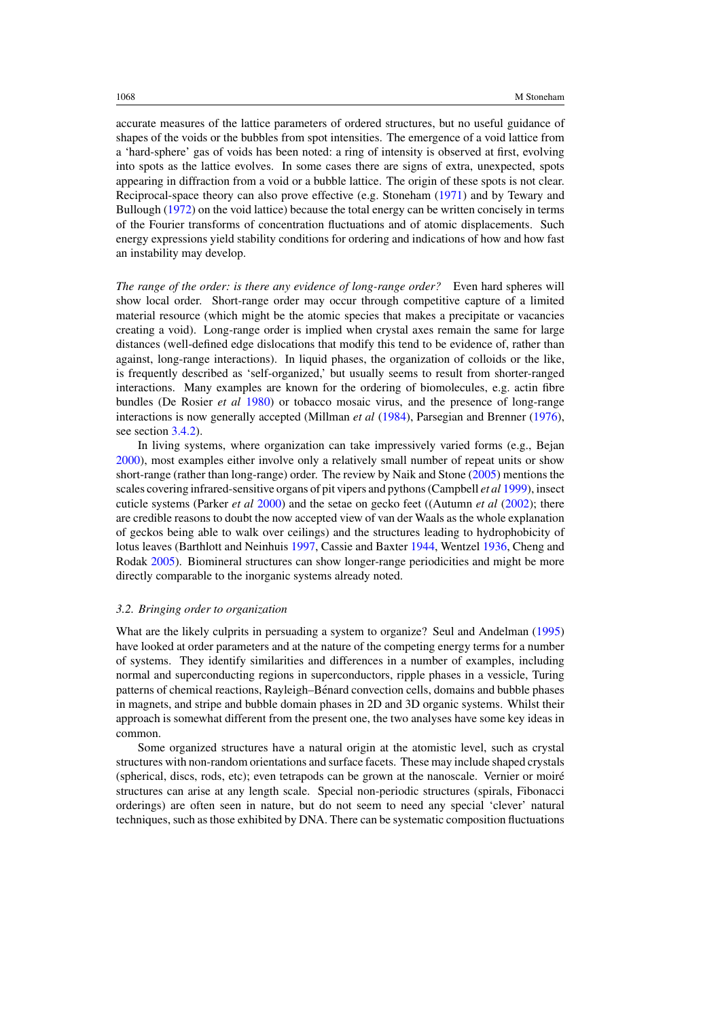<span id="page-13-0"></span>accurate measures of the lattice parameters of ordered structures, but no useful guidance of shapes of the voids or the bubbles from spot intensities. The emergence of a void lattice from a 'hard-sphere' gas of voids has been noted: a ring of intensity is observed at first, evolving into spots as the lattice evolves. In some cases there are signs of extra, unexpected, spots appearing in diffraction from a void or a bubble lattice. The origin of these spots is not clear. Reciprocal-space theory can also prove effective (e.g. Stoneham [\(1971](#page-41-0)) and by Tewary and Bullough [\(1972](#page-41-0)) on the void lattice) because the total energy can be written concisely in terms of the Fourier transforms of concentration fluctuations and of atomic displacements. Such energy expressions yield stability conditions for ordering and indications of how and how fast an instability may develop.

*The range of the order: is there any evidence of long-range order?* Even hard spheres will show local order. Short-range order may occur through competitive capture of a limited material resource (which might be the atomic species that makes a precipitate or vacancies creating a void). Long-range order is implied when crystal axes remain the same for large distances (well-defined edge dislocations that modify this tend to be evidence of, rather than against, long-range interactions). In liquid phases, the organization of colloids or the like, is frequently described as 'self-organized,' but usually seems to result from shorter-ranged interactions. Many examples are known for the ordering of biomolecules, e.g. actin fibre bundles (De Rosier *et al* [1980](#page-37-0)) or tobacco mosaic virus, and the presence of long-range interactions is now generally accepted (Millman *et al* [\(1984\)](#page-40-0), Parsegian and Brenner [\(1976\)](#page-40-0), see section [3.4.2\)](#page-17-0).

In living systems, where organization can take impressively varied forms (e.g., Bejan [2000\)](#page-36-0), most examples either involve only a relatively small number of repeat units or show short-range (rather than long-range) order. The review by Naik and Stone [\(2005](#page-40-0)) mentions the scales covering infrared-sensitive organs of pit vipers and pythons (Campbell *et al* [1999\)](#page-37-0), insect cuticle systems (Parker *et al* [2000\)](#page-40-0) and the setae on gecko feet ((Autumn *et al* [\(2002](#page-36-0)); there are credible reasons to doubt the now accepted view of van der Waals as the whole explanation of geckos being able to walk over ceilings) and the structures leading to hydrophobicity of lotus leaves (Barthlott and Neinhuis [1997,](#page-36-0) Cassie and Baxter [1944](#page-37-0), Wentzel [1936,](#page-41-0) Cheng and Rodak [2005\)](#page-37-0). Biomineral structures can show longer-range periodicities and might be more directly comparable to the inorganic systems already noted.

#### *3.2. Bringing order to organization*

What are the likely culprits in persuading a system to organize? Seul and Andelman [\(1995](#page-40-0)) have looked at order parameters and at the nature of the competing energy terms for a number of systems. They identify similarities and differences in a number of examples, including normal and superconducting regions in superconductors, ripple phases in a vessicle, Turing patterns of chemical reactions, Rayleigh–Benard convection cells, domains and bubble phases ´ in magnets, and stripe and bubble domain phases in 2D and 3D organic systems. Whilst their approach is somewhat different from the present one, the two analyses have some key ideas in common.

Some organized structures have a natural origin at the atomistic level, such as crystal structures with non-random orientations and surface facets. These may include shaped crystals (spherical, discs, rods, etc); even tetrapods can be grown at the nanoscale. Vernier or moire´ structures can arise at any length scale. Special non-periodic structures (spirals, Fibonacci orderings) are often seen in nature, but do not seem to need any special 'clever' natural techniques, such as those exhibited by DNA. There can be systematic composition fluctuations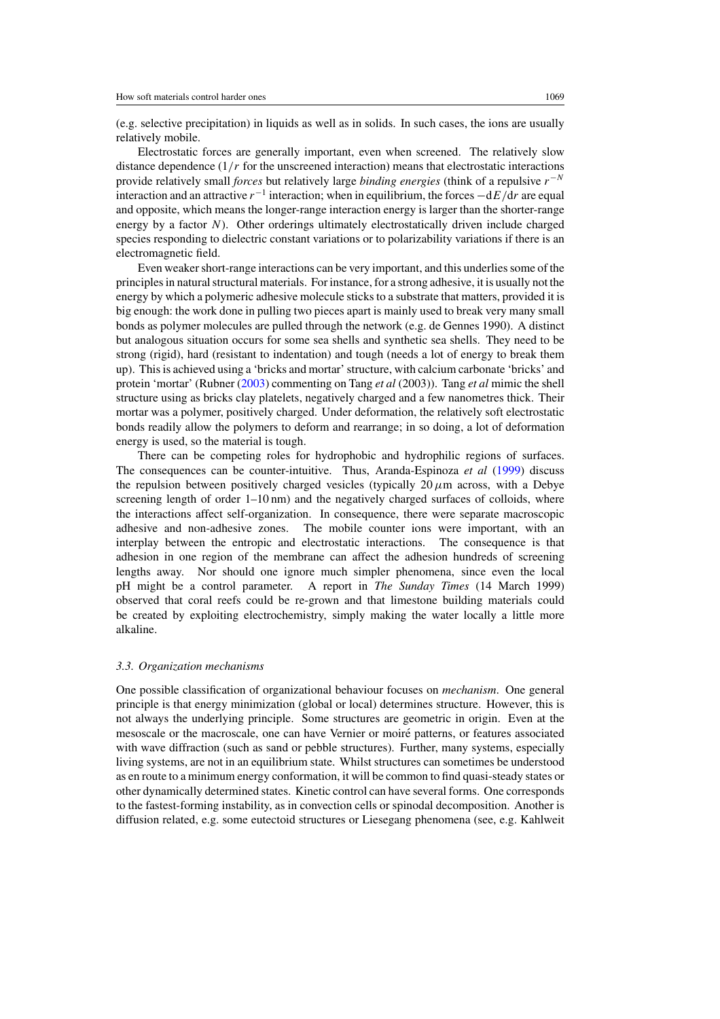<span id="page-14-0"></span>(e.g. selective precipitation) in liquids as well as in solids. In such cases, the ions are usually relatively mobile.

Electrostatic forces are generally important, even when screened. The relatively slow distance dependence (1*/r* for the unscreened interaction) means that electrostatic interactions provide relatively small *forces* but relatively large *binding energies* (think of a repulsive *r*−*<sup>N</sup>* interaction and an attractive *<sup>r</sup>*−<sup>1</sup> interaction; when in equilibrium, the forces <sup>−</sup>d*E/*d*<sup>r</sup>* are equal and opposite, which means the longer-range interaction energy is larger than the shorter-range energy by a factor *N*). Other orderings ultimately electrostatically driven include charged species responding to dielectric constant variations or to polarizability variations if there is an electromagnetic field.

Even weaker short-range interactions can be very important, and this underlies some of the principles in natural structural materials. For instance, for a strong adhesive, it is usually not the energy by which a polymeric adhesive molecule sticks to a substrate that matters, provided it is big enough: the work done in pulling two pieces apart is mainly used to break very many small bonds as polymer molecules are pulled through the network (e.g. de Gennes 1990). A distinct but analogous situation occurs for some sea shells and synthetic sea shells. They need to be strong (rigid), hard (resistant to indentation) and tough (needs a lot of energy to break them up). This is achieved using a 'bricks and mortar' structure, with calcium carbonate 'bricks' and protein 'mortar' (Rubner [\(2003](#page-40-0)) commenting on Tang *et al* (2003)). Tang *et al* mimic the shell structure using as bricks clay platelets, negatively charged and a few nanometres thick. Their mortar was a polymer, positively charged. Under deformation, the relatively soft electrostatic bonds readily allow the polymers to deform and rearrange; in so doing, a lot of deformation energy is used, so the material is tough.

There can be competing roles for hydrophobic and hydrophilic regions of surfaces. The consequences can be counter-intuitive. Thus, Aranda-Espinoza *et al* [\(1999](#page-36-0)) discuss the repulsion between positively charged vesicles (typically  $20 \mu m$  across, with a Debye screening length of order 1–10 nm) and the negatively charged surfaces of colloids, where the interactions affect self-organization. In consequence, there were separate macroscopic adhesive and non-adhesive zones. The mobile counter ions were important, with an interplay between the entropic and electrostatic interactions. The consequence is that adhesion in one region of the membrane can affect the adhesion hundreds of screening lengths away. Nor should one ignore much simpler phenomena, since even the local pH might be a control parameter. A report in *The Sunday Times* (14 March 1999) observed that coral reefs could be re-grown and that limestone building materials could be created by exploiting electrochemistry, simply making the water locally a little more alkaline.

#### *3.3. Organization mechanisms*

One possible classification of organizational behaviour focuses on *mechanism*. One general principle is that energy minimization (global or local) determines structure. However, this is not always the underlying principle. Some structures are geometric in origin. Even at the mesoscale or the macroscale, one can have Vernier or moire patterns, or features associated ´ with wave diffraction (such as sand or pebble structures). Further, many systems, especially living systems, are not in an equilibrium state. Whilst structures can sometimes be understood as en route to a minimum energy conformation, it will be common to find quasi-steady states or other dynamically determined states. Kinetic control can have several forms. One corresponds to the fastest-forming instability, as in convection cells or spinodal decomposition. Another is diffusion related, e.g. some eutectoid structures or Liesegang phenomena (see, e.g. Kahlweit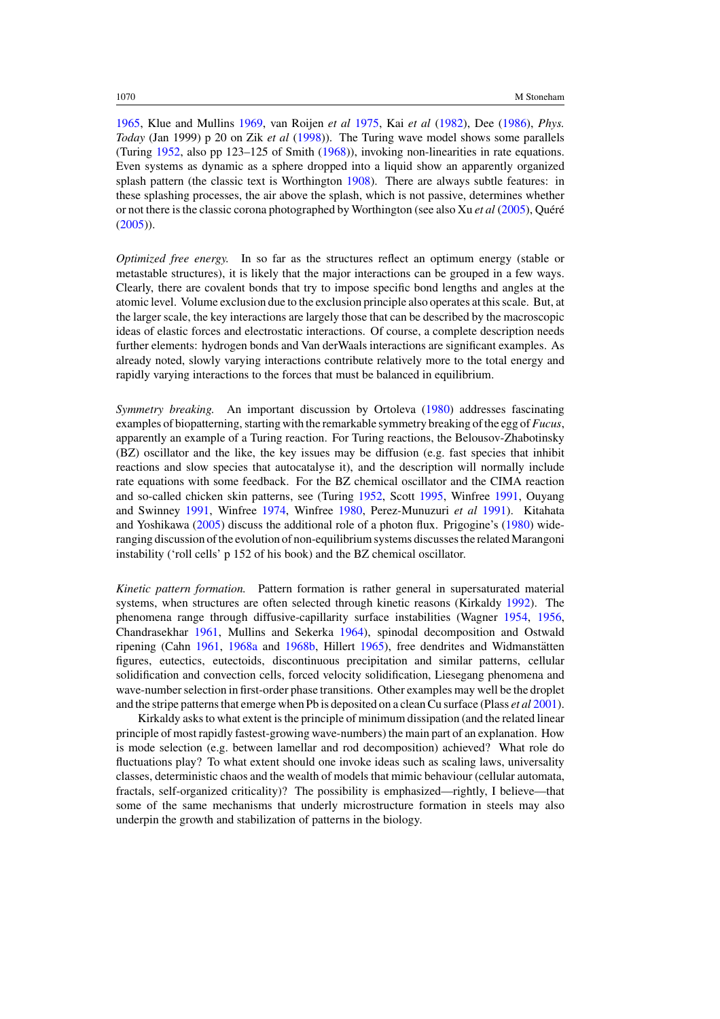[1965,](#page-39-0) Klue and Mullins [1969](#page-39-0), van Roijen *et al* [1975](#page-41-0), Kai *et al* [\(1982\)](#page-39-0), Dee [\(1986](#page-37-0)), *Phys. Today* (Jan 1999) p 20 on Zik *et al* [\(1998\)](#page-42-0)). The Turing wave model shows some parallels (Turing [1952,](#page-41-0) also pp 123–125 of Smith [\(1968](#page-40-0))), invoking non-linearities in rate equations. Even systems as dynamic as a sphere dropped into a liquid show an apparently organized splash pattern (the classic text is Worthington [1908](#page-42-0)). There are always subtle features: in these splashing processes, the air above the splash, which is not passive, determines whether or not there is the classic corona photographed by Worthington (see also Xu *et al* [\(2005](#page-42-0)), Quéré [\(2005](#page-40-0))).

*Optimized free energy.* In so far as the structures reflect an optimum energy (stable or metastable structures), it is likely that the major interactions can be grouped in a few ways. Clearly, there are covalent bonds that try to impose specific bond lengths and angles at the atomic level. Volume exclusion due to the exclusion principle also operates at this scale. But, at the larger scale, the key interactions are largely those that can be described by the macroscopic ideas of elastic forces and electrostatic interactions. Of course, a complete description needs further elements: hydrogen bonds and Van derWaals interactions are significant examples. As already noted, slowly varying interactions contribute relatively more to the total energy and rapidly varying interactions to the forces that must be balanced in equilibrium.

*Symmetry breaking.* An important discussion by Ortoleva [\(1980\)](#page-40-0) addresses fascinating examples of biopatterning, starting with the remarkable symmetry breaking of the egg of *Fucus*, apparently an example of a Turing reaction. For Turing reactions, the Belousov-Zhabotinsky (BZ) oscillator and the like, the key issues may be diffusion (e.g. fast species that inhibit reactions and slow species that autocatalyse it), and the description will normally include rate equations with some feedback. For the BZ chemical oscillator and the CIMA reaction and so-called chicken skin patterns, see (Turing [1952](#page-41-0), Scott [1995](#page-40-0), Winfree [1991,](#page-42-0) Ouyang and Swinney [1991](#page-40-0), Winfree [1974](#page-42-0), Winfree [1980,](#page-42-0) Perez-Munuzuri *et al* [1991\)](#page-40-0). Kitahata and Yoshikawa [\(2005](#page-39-0)) discuss the additional role of a photon flux. Prigogine's [\(1980\)](#page-40-0) wideranging discussion of the evolution of non-equilibrium systems discusses the related Marangoni instability ('roll cells' p 152 of his book) and the BZ chemical oscillator.

*Kinetic pattern formation.* Pattern formation is rather general in supersaturated material systems, when structures are often selected through kinetic reasons (Kirkaldy [1992](#page-39-0)). The phenomena range through diffusive-capillarity surface instabilities (Wagner [1954](#page-41-0), [1956](#page-41-0), Chandrasekhar [1961,](#page-37-0) Mullins and Sekerka [1964\)](#page-40-0), spinodal decomposition and Ostwald ripening (Cahn [1961,](#page-37-0) [1968a](#page-37-0) and [1968b](#page-37-0), Hillert [1965\)](#page-38-0), free dendrites and Widmanstätten figures, eutectics, eutectoids, discontinuous precipitation and similar patterns, cellular solidification and convection cells, forced velocity solidification, Liesegang phenomena and wave-number selection in first-order phase transitions. Other examples may well be the droplet and the stripe patterns that emerge when Pb is deposited on a clean Cu surface (Plass *et al* [2001\)](#page-40-0).

Kirkaldy asks to what extent is the principle of minimum dissipation (and the related linear principle of most rapidly fastest-growing wave-numbers) the main part of an explanation. How is mode selection (e.g. between lamellar and rod decomposition) achieved? What role do fluctuations play? To what extent should one invoke ideas such as scaling laws, universality classes, deterministic chaos and the wealth of models that mimic behaviour (cellular automata, fractals, self-organized criticality)? The possibility is emphasized—rightly, I believe—that some of the same mechanisms that underly microstructure formation in steels may also underpin the growth and stabilization of patterns in the biology.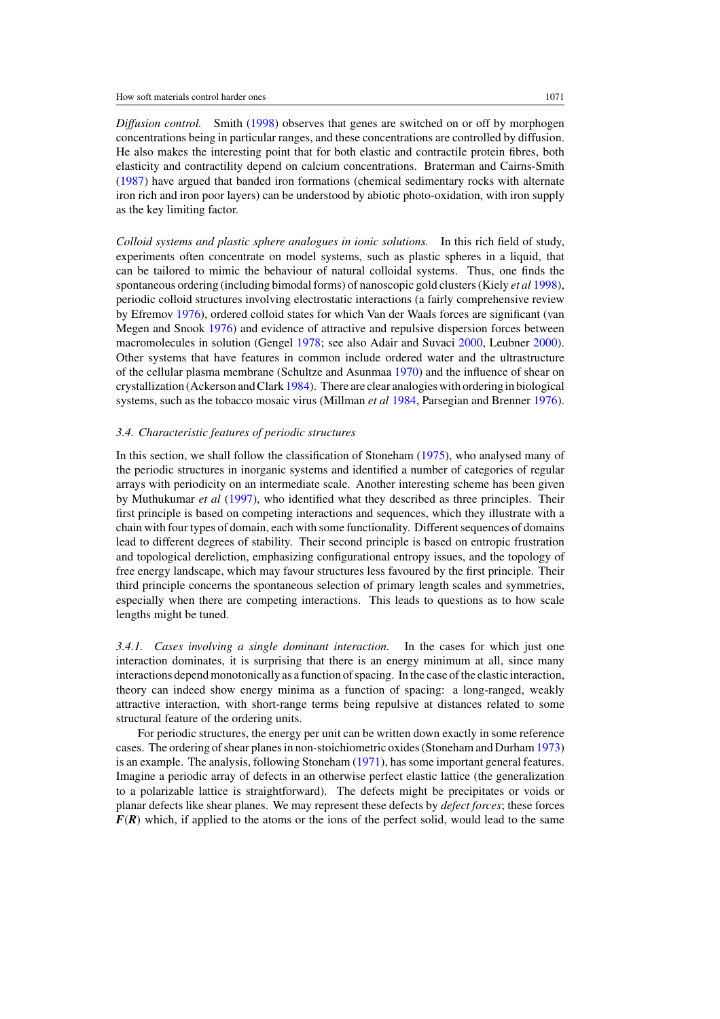<span id="page-16-0"></span>*Diffusion control.* Smith [\(1998\)](#page-40-0) observes that genes are switched on or off by morphogen concentrations being in particular ranges, and these concentrations are controlled by diffusion. He also makes the interesting point that for both elastic and contractile protein fibres, both elasticity and contractility depend on calcium concentrations. Braterman and Cairns-Smith [\(1987](#page-36-0)) have argued that banded iron formations (chemical sedimentary rocks with alternate iron rich and iron poor layers) can be understood by abiotic photo-oxidation, with iron supply as the key limiting factor.

*Colloid systems and plastic sphere analogues in ionic solutions.* In this rich field of study, experiments often concentrate on model systems, such as plastic spheres in a liquid, that can be tailored to mimic the behaviour of natural colloidal systems. Thus, one finds the spontaneous ordering (including bimodal forms) of nanoscopic gold clusters (Kiely *et al* [1998\)](#page-39-0), periodic colloid structures involving electrostatic interactions (a fairly comprehensive review by Efremov [1976\)](#page-38-0), ordered colloid states for which Van der Waals forces are significant (van Megen and Snook [1976](#page-41-0)) and evidence of attractive and repulsive dispersion forces between macromolecules in solution (Gengel [1978](#page-38-0); see also Adair and Suvaci [2000,](#page-36-0) Leubner [2000\)](#page-39-0). Other systems that have features in common include ordered water and the ultrastructure of the cellular plasma membrane (Schultze and Asunmaa [1970\)](#page-40-0) and the influence of shear on crystallization (Ackerson and Clark [1984\)](#page-36-0). There are clear analogies with ordering in biological systems, such as the tobacco mosaic virus (Millman *et al* [1984](#page-40-0), Parsegian and Brenner [1976\)](#page-40-0).

## *3.4. Characteristic features of periodic structures*

In this section, we shall follow the classification of Stoneham [\(1975\)](#page-41-0), who analysed many of the periodic structures in inorganic systems and identified a number of categories of regular arrays with periodicity on an intermediate scale. Another interesting scheme has been given by Muthukumar *et al* [\(1997\)](#page-40-0), who identified what they described as three principles. Their first principle is based on competing interactions and sequences, which they illustrate with a chain with four types of domain, each with some functionality. Different sequences of domains lead to different degrees of stability. Their second principle is based on entropic frustration and topological dereliction, emphasizing configurational entropy issues, and the topology of free energy landscape, which may favour structures less favoured by the first principle. Their third principle concerns the spontaneous selection of primary length scales and symmetries, especially when there are competing interactions. This leads to questions as to how scale lengths might be tuned.

*3.4.1. Cases involving a single dominant interaction.* In the cases for which just one interaction dominates, it is surprising that there is an energy minimum at all, since many interactions depend monotonically as a function of spacing. In the case of the elastic interaction, theory can indeed show energy minima as a function of spacing: a long-ranged, weakly attractive interaction, with short-range terms being repulsive at distances related to some structural feature of the ordering units.

For periodic structures, the energy per unit can be written down exactly in some reference cases. The ordering of shear planes in non-stoichiometric oxides (Stoneham and Durham [1973](#page-41-0)) is an example. The analysis, following Stoneham [\(1971\)](#page-41-0), has some important general features. Imagine a periodic array of defects in an otherwise perfect elastic lattice (the generalization to a polarizable lattice is straightforward). The defects might be precipitates or voids or planar defects like shear planes. We may represent these defects by *defect forces*; these forces  $F(R)$  which, if applied to the atoms or the ions of the perfect solid, would lead to the same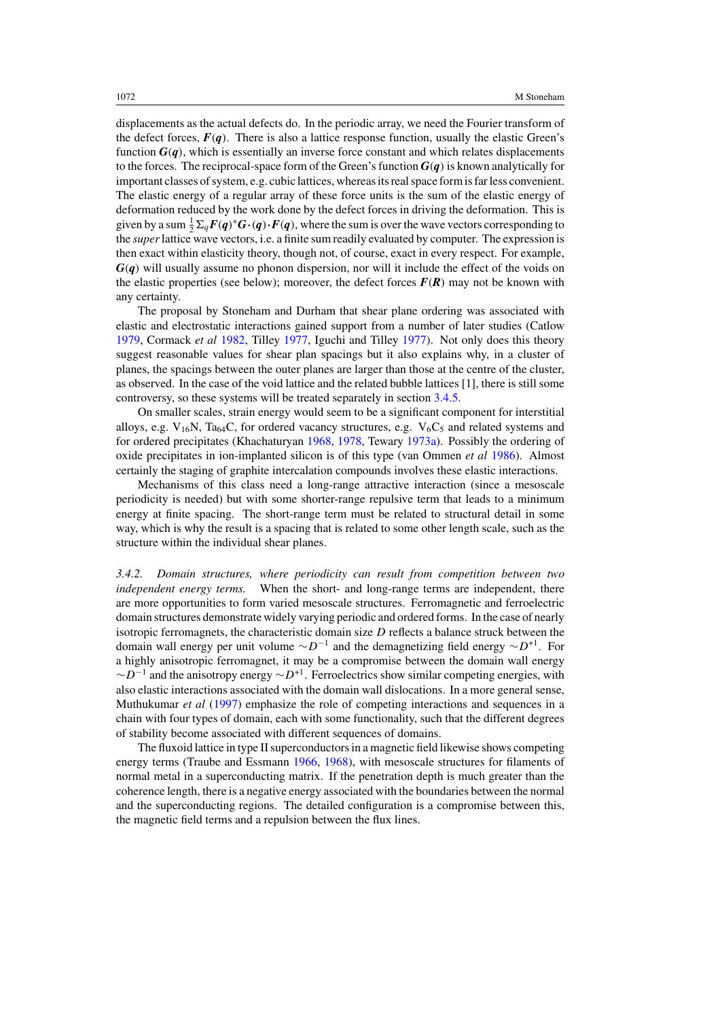<span id="page-17-0"></span>displacements as the actual defects do. In the periodic array, we need the Fourier transform of the defect forces,  $F(q)$ . There is also a lattice response function, usually the elastic Green's function  $G(q)$ , which is essentially an inverse force constant and which relates displacements to the forces. The reciprocal-space form of the Green's function  $G(q)$  is known analytically for important classes of system, e.g. cubic lattices, whereas its real space form is far less convenient. The elastic energy of a regular array of these force units is the sum of the elastic energy of deformation reduced by the work done by the defect forces in driving the deformation. This is given by a sum  $\frac{1}{2}\Sigma_q\bm{F}(\bm{q})\bm{*G\bm{\cdot}(\bm{q})\bm{\cdot}F(\bm{q})}$ , where the sum is over the wave vectors corresponding to the *super*lattice wave vectors, i.e. a finite sum readily evaluated by computer. The expression is then exact within elasticity theory, though not, of course, exact in every respect. For example, *G(q)* will usually assume no phonon dispersion, nor will it include the effect of the voids on the elastic properties (see below); moreover, the defect forces  $F(R)$  may not be known with any certainty.

The proposal by Stoneham and Durham that shear plane ordering was associated with elastic and electrostatic interactions gained support from a number of later studies (Catlow [1979,](#page-37-0) Cormack *et al* [1982](#page-37-0), Tilley [1977](#page-41-0), Iguchi and Tilley [1977](#page-38-0)). Not only does this theory suggest reasonable values for shear plan spacings but it also explains why, in a cluster of planes, the spacings between the outer planes are larger than those at the centre of the cluster, as observed. In the case of the void lattice and the related bubble lattices [1], there is still some controversy, so these systems will be treated separately in section [3.4.5.](#page-20-0)

On smaller scales, strain energy would seem to be a significant component for interstitial alloys, e.g.  $V_{16}N$ , Ta<sub>64</sub>C, for ordered vacancy structures, e.g.  $V_6C_5$  and related systems and for ordered precipitates (Khachaturyan [1968,](#page-39-0) [1978,](#page-39-0) Tewary [1973a\)](#page-41-0). Possibly the ordering of oxide precipitates in ion-implanted silicon is of this type (van Ommen *et al* [1986\)](#page-41-0). Almost certainly the staging of graphite intercalation compounds involves these elastic interactions.

Mechanisms of this class need a long-range attractive interaction (since a mesoscale periodicity is needed) but with some shorter-range repulsive term that leads to a minimum energy at finite spacing. The short-range term must be related to structural detail in some way, which is why the result is a spacing that is related to some other length scale, such as the structure within the individual shear planes.

*3.4.2. Domain structures, where periodicity can result from competition between two independent energy terms.* When the short- and long-range terms are independent, there are more opportunities to form varied mesoscale structures. Ferromagnetic and ferroelectric domain structures demonstrate widely varying periodic and ordered forms. In the case of nearly isotropic ferromagnets, the characteristic domain size *D* reflects a balance struck between the domain wall energy per unit volume <sup>∼</sup>*D*−<sup>1</sup> and the demagnetizing field energy <sup>∼</sup>*D*+1. For a highly anisotropic ferromagnet, it may be a compromise between the domain wall energy <sup>∼</sup>*D*−<sup>1</sup> and the anisotropy energy <sup>∼</sup>*D*+1. Ferroelectrics show similar competing energies, with also elastic interactions associated with the domain wall dislocations. In a more general sense, Muthukumar *et al* [\(1997](#page-40-0)) emphasize the role of competing interactions and sequences in a chain with four types of domain, each with some functionality, such that the different degrees of stability become associated with different sequences of domains.

The fluxoid lattice in type II superconductors in a magnetic field likewise shows competing energy terms (Traube and Essmann [1966](#page-41-0), [1968\)](#page-41-0), with mesoscale structures for filaments of normal metal in a superconducting matrix. If the penetration depth is much greater than the coherence length, there is a negative energy associated with the boundaries between the normal and the superconducting regions. The detailed configuration is a compromise between this, the magnetic field terms and a repulsion between the flux lines.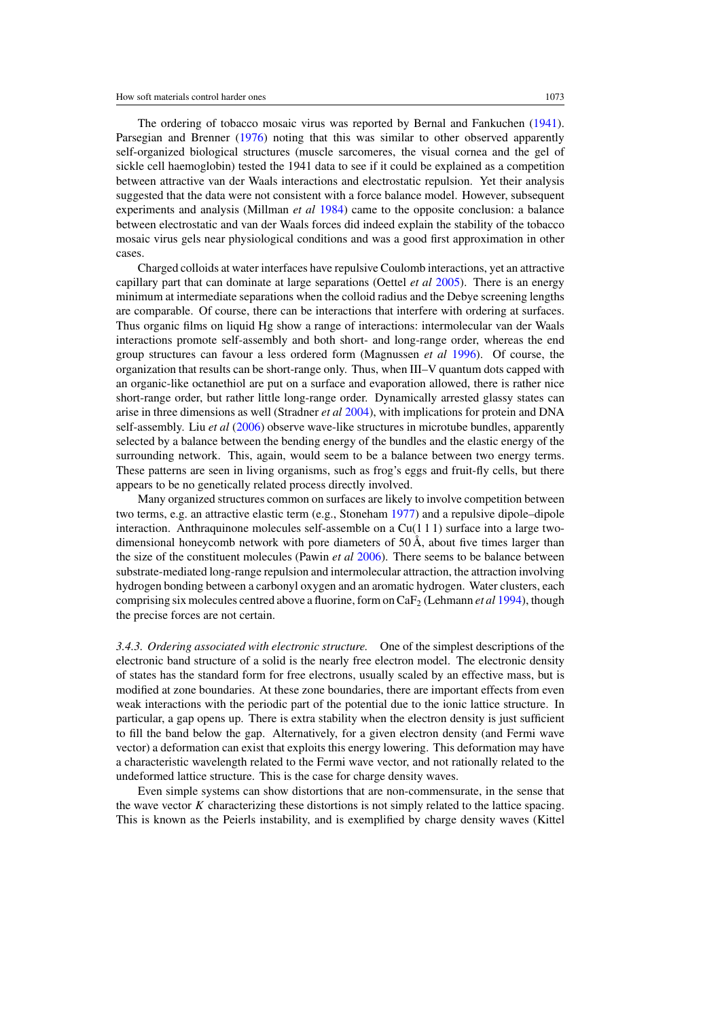The ordering of tobacco mosaic virus was reported by Bernal and Fankuchen [\(1941\)](#page-36-0). Parsegian and Brenner [\(1976\)](#page-40-0) noting that this was similar to other observed apparently self-organized biological structures (muscle sarcomeres, the visual cornea and the gel of sickle cell haemoglobin) tested the 1941 data to see if it could be explained as a competition between attractive van der Waals interactions and electrostatic repulsion. Yet their analysis suggested that the data were not consistent with a force balance model. However, subsequent experiments and analysis (Millman *et al* [1984](#page-40-0)) came to the opposite conclusion: a balance between electrostatic and van der Waals forces did indeed explain the stability of the tobacco mosaic virus gels near physiological conditions and was a good first approximation in other cases.

Charged colloids at water interfaces have repulsive Coulomb interactions, yet an attractive capillary part that can dominate at large separations (Oettel *et al* [2005](#page-40-0)). There is an energy minimum at intermediate separations when the colloid radius and the Debye screening lengths are comparable. Of course, there can be interactions that interfere with ordering at surfaces. Thus organic films on liquid Hg show a range of interactions: intermolecular van der Waals interactions promote self-assembly and both short- and long-range order, whereas the end group structures can favour a less ordered form (Magnussen *et al* [1996](#page-39-0)). Of course, the organization that results can be short-range only. Thus, when III–V quantum dots capped with an organic-like octanethiol are put on a surface and evaporation allowed, there is rather nice short-range order, but rather little long-range order. Dynamically arrested glassy states can arise in three dimensions as well (Stradner *et al* [2004](#page-41-0)), with implications for protein and DNA self-assembly. Liu *et al* [\(2006](#page-39-0)) observe wave-like structures in microtube bundles, apparently selected by a balance between the bending energy of the bundles and the elastic energy of the surrounding network. This, again, would seem to be a balance between two energy terms. These patterns are seen in living organisms, such as frog's eggs and fruit-fly cells, but there appears to be no genetically related process directly involved.

Many organized structures common on surfaces are likely to involve competition between two terms, e.g. an attractive elastic term (e.g., Stoneham [1977](#page-41-0)) and a repulsive dipole–dipole interaction. Anthraquinone molecules self-assemble on a Cu(1 1 1) surface into a large twodimensional honeycomb network with pore diameters of 50 Å, about five times larger than the size of the constituent molecules (Pawin *et al* [2006](#page-40-0)). There seems to be balance between substrate-mediated long-range repulsion and intermolecular attraction, the attraction involving hydrogen bonding between a carbonyl oxygen and an aromatic hydrogen. Water clusters, each comprising six molecules centred above a fluorine, form on CaF2 (Lehmann *et al* [1994](#page-39-0)), though the precise forces are not certain.

*3.4.3. Ordering associated with electronic structure.* One of the simplest descriptions of the electronic band structure of a solid is the nearly free electron model. The electronic density of states has the standard form for free electrons, usually scaled by an effective mass, but is modified at zone boundaries. At these zone boundaries, there are important effects from even weak interactions with the periodic part of the potential due to the ionic lattice structure. In particular, a gap opens up. There is extra stability when the electron density is just sufficient to fill the band below the gap. Alternatively, for a given electron density (and Fermi wave vector) a deformation can exist that exploits this energy lowering. This deformation may have a characteristic wavelength related to the Fermi wave vector, and not rationally related to the undeformed lattice structure. This is the case for charge density waves.

Even simple systems can show distortions that are non-commensurate, in the sense that the wave vector  $K$  characterizing these distortions is not simply related to the lattice spacing. This is known as the Peierls instability, and is exemplified by charge density waves (Kittel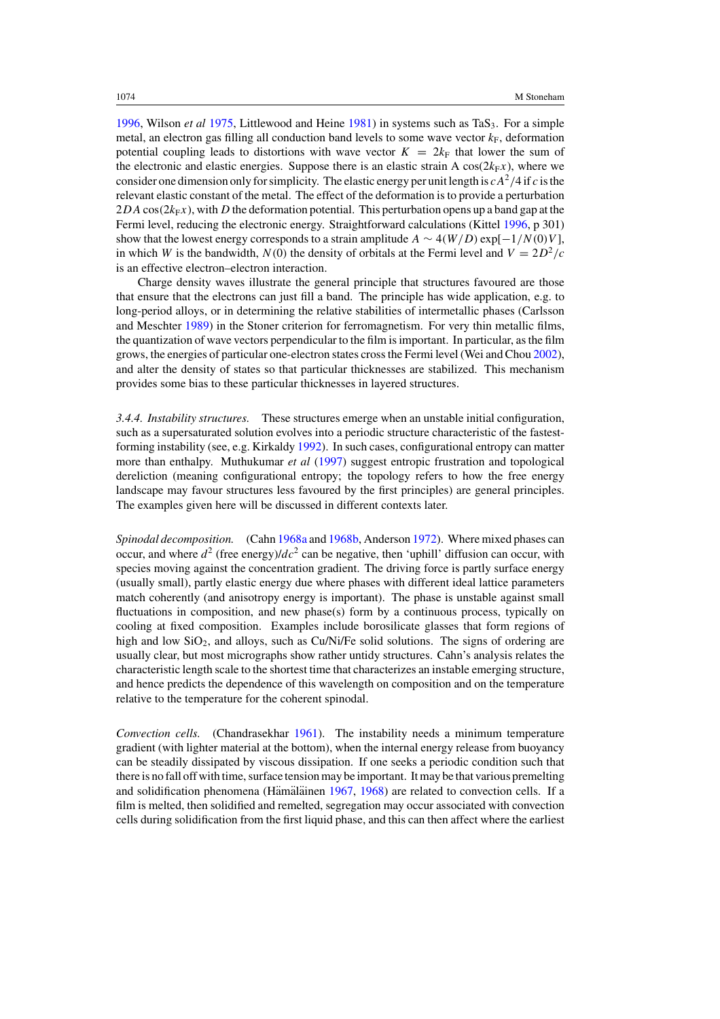[1996,](#page-39-0) Wilson *et al* [1975,](#page-42-0) Littlewood and Heine [1981\)](#page-39-0) in systems such as TaS<sub>3</sub>. For a simple metal, an electron gas filling all conduction band levels to some wave vector  $k_F$ , deformation potential coupling leads to distortions with wave vector  $K = 2k<sub>F</sub>$  that lower the sum of the electronic and elastic energies. Suppose there is an elastic strain A  $cos(2k<sub>F</sub>x)$ , where we consider one dimension only for simplicity. The elastic energy per unit length is  $cA^2/4$  if *c* is the relevant elastic constant of the metal. The effect of the deformation is to provide a perturbation  $2DA \cos(2k_F x)$ , with *D* the deformation potential. This perturbation opens up a band gap at the Fermi level, reducing the electronic energy. Straightforward calculations (Kittel [1996,](#page-39-0) p 301) show that the lowest energy corresponds to a strain amplitude  $A \sim 4(W/D) \exp[-1/N(0)V]$ , in which *W* is the bandwidth,  $N(0)$  the density of orbitals at the Fermi level and  $V = 2D^2/c$ is an effective electron–electron interaction.

Charge density waves illustrate the general principle that structures favoured are those that ensure that the electrons can just fill a band. The principle has wide application, e.g. to long-period alloys, or in determining the relative stabilities of intermetallic phases (Carlsson and Meschter [1989\)](#page-37-0) in the Stoner criterion for ferromagnetism. For very thin metallic films, the quantization of wave vectors perpendicular to the film is important. In particular, as the film grows, the energies of particular one-electron states cross the Fermi level (Wei and Chou [2002\)](#page-41-0), and alter the density of states so that particular thicknesses are stabilized. This mechanism provides some bias to these particular thicknesses in layered structures.

*3.4.4. Instability structures.* These structures emerge when an unstable initial configuration, such as a supersaturated solution evolves into a periodic structure characteristic of the fastestforming instability (see, e.g. Kirkaldy [1992\)](#page-39-0). In such cases, configurational entropy can matter more than enthalpy. Muthukumar *et al* [\(1997](#page-40-0)) suggest entropic frustration and topological dereliction (meaning configurational entropy; the topology refers to how the free energy landscape may favour structures less favoured by the first principles) are general principles. The examples given here will be discussed in different contexts later.

*Spinodal decomposition.* (Cahn [1968a](#page-37-0) and [1968b](#page-37-0), Anderson [1972\)](#page-36-0). Where mixed phases can occur, and where  $d^2$  (free energy)/ $dc^2$  can be negative, then 'uphill' diffusion can occur, with species moving against the concentration gradient. The driving force is partly surface energy (usually small), partly elastic energy due where phases with different ideal lattice parameters match coherently (and anisotropy energy is important). The phase is unstable against small fluctuations in composition, and new phase(s) form by a continuous process, typically on cooling at fixed composition. Examples include borosilicate glasses that form regions of high and low  $SiO<sub>2</sub>$ , and alloys, such as Cu/Ni/Fe solid solutions. The signs of ordering are usually clear, but most micrographs show rather untidy structures. Cahn's analysis relates the characteristic length scale to the shortest time that characterizes an instable emerging structure, and hence predicts the dependence of this wavelength on composition and on the temperature relative to the temperature for the coherent spinodal.

*Convection cells.* (Chandrasekhar [1961\)](#page-37-0). The instability needs a minimum temperature gradient (with lighter material at the bottom), when the internal energy release from buoyancy can be steadily dissipated by viscous dissipation. If one seeks a periodic condition such that there is no fall off with time, surface tension may be important. It may be that various premelting and solidification phenomena (Hämäläinen  $1967$ ,  $1968$ ) are related to convection cells. If a film is melted, then solidified and remelted, segregation may occur associated with convection cells during solidification from the first liquid phase, and this can then affect where the earliest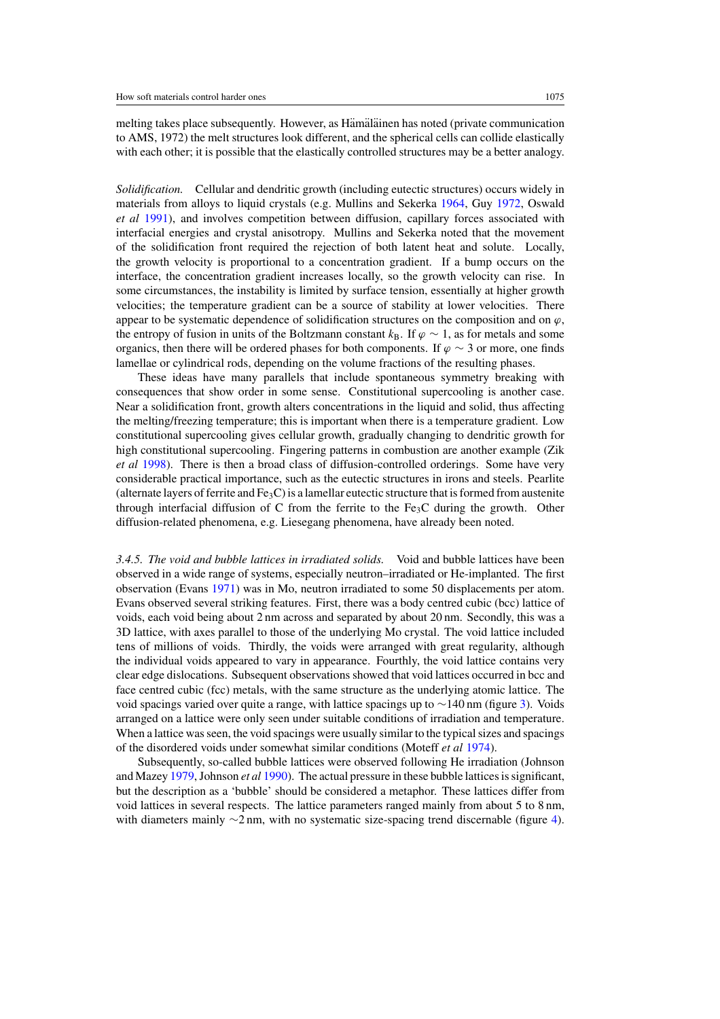<span id="page-20-0"></span>melting takes place subsequently. However, as Hämäläinen has noted (private communication to AMS, 1972) the melt structures look different, and the spherical cells can collide elastically with each other; it is possible that the elastically controlled structures may be a better analogy.

*Solidification.* Cellular and dendritic growth (including eutectic structures) occurs widely in materials from alloys to liquid crystals (e.g. Mullins and Sekerka [1964](#page-40-0), Guy [1972](#page-38-0), Oswald *et al* [1991](#page-40-0)), and involves competition between diffusion, capillary forces associated with interfacial energies and crystal anisotropy. Mullins and Sekerka noted that the movement of the solidification front required the rejection of both latent heat and solute. Locally, the growth velocity is proportional to a concentration gradient. If a bump occurs on the interface, the concentration gradient increases locally, so the growth velocity can rise. In some circumstances, the instability is limited by surface tension, essentially at higher growth velocities; the temperature gradient can be a source of stability at lower velocities. There appear to be systematic dependence of solidification structures on the composition and on  $\varphi$ , the entropy of fusion in units of the Boltzmann constant  $k_B$ . If  $\varphi \sim 1$ , as for metals and some organics, then there will be ordered phases for both components. If *ϕ* ∼ 3 or more, one finds lamellae or cylindrical rods, depending on the volume fractions of the resulting phases.

These ideas have many parallels that include spontaneous symmetry breaking with consequences that show order in some sense. Constitutional supercooling is another case. Near a solidification front, growth alters concentrations in the liquid and solid, thus affecting the melting/freezing temperature; this is important when there is a temperature gradient. Low constitutional supercooling gives cellular growth, gradually changing to dendritic growth for high constitutional supercooling. Fingering patterns in combustion are another example (Zik *et al* [1998](#page-42-0)). There is then a broad class of diffusion-controlled orderings. Some have very considerable practical importance, such as the eutectic structures in irons and steels. Pearlite (alternate layers of ferrite and  $Fe<sub>3</sub>C$ ) is a lamellar eutectic structure that is formed from austenite through interfacial diffusion of C from the ferrite to the Fe<sub>3</sub>C during the growth. Other diffusion-related phenomena, e.g. Liesegang phenomena, have already been noted.

*3.4.5. The void and bubble lattices in irradiated solids.* Void and bubble lattices have been observed in a wide range of systems, especially neutron–irradiated or He-implanted. The first observation (Evans [1971\)](#page-38-0) was in Mo, neutron irradiated to some 50 displacements per atom. Evans observed several striking features. First, there was a body centred cubic (bcc) lattice of voids, each void being about 2 nm across and separated by about 20 nm. Secondly, this was a 3D lattice, with axes parallel to those of the underlying Mo crystal. The void lattice included tens of millions of voids. Thirdly, the voids were arranged with great regularity, although the individual voids appeared to vary in appearance. Fourthly, the void lattice contains very clear edge dislocations. Subsequent observations showed that void lattices occurred in bcc and face centred cubic (fcc) metals, with the same structure as the underlying atomic lattice. The void spacings varied over quite a range, with lattice spacings up to ∼140 nm (figure [3\)](#page-21-0). Voids arranged on a lattice were only seen under suitable conditions of irradiation and temperature. When a lattice was seen, the void spacings were usually similar to the typical sizes and spacings of the disordered voids under somewhat similar conditions (Moteff *et al* [1974](#page-40-0)).

Subsequently, so-called bubble lattices were observed following He irradiation (Johnson and Mazey [1979,](#page-39-0) Johnson *et al* [1990\)](#page-39-0). The actual pressure in these bubble lattices is significant, but the description as a 'bubble' should be considered a metaphor. These lattices differ from void lattices in several respects. The lattice parameters ranged mainly from about 5 to 8 nm, with diameters mainly ∼2 nm, with no systematic size-spacing trend discernable (figure [4\)](#page-21-0).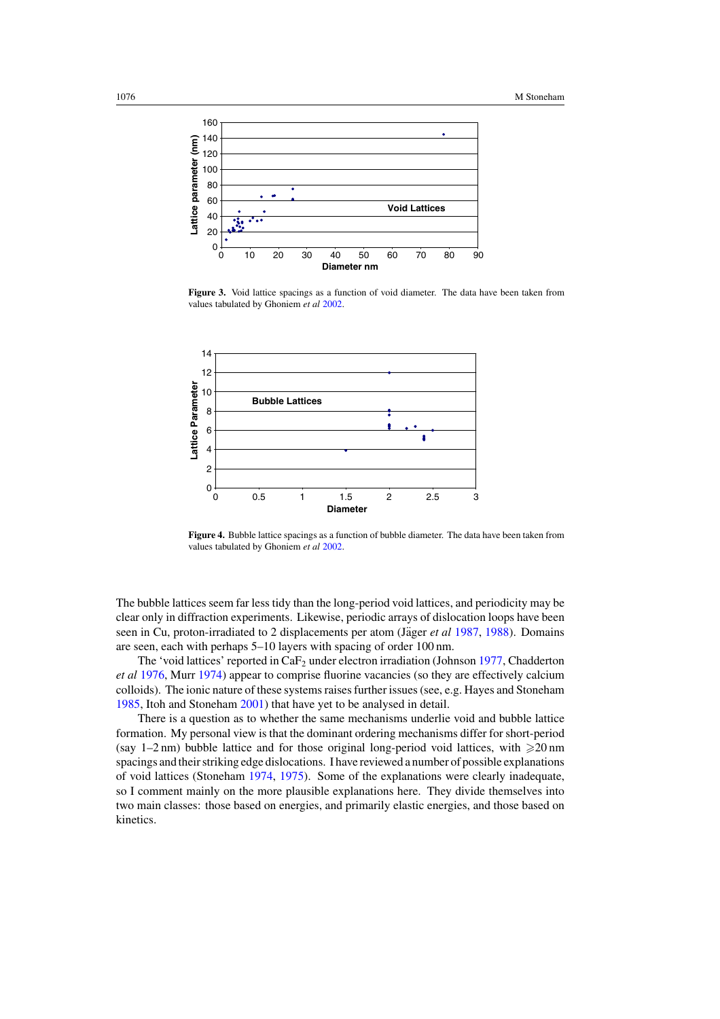<span id="page-21-0"></span>

**Figure 3.** Void lattice spacings as a function of void diameter. The data have been taken from values tabulated by Ghoniem *et al* [2002.](#page-38-0)



**Figure 4.** Bubble lattice spacings as a function of bubble diameter. The data have been taken from values tabulated by Ghoniem *et al* [2002.](#page-38-0)

The bubble lattices seem far less tidy than the long-period void lattices, and periodicity may be clear only in diffraction experiments. Likewise, periodic arrays of dislocation loops have been seen in Cu, proton-irradiated to 2 displacements per atom (Jäger *et al* [1987,](#page-39-0) [1988\)](#page-39-0). Domains are seen, each with perhaps 5–10 layers with spacing of order 100 nm.

The 'void lattices' reported in  $CaF<sub>2</sub>$  under electron irradiation (Johnson [1977](#page-39-0), Chadderton *et al* [1976,](#page-37-0) Murr [1974\)](#page-40-0) appear to comprise fluorine vacancies (so they are effectively calcium colloids). The ionic nature of these systems raises further issues (see, e.g. Hayes and Stoneham [1985,](#page-38-0) Itoh and Stoneham [2001\)](#page-39-0) that have yet to be analysed in detail.

There is a question as to whether the same mechanisms underlie void and bubble lattice formation. My personal view is that the dominant ordering mechanisms differ for short-period (say 1–2 nm) bubble lattice and for those original long-period void lattices, with  $\geq 20$  nm spacings and their striking edge dislocations. I have reviewed a number of possible explanations of void lattices (Stoneham [1974](#page-41-0), [1975](#page-41-0)). Some of the explanations were clearly inadequate, so I comment mainly on the more plausible explanations here. They divide themselves into two main classes: those based on energies, and primarily elastic energies, and those based on kinetics.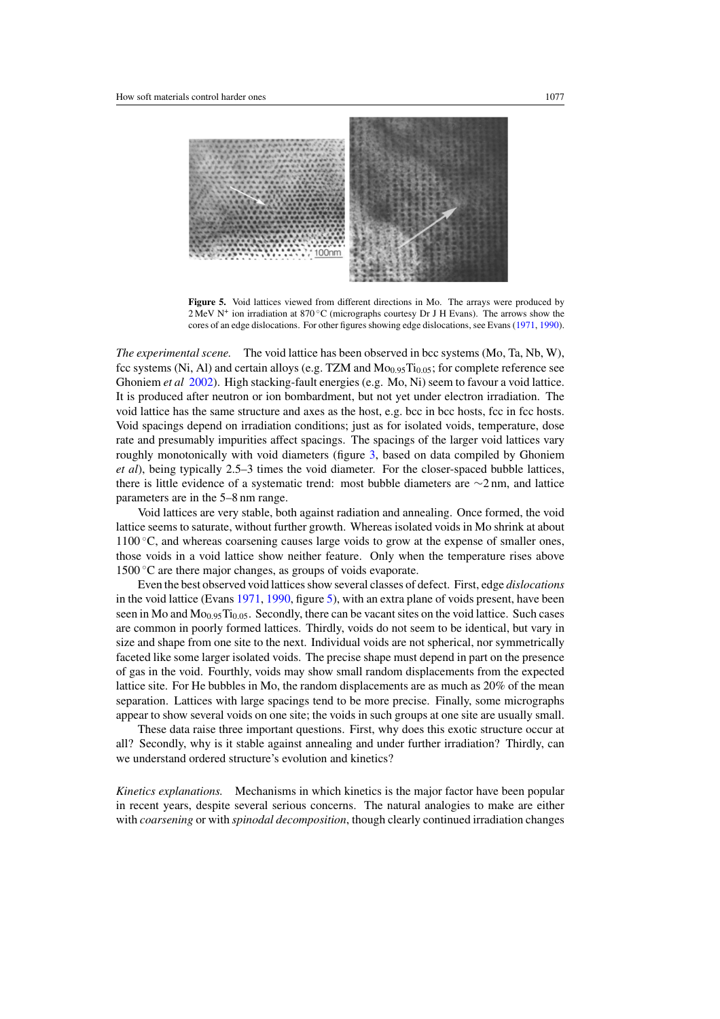<span id="page-22-0"></span>

Figure 5. Void lattices viewed from different directions in Mo. The arrays were produced by 2 MeV N<sup>+</sup> ion irradiation at 870 °C (micrographs courtesy Dr J H Evans). The arrows show the cores of an edge dislocations. For other figures showing edge dislocations, see Evans [\(1971](#page-38-0), [1990\)](#page-38-0).

*The experimental scene.* The void lattice has been observed in bcc systems (Mo, Ta, Nb, W), fcc systems (Ni, Al) and certain alloys (e.g. TZM and  $Mo<sub>0.95</sub>Ti<sub>0.05</sub>$ ; for complete reference see Ghoniem *et al* [2002](#page-38-0)). High stacking-fault energies (e.g. Mo, Ni) seem to favour a void lattice. It is produced after neutron or ion bombardment, but not yet under electron irradiation. The void lattice has the same structure and axes as the host, e.g. bcc in bcc hosts, fcc in fcc hosts. Void spacings depend on irradiation conditions; just as for isolated voids, temperature, dose rate and presumably impurities affect spacings. The spacings of the larger void lattices vary roughly monotonically with void diameters (figure [3,](#page-21-0) based on data compiled by Ghoniem *et al*), being typically 2.5–3 times the void diameter. For the closer-spaced bubble lattices, there is little evidence of a systematic trend: most bubble diameters are ∼2 nm, and lattice parameters are in the 5–8 nm range.

Void lattices are very stable, both against radiation and annealing. Once formed, the void lattice seems to saturate, without further growth. Whereas isolated voids in Mo shrink at about  $1100\,^{\circ}$ C, and whereas coarsening causes large voids to grow at the expense of smaller ones, those voids in a void lattice show neither feature. Only when the temperature rises above  $1500 \degree$ C are there major changes, as groups of voids evaporate.

Even the best observed void lattices show several classes of defect. First, edge *dislocations* in the void lattice (Evans [1971](#page-38-0), [1990](#page-38-0), figure 5), with an extra plane of voids present, have been seen in Mo and Mo<sub>0.95</sub>Ti<sub>0.05</sub>. Secondly, there can be vacant sites on the void lattice. Such cases are common in poorly formed lattices. Thirdly, voids do not seem to be identical, but vary in size and shape from one site to the next. Individual voids are not spherical, nor symmetrically faceted like some larger isolated voids. The precise shape must depend in part on the presence of gas in the void. Fourthly, voids may show small random displacements from the expected lattice site. For He bubbles in Mo, the random displacements are as much as 20% of the mean separation. Lattices with large spacings tend to be more precise. Finally, some micrographs appear to show several voids on one site; the voids in such groups at one site are usually small.

These data raise three important questions. First, why does this exotic structure occur at all? Secondly, why is it stable against annealing and under further irradiation? Thirdly, can we understand ordered structure's evolution and kinetics?

*Kinetics explanations.* Mechanisms in which kinetics is the major factor have been popular in recent years, despite several serious concerns. The natural analogies to make are either with *coarsening* or with *spinodal decomposition*, though clearly continued irradiation changes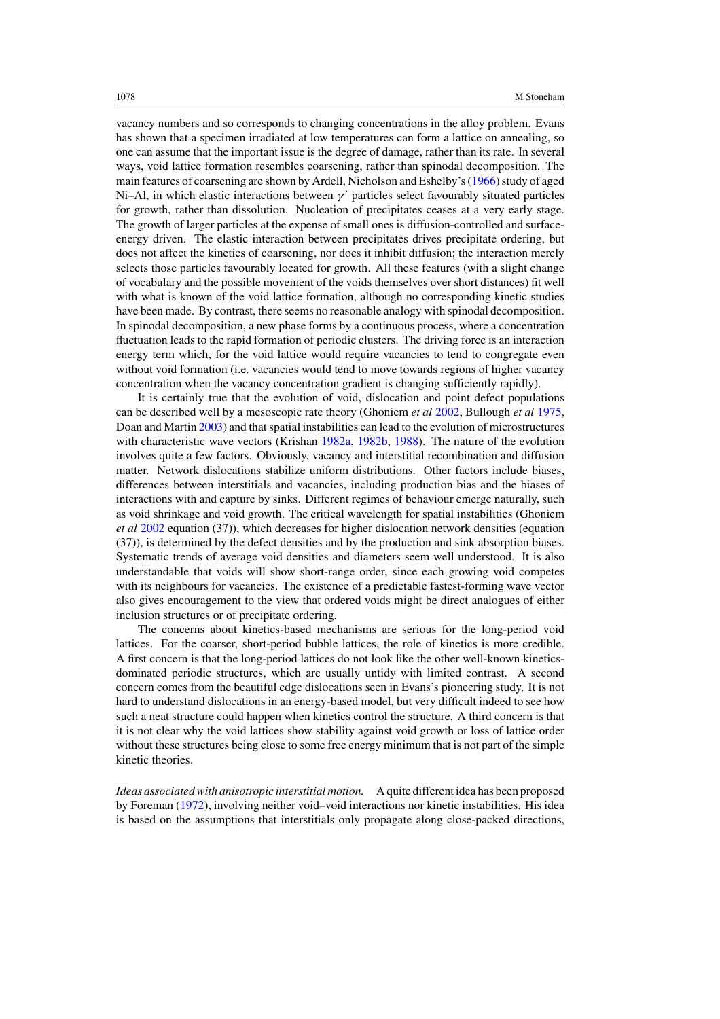vacancy numbers and so corresponds to changing concentrations in the alloy problem. Evans has shown that a specimen irradiated at low temperatures can form a lattice on annealing, so one can assume that the important issue is the degree of damage, rather than its rate. In several ways, void lattice formation resembles coarsening, rather than spinodal decomposition. The main features of coarsening are shown by Ardell, Nicholson and Eshelby's [\(1966\)](#page-36-0) study of aged Ni–Al, in which elastic interactions between *γ particles select favourably situated particles* for growth, rather than dissolution. Nucleation of precipitates ceases at a very early stage. The growth of larger particles at the expense of small ones is diffusion-controlled and surfaceenergy driven. The elastic interaction between precipitates drives precipitate ordering, but does not affect the kinetics of coarsening, nor does it inhibit diffusion; the interaction merely selects those particles favourably located for growth. All these features (with a slight change of vocabulary and the possible movement of the voids themselves over short distances) fit well with what is known of the void lattice formation, although no corresponding kinetic studies have been made. By contrast, there seems no reasonable analogy with spinodal decomposition. In spinodal decomposition, a new phase forms by a continuous process, where a concentration fluctuation leads to the rapid formation of periodic clusters. The driving force is an interaction energy term which, for the void lattice would require vacancies to tend to congregate even without void formation (i.e. vacancies would tend to move towards regions of higher vacancy concentration when the vacancy concentration gradient is changing sufficiently rapidly).

It is certainly true that the evolution of void, dislocation and point defect populations can be described well by a mesoscopic rate theory (Ghoniem *et al* [2002,](#page-38-0) Bullough *et al* [1975](#page-37-0), Doan and Martin [2003](#page-37-0)) and that spatial instabilities can lead to the evolution of microstructures with characteristic wave vectors (Krishan [1982a,](#page-39-0) [1982b](#page-39-0), [1988\)](#page-39-0). The nature of the evolution involves quite a few factors. Obviously, vacancy and interstitial recombination and diffusion matter. Network dislocations stabilize uniform distributions. Other factors include biases, differences between interstitials and vacancies, including production bias and the biases of interactions with and capture by sinks. Different regimes of behaviour emerge naturally, such as void shrinkage and void growth. The critical wavelength for spatial instabilities (Ghoniem *et al* [2002](#page-38-0) equation (37)), which decreases for higher dislocation network densities (equation (37)), is determined by the defect densities and by the production and sink absorption biases. Systematic trends of average void densities and diameters seem well understood. It is also understandable that voids will show short-range order, since each growing void competes with its neighbours for vacancies. The existence of a predictable fastest-forming wave vector also gives encouragement to the view that ordered voids might be direct analogues of either inclusion structures or of precipitate ordering.

The concerns about kinetics-based mechanisms are serious for the long-period void lattices. For the coarser, short-period bubble lattices, the role of kinetics is more credible. A first concern is that the long-period lattices do not look like the other well-known kineticsdominated periodic structures, which are usually untidy with limited contrast. A second concern comes from the beautiful edge dislocations seen in Evans's pioneering study. It is not hard to understand dislocations in an energy-based model, but very difficult indeed to see how such a neat structure could happen when kinetics control the structure. A third concern is that it is not clear why the void lattices show stability against void growth or loss of lattice order without these structures being close to some free energy minimum that is not part of the simple kinetic theories.

*Ideas associated with anisotropic interstitial motion.* A quite different idea has been proposed by Foreman [\(1972\)](#page-38-0), involving neither void–void interactions nor kinetic instabilities. His idea is based on the assumptions that interstitials only propagate along close-packed directions,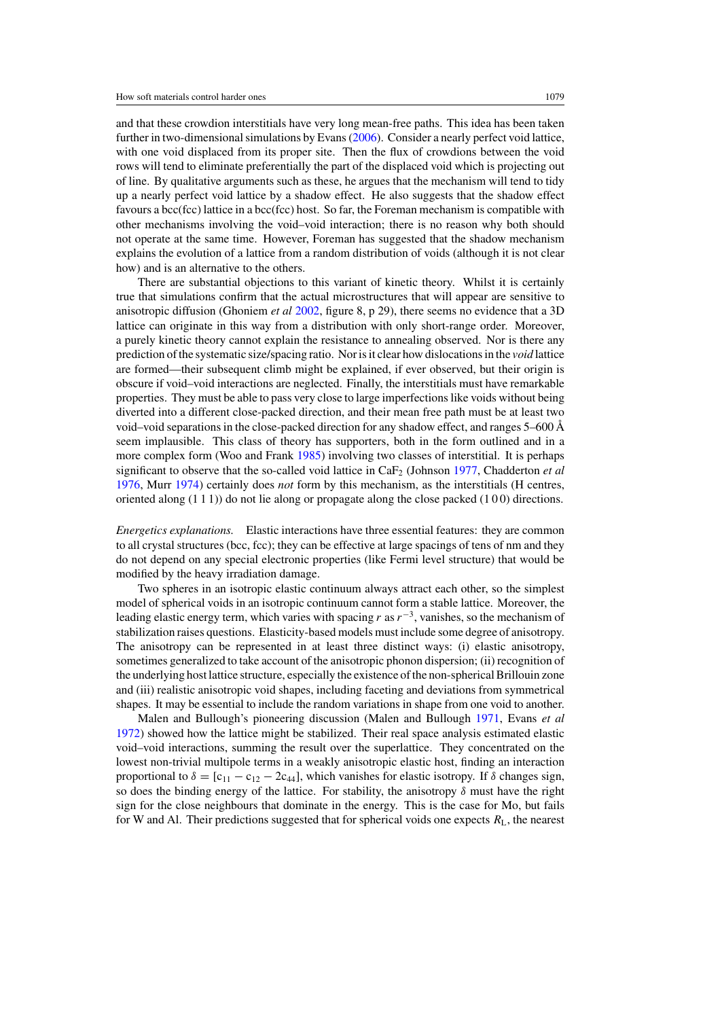and that these crowdion interstitials have very long mean-free paths. This idea has been taken further in two-dimensional simulations by Evans [\(2006](#page-38-0)). Consider a nearly perfect void lattice, with one void displaced from its proper site. Then the flux of crowdions between the void rows will tend to eliminate preferentially the part of the displaced void which is projecting out of line. By qualitative arguments such as these, he argues that the mechanism will tend to tidy up a nearly perfect void lattice by a shadow effect. He also suggests that the shadow effect favours a bcc(fcc) lattice in a bcc(fcc) host. So far, the Foreman mechanism is compatible with other mechanisms involving the void–void interaction; there is no reason why both should not operate at the same time. However, Foreman has suggested that the shadow mechanism explains the evolution of a lattice from a random distribution of voids (although it is not clear how) and is an alternative to the others.

There are substantial objections to this variant of kinetic theory. Whilst it is certainly true that simulations confirm that the actual microstructures that will appear are sensitive to anisotropic diffusion (Ghoniem *et al* [2002](#page-38-0), figure 8, p 29), there seems no evidence that a 3D lattice can originate in this way from a distribution with only short-range order. Moreover, a purely kinetic theory cannot explain the resistance to annealing observed. Nor is there any prediction of the systematic size/spacing ratio. Nor is it clear how dislocations in the *void* lattice are formed—their subsequent climb might be explained, if ever observed, but their origin is obscure if void–void interactions are neglected. Finally, the interstitials must have remarkable properties. They must be able to pass very close to large imperfections like voids without being diverted into a different close-packed direction, and their mean free path must be at least two void–void separations in the close-packed direction for any shadow effect, and ranges 5–600 Å seem implausible. This class of theory has supporters, both in the form outlined and in a more complex form (Woo and Frank [1985](#page-42-0)) involving two classes of interstitial. It is perhaps significant to observe that the so-called void lattice in CaF2 (Johnson [1977,](#page-39-0) Chadderton *et al* [1976,](#page-37-0) Murr [1974\)](#page-40-0) certainly does *not* form by this mechanism, as the interstitials (H centres, oriented along (1 1 1)) do not lie along or propagate along the close packed (1 0 0) directions.

*Energetics explanations.* Elastic interactions have three essential features: they are common to all crystal structures (bcc, fcc); they can be effective at large spacings of tens of nm and they do not depend on any special electronic properties (like Fermi level structure) that would be modified by the heavy irradiation damage.

Two spheres in an isotropic elastic continuum always attract each other, so the simplest model of spherical voids in an isotropic continuum cannot form a stable lattice. Moreover, the leading elastic energy term, which varies with spacing *r* as *r*−3, vanishes, so the mechanism of stabilization raises questions. Elasticity-based models must include some degree of anisotropy. The anisotropy can be represented in at least three distinct ways: (i) elastic anisotropy, sometimes generalized to take account of the anisotropic phonon dispersion; (ii) recognition of the underlying host lattice structure, especially the existence of the non-spherical Brillouin zone and (iii) realistic anisotropic void shapes, including faceting and deviations from symmetrical shapes. It may be essential to include the random variations in shape from one void to another.

Malen and Bullough's pioneering discussion (Malen and Bullough [1971,](#page-39-0) Evans *et al* [1972\)](#page-38-0) showed how the lattice might be stabilized. Their real space analysis estimated elastic void–void interactions, summing the result over the superlattice. They concentrated on the lowest non-trivial multipole terms in a weakly anisotropic elastic host, finding an interaction proportional to  $\delta = [c_{11} - c_{12} - 2c_{44}]$ , which vanishes for elastic isotropy. If  $\delta$  changes sign, so does the binding energy of the lattice. For stability, the anisotropy  $\delta$  must have the right sign for the close neighbours that dominate in the energy. This is the case for Mo, but fails for W and Al. Their predictions suggested that for spherical voids one expects  $R_L$ , the nearest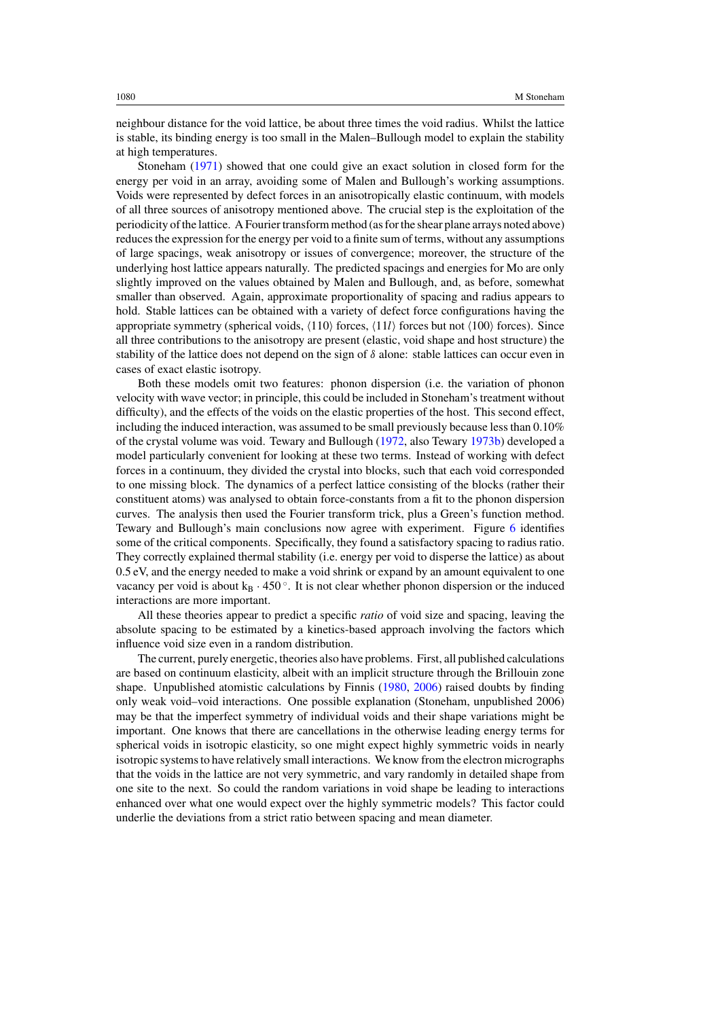neighbour distance for the void lattice, be about three times the void radius. Whilst the lattice is stable, its binding energy is too small in the Malen–Bullough model to explain the stability at high temperatures.

Stoneham [\(1971](#page-41-0)) showed that one could give an exact solution in closed form for the energy per void in an array, avoiding some of Malen and Bullough's working assumptions. Voids were represented by defect forces in an anisotropically elastic continuum, with models of all three sources of anisotropy mentioned above. The crucial step is the exploitation of the periodicity of the lattice. A Fourier transform method (as for the shear plane arrays noted above) reduces the expression for the energy per void to a finite sum of terms, without any assumptions of large spacings, weak anisotropy or issues of convergence; moreover, the structure of the underlying host lattice appears naturally. The predicted spacings and energies for Mo are only slightly improved on the values obtained by Malen and Bullough, and, as before, somewhat smaller than observed. Again, approximate proportionality of spacing and radius appears to hold. Stable lattices can be obtained with a variety of defect force configurations having the appropriate symmetry (spherical voids,  $\langle 110 \rangle$  forces,  $\langle 11l \rangle$  forces but not  $\langle 100 \rangle$  forces). Since all three contributions to the anisotropy are present (elastic, void shape and host structure) the stability of the lattice does not depend on the sign of *δ* alone: stable lattices can occur even in cases of exact elastic isotropy.

Both these models omit two features: phonon dispersion (i.e. the variation of phonon velocity with wave vector; in principle, this could be included in Stoneham's treatment without difficulty), and the effects of the voids on the elastic properties of the host. This second effect, including the induced interaction, was assumed to be small previously because less than 0.10% of the crystal volume was void. Tewary and Bullough [\(1972,](#page-41-0) also Tewary [1973b\)](#page-41-0) developed a model particularly convenient for looking at these two terms. Instead of working with defect forces in a continuum, they divided the crystal into blocks, such that each void corresponded to one missing block. The dynamics of a perfect lattice consisting of the blocks (rather their constituent atoms) was analysed to obtain force-constants from a fit to the phonon dispersion curves. The analysis then used the Fourier transform trick, plus a Green's function method. Tewary and Bullough's main conclusions now agree with experiment. Figure [6](#page-26-0) identifies some of the critical components. Specifically, they found a satisfactory spacing to radius ratio. They correctly explained thermal stability (i.e. energy per void to disperse the lattice) as about 0.5 eV, and the energy needed to make a void shrink or expand by an amount equivalent to one vacancy per void is about  $k_B \cdot 450^\circ$ . It is not clear whether phonon dispersion or the induced interactions are more important.

All these theories appear to predict a specific *ratio* of void size and spacing, leaving the absolute spacing to be estimated by a kinetics-based approach involving the factors which influence void size even in a random distribution.

The current, purely energetic, theories also have problems. First, all published calculations are based on continuum elasticity, albeit with an implicit structure through the Brillouin zone shape. Unpublished atomistic calculations by Finnis [\(1980](#page-38-0), [2006\)](#page-38-0) raised doubts by finding only weak void–void interactions. One possible explanation (Stoneham, unpublished 2006) may be that the imperfect symmetry of individual voids and their shape variations might be important. One knows that there are cancellations in the otherwise leading energy terms for spherical voids in isotropic elasticity, so one might expect highly symmetric voids in nearly isotropic systems to have relatively small interactions. We know from the electron micrographs that the voids in the lattice are not very symmetric, and vary randomly in detailed shape from one site to the next. So could the random variations in void shape be leading to interactions enhanced over what one would expect over the highly symmetric models? This factor could underlie the deviations from a strict ratio between spacing and mean diameter.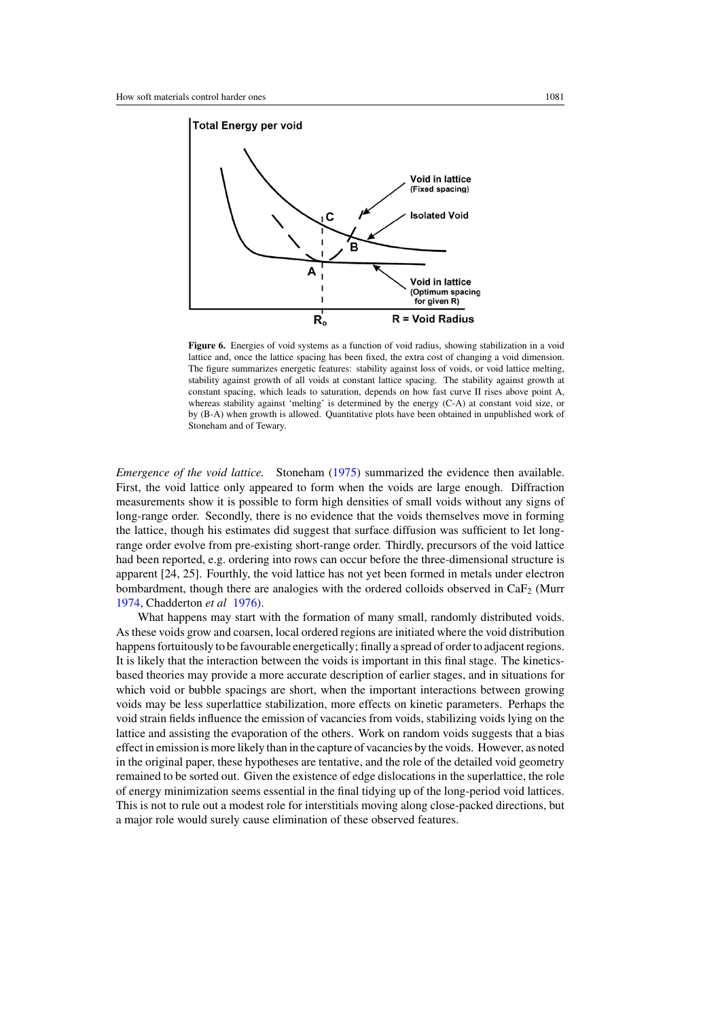<span id="page-26-0"></span>

**Figure 6.** Energies of void systems as a function of void radius, showing stabilization in a void lattice and, once the lattice spacing has been fixed, the extra cost of changing a void dimension. The figure summarizes energetic features: stability against loss of voids, or void lattice melting, stability against growth of all voids at constant lattice spacing. The stability against growth at constant spacing, which leads to saturation, depends on how fast curve II rises above point A, whereas stability against 'melting' is determined by the energy (C-A) at constant void size, or by (B-A) when growth is allowed. Quantitative plots have been obtained in unpublished work of Stoneham and of Tewary.

*Emergence of the void lattice.* Stoneham [\(1975\)](#page-41-0) summarized the evidence then available. First, the void lattice only appeared to form when the voids are large enough. Diffraction measurements show it is possible to form high densities of small voids without any signs of long-range order. Secondly, there is no evidence that the voids themselves move in forming the lattice, though his estimates did suggest that surface diffusion was sufficient to let longrange order evolve from pre-existing short-range order. Thirdly, precursors of the void lattice had been reported, e.g. ordering into rows can occur before the three-dimensional structure is apparent [24, 25]. Fourthly, the void lattice has not yet been formed in metals under electron bombardment, though there are analogies with the ordered colloids observed in  $CaF<sub>2</sub>$  (Murr [1974,](#page-40-0) Chadderton *et al* [1976](#page-37-0)).

What happens may start with the formation of many small, randomly distributed voids. As these voids grow and coarsen, local ordered regions are initiated where the void distribution happens fortuitously to be favourable energetically; finally a spread of order to adjacent regions. It is likely that the interaction between the voids is important in this final stage. The kineticsbased theories may provide a more accurate description of earlier stages, and in situations for which void or bubble spacings are short, when the important interactions between growing voids may be less superlattice stabilization, more effects on kinetic parameters. Perhaps the void strain fields influence the emission of vacancies from voids, stabilizing voids lying on the lattice and assisting the evaporation of the others. Work on random voids suggests that a bias effect in emission is more likely than in the capture of vacancies by the voids. However, as noted in the original paper, these hypotheses are tentative, and the role of the detailed void geometry remained to be sorted out. Given the existence of edge dislocations in the superlattice, the role of energy minimization seems essential in the final tidying up of the long-period void lattices. This is not to rule out a modest role for interstitials moving along close-packed directions, but a major role would surely cause elimination of these observed features.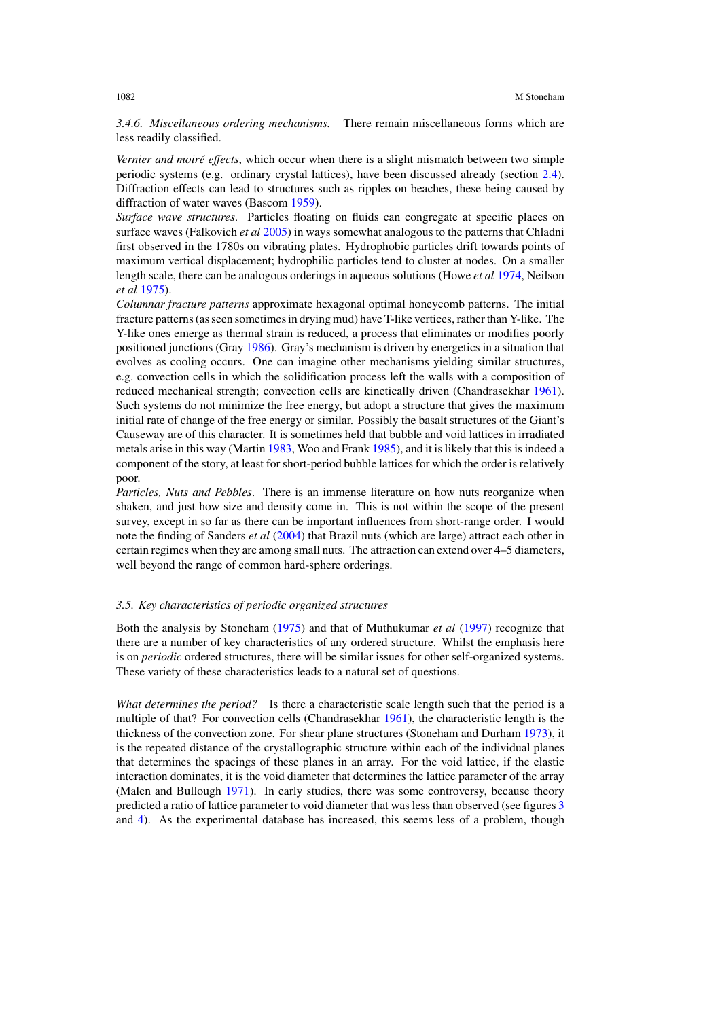<span id="page-27-0"></span>*3.4.6. Miscellaneous ordering mechanisms.* There remain miscellaneous forms which are less readily classified.

*Vernier and moiré effects*, which occur when there is a slight mismatch between two simple periodic systems (e.g. ordinary crystal lattices), have been discussed already (section [2.4\)](#page-8-0). Diffraction effects can lead to structures such as ripples on beaches, these being caused by diffraction of water waves (Bascom [1959](#page-36-0)).

*Surface wave structures*. Particles floating on fluids can congregate at specific places on surface waves (Falkovich *et al* [2005\)](#page-38-0) in ways somewhat analogous to the patterns that Chladni first observed in the 1780s on vibrating plates. Hydrophobic particles drift towards points of maximum vertical displacement; hydrophilic particles tend to cluster at nodes. On a smaller length scale, there can be analogous orderings in aqueous solutions (Howe *et al* [1974,](#page-38-0) Neilson *et al* [1975](#page-40-0)).

*Columnar fracture patterns* approximate hexagonal optimal honeycomb patterns. The initial fracture patterns (as seen sometimes in drying mud) have T-like vertices, rather than Y-like. The Y-like ones emerge as thermal strain is reduced, a process that eliminates or modifies poorly positioned junctions (Gray [1986](#page-38-0)). Gray's mechanism is driven by energetics in a situation that evolves as cooling occurs. One can imagine other mechanisms yielding similar structures, e.g. convection cells in which the solidification process left the walls with a composition of reduced mechanical strength; convection cells are kinetically driven (Chandrasekhar [1961\)](#page-37-0). Such systems do not minimize the free energy, but adopt a structure that gives the maximum initial rate of change of the free energy or similar. Possibly the basalt structures of the Giant's Causeway are of this character. It is sometimes held that bubble and void lattices in irradiated metals arise in this way (Martin [1983](#page-39-0), Woo and Frank [1985](#page-42-0)), and it is likely that this is indeed a component of the story, at least for short-period bubble lattices for which the order is relatively poor.

*Particles, Nuts and Pebbles*. There is an immense literature on how nuts reorganize when shaken, and just how size and density come in. This is not within the scope of the present survey, except in so far as there can be important influences from short-range order. I would note the finding of Sanders *et al* [\(2004\)](#page-40-0) that Brazil nuts (which are large) attract each other in certain regimes when they are among small nuts. The attraction can extend over 4–5 diameters, well beyond the range of common hard-sphere orderings.

#### *3.5. Key characteristics of periodic organized structures*

Both the analysis by Stoneham [\(1975\)](#page-41-0) and that of Muthukumar *et al* [\(1997](#page-40-0)) recognize that there are a number of key characteristics of any ordered structure. Whilst the emphasis here is on *periodic* ordered structures, there will be similar issues for other self-organized systems. These variety of these characteristics leads to a natural set of questions.

*What determines the period?* Is there a characteristic scale length such that the period is a multiple of that? For convection cells (Chandrasekhar [1961](#page-37-0)), the characteristic length is the thickness of the convection zone. For shear plane structures (Stoneham and Durham [1973\)](#page-41-0), it is the repeated distance of the crystallographic structure within each of the individual planes that determines the spacings of these planes in an array. For the void lattice, if the elastic interaction dominates, it is the void diameter that determines the lattice parameter of the array (Malen and Bullough [1971](#page-39-0)). In early studies, there was some controversy, because theory predicted a ratio of lattice parameter to void diameter that was less than observed (see figures [3](#page-21-0) and [4\)](#page-21-0). As the experimental database has increased, this seems less of a problem, though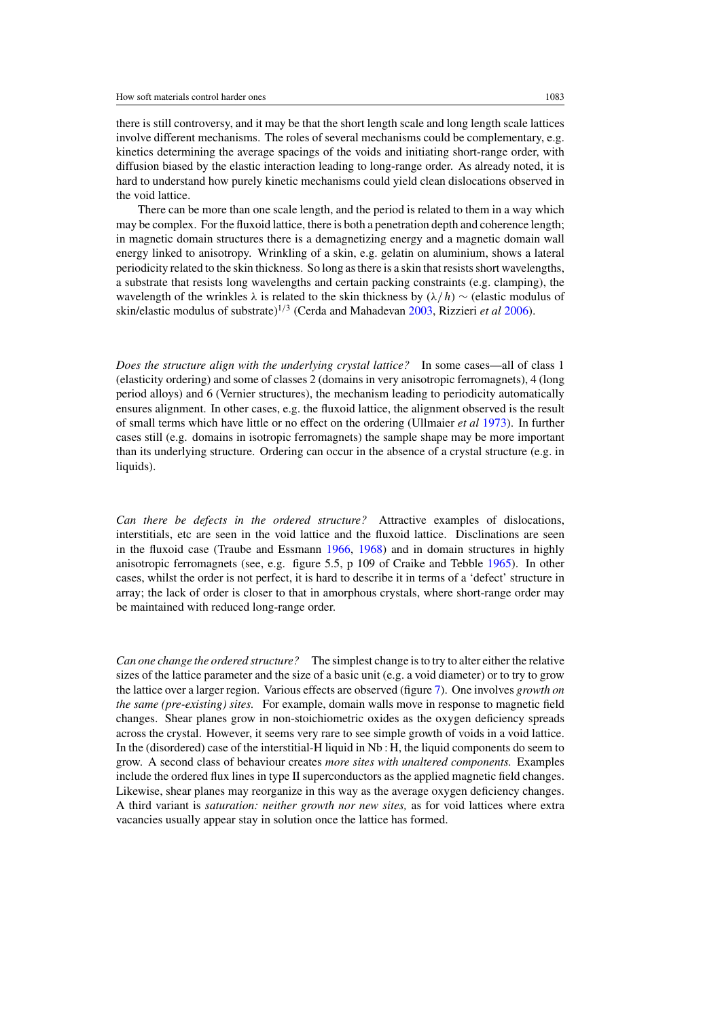there is still controversy, and it may be that the short length scale and long length scale lattices involve different mechanisms. The roles of several mechanisms could be complementary, e.g. kinetics determining the average spacings of the voids and initiating short-range order, with diffusion biased by the elastic interaction leading to long-range order. As already noted, it is hard to understand how purely kinetic mechanisms could yield clean dislocations observed in the void lattice.

There can be more than one scale length, and the period is related to them in a way which may be complex. For the fluxoid lattice, there is both a penetration depth and coherence length; in magnetic domain structures there is a demagnetizing energy and a magnetic domain wall energy linked to anisotropy. Wrinkling of a skin, e.g. gelatin on aluminium, shows a lateral periodicity related to the skin thickness. So long as there is a skin that resists short wavelengths, a substrate that resists long wavelengths and certain packing constraints (e.g. clamping), the wavelength of the wrinkles *λ* is related to the skin thickness by (*λ/h*) ∼ (elastic modulus of skin/elastic modulus of substrate)<sup>1/3</sup> (Cerda and Mahadevan [2003,](#page-37-0) Rizzieri *et al* [2006\)](#page-40-0).

*Does the structure align with the underlying crystal lattice?* In some cases—all of class 1 (elasticity ordering) and some of classes 2 (domains in very anisotropic ferromagnets), 4 (long period alloys) and 6 (Vernier structures), the mechanism leading to periodicity automatically ensures alignment. In other cases, e.g. the fluxoid lattice, the alignment observed is the result of small terms which have little or no effect on the ordering (Ullmaier *et al* [1973\)](#page-41-0). In further cases still (e.g. domains in isotropic ferromagnets) the sample shape may be more important than its underlying structure. Ordering can occur in the absence of a crystal structure (e.g. in liquids).

*Can there be defects in the ordered structure?* Attractive examples of dislocations, interstitials, etc are seen in the void lattice and the fluxoid lattice. Disclinations are seen in the fluxoid case (Traube and Essmann [1966,](#page-41-0) [1968](#page-41-0)) and in domain structures in highly anisotropic ferromagnets (see, e.g. figure 5.5, p 109 of Craike and Tebble [1965\)](#page-37-0). In other cases, whilst the order is not perfect, it is hard to describe it in terms of a 'defect' structure in array; the lack of order is closer to that in amorphous crystals, where short-range order may be maintained with reduced long-range order.

*Can one change the ordered structure?* The simplest change is to try to alter either the relative sizes of the lattice parameter and the size of a basic unit (e.g. a void diameter) or to try to grow the lattice over a larger region. Various effects are observed (figure [7\)](#page-29-0). One involves *growth on the same (pre-existing) sites.* For example, domain walls move in response to magnetic field changes. Shear planes grow in non-stoichiometric oxides as the oxygen deficiency spreads across the crystal. However, it seems very rare to see simple growth of voids in a void lattice. In the (disordered) case of the interstitial-H liquid in Nb : H, the liquid components do seem to grow. A second class of behaviour creates *more sites with unaltered components.* Examples include the ordered flux lines in type II superconductors as the applied magnetic field changes. Likewise, shear planes may reorganize in this way as the average oxygen deficiency changes. A third variant is *saturation: neither growth nor new sites,* as for void lattices where extra vacancies usually appear stay in solution once the lattice has formed.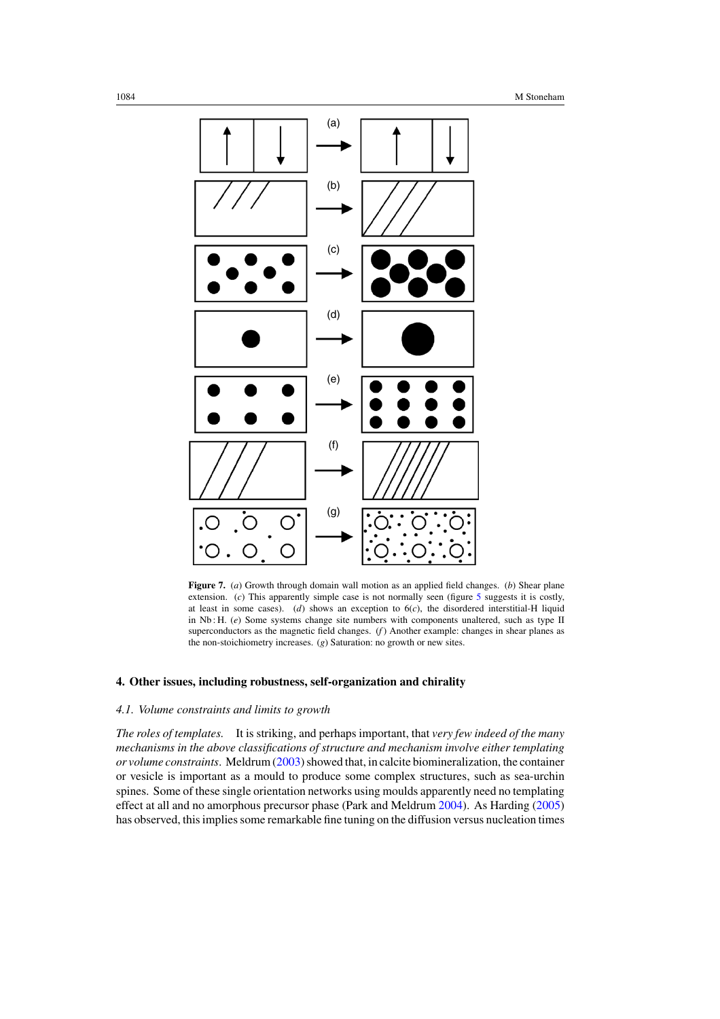<span id="page-29-0"></span>

**Figure 7.** (*a*) Growth through domain wall motion as an applied field changes. (*b*) Shear plane extension. (*c*) This apparently simple case is not normally seen (figure [5](#page-22-0) suggests it is costly, at least in some cases). (*d*) shows an exception to 6(*c*), the disordered interstitial-H liquid in Nb : H. (*e*) Some systems change site numbers with components unaltered, such as type II superconductors as the magnetic field changes. (*f*) Another example: changes in shear planes as the non-stoichiometry increases. (*g*) Saturation: no growth or new sites.

## **4. Other issues, including robustness, self-organization and chirality**

## *4.1. Volume constraints and limits to growth*

*The roles of templates.* It is striking, and perhaps important, that *very few indeed of the many mechanisms in the above classifications of structure and mechanism involve either templating or volume constraints*. Meldrum [\(2003](#page-39-0)) showed that, in calcite biomineralization, the container or vesicle is important as a mould to produce some complex structures, such as sea-urchin spines. Some of these single orientation networks using moulds apparently need no templating effect at all and no amorphous precursor phase (Park and Meldrum [2004](#page-40-0)). As Harding [\(2005](#page-38-0)) has observed, this implies some remarkable fine tuning on the diffusion versus nucleation times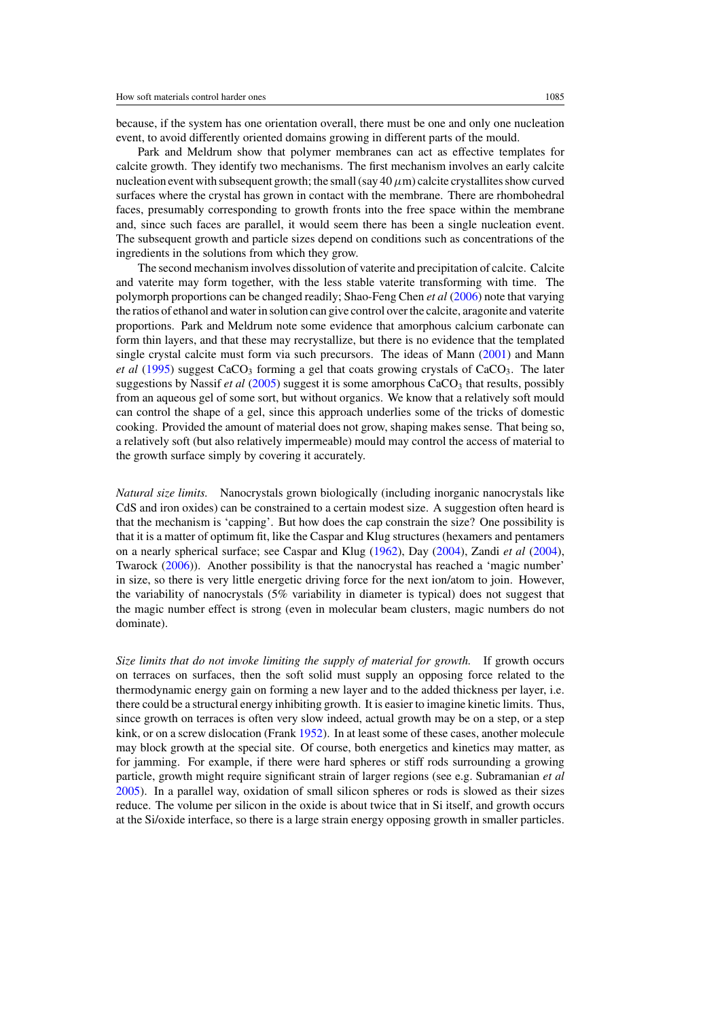because, if the system has one orientation overall, there must be one and only one nucleation event, to avoid differently oriented domains growing in different parts of the mould.

Park and Meldrum show that polymer membranes can act as effective templates for calcite growth. They identify two mechanisms. The first mechanism involves an early calcite nucleation event with subsequent growth; the small (say  $40 \mu m$ ) calcite crystallites show curved surfaces where the crystal has grown in contact with the membrane. There are rhombohedral faces, presumably corresponding to growth fronts into the free space within the membrane and, since such faces are parallel, it would seem there has been a single nucleation event. The subsequent growth and particle sizes depend on conditions such as concentrations of the ingredients in the solutions from which they grow.

The second mechanism involves dissolution of vaterite and precipitation of calcite. Calcite and vaterite may form together, with the less stable vaterite transforming with time. The polymorph proportions can be changed readily; Shao-Feng Chen *et al* [\(2006](#page-37-0)) note that varying the ratios of ethanol and water in solution can give control over the calcite, aragonite and vaterite proportions. Park and Meldrum note some evidence that amorphous calcium carbonate can form thin layers, and that these may recrystallize, but there is no evidence that the templated single crystal calcite must form via such precursors. The ideas of Mann [\(2001\)](#page-39-0) and Mann *et al* [\(1995\)](#page-39-0) suggest CaCO<sub>3</sub> forming a gel that coats growing crystals of CaCO<sub>3</sub>. The later suggestions by Nassif *et al* [\(2005](#page-40-0)) suggest it is some amorphous CaCO<sub>3</sub> that results, possibly from an aqueous gel of some sort, but without organics. We know that a relatively soft mould can control the shape of a gel, since this approach underlies some of the tricks of domestic cooking. Provided the amount of material does not grow, shaping makes sense. That being so, a relatively soft (but also relatively impermeable) mould may control the access of material to the growth surface simply by covering it accurately.

*Natural size limits.* Nanocrystals grown biologically (including inorganic nanocrystals like CdS and iron oxides) can be constrained to a certain modest size. A suggestion often heard is that the mechanism is 'capping'. But how does the cap constrain the size? One possibility is that it is a matter of optimum fit, like the Caspar and Klug structures (hexamers and pentamers on a nearly spherical surface; see Caspar and Klug [\(1962\)](#page-37-0), Day [\(2004\)](#page-37-0), Zandi *et al* [\(2004\)](#page-42-0), Twarock [\(2006\)](#page-41-0)). Another possibility is that the nanocrystal has reached a 'magic number' in size, so there is very little energetic driving force for the next ion/atom to join. However, the variability of nanocrystals (5% variability in diameter is typical) does not suggest that the magic number effect is strong (even in molecular beam clusters, magic numbers do not dominate).

*Size limits that do not invoke limiting the supply of material for growth.* If growth occurs on terraces on surfaces, then the soft solid must supply an opposing force related to the thermodynamic energy gain on forming a new layer and to the added thickness per layer, i.e. there could be a structural energy inhibiting growth. It is easier to imagine kinetic limits. Thus, since growth on terraces is often very slow indeed, actual growth may be on a step, or a step kink, or on a screw dislocation (Frank [1952\)](#page-38-0). In at least some of these cases, another molecule may block growth at the special site. Of course, both energetics and kinetics may matter, as for jamming. For example, if there were hard spheres or stiff rods surrounding a growing particle, growth might require significant strain of larger regions (see e.g. Subramanian *et al* [2005\)](#page-41-0). In a parallel way, oxidation of small silicon spheres or rods is slowed as their sizes reduce. The volume per silicon in the oxide is about twice that in Si itself, and growth occurs at the Si/oxide interface, so there is a large strain energy opposing growth in smaller particles.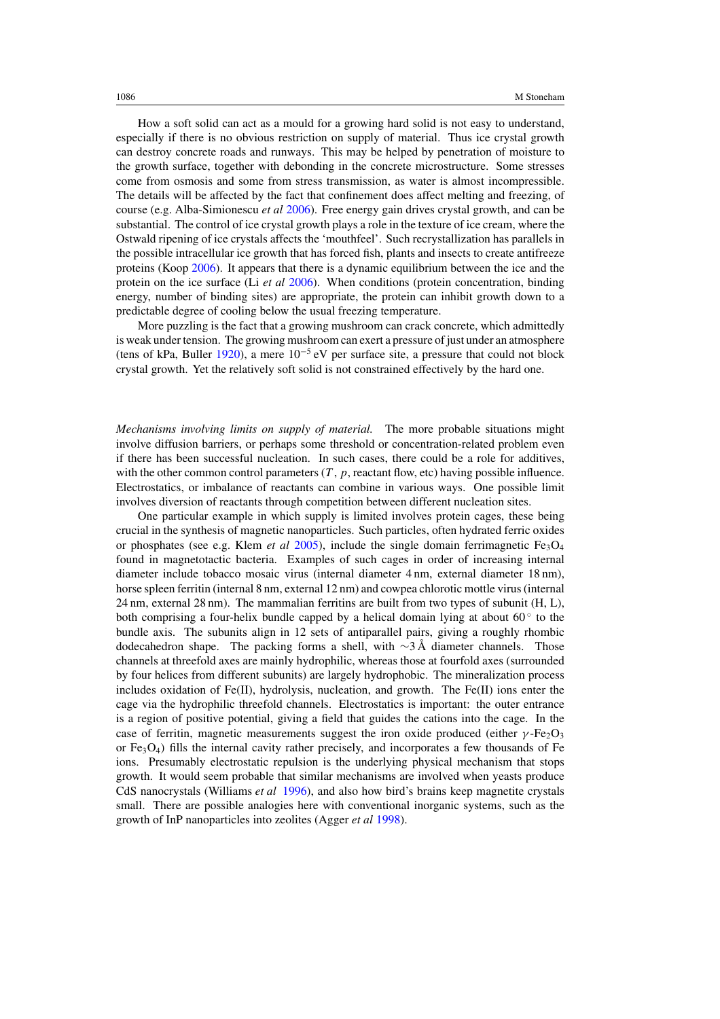How a soft solid can act as a mould for a growing hard solid is not easy to understand, especially if there is no obvious restriction on supply of material. Thus ice crystal growth can destroy concrete roads and runways. This may be helped by penetration of moisture to the growth surface, together with debonding in the concrete microstructure. Some stresses come from osmosis and some from stress transmission, as water is almost incompressible. The details will be affected by the fact that confinement does affect melting and freezing, of course (e.g. Alba-Simionescu *et al* [2006\)](#page-36-0). Free energy gain drives crystal growth, and can be substantial. The control of ice crystal growth plays a role in the texture of ice cream, where the Ostwald ripening of ice crystals affects the 'mouthfeel'. Such recrystallization has parallels in the possible intracellular ice growth that has forced fish, plants and insects to create antifreeze proteins (Koop [2006](#page-39-0)). It appears that there is a dynamic equilibrium between the ice and the protein on the ice surface (Li *et al* [2006\)](#page-39-0). When conditions (protein concentration, binding energy, number of binding sites) are appropriate, the protein can inhibit growth down to a predictable degree of cooling below the usual freezing temperature.

More puzzling is the fact that a growing mushroom can crack concrete, which admittedly is weak under tension. The growing mushroom can exert a pressure of just under an atmosphere (tens of kPa, Buller [1920](#page-37-0)), a mere 10−<sup>5</sup> eV per surface site, a pressure that could not block crystal growth. Yet the relatively soft solid is not constrained effectively by the hard one.

*Mechanisms involving limits on supply of material.* The more probable situations might involve diffusion barriers, or perhaps some threshold or concentration-related problem even if there has been successful nucleation. In such cases, there could be a role for additives, with the other common control parameters  $(T, p)$ , reactant flow, etc) having possible influence. Electrostatics, or imbalance of reactants can combine in various ways. One possible limit involves diversion of reactants through competition between different nucleation sites.

One particular example in which supply is limited involves protein cages, these being crucial in the synthesis of magnetic nanoparticles. Such particles, often hydrated ferric oxides or phosphates (see e.g. Klem *et al* [2005](#page-39-0)), include the single domain ferrimagnetic Fe3O4 found in magnetotactic bacteria. Examples of such cages in order of increasing internal diameter include tobacco mosaic virus (internal diameter 4 nm, external diameter 18 nm), horse spleen ferritin (internal 8 nm, external 12 nm) and cowpea chlorotic mottle virus (internal 24 nm, external 28 nm). The mammalian ferritins are built from two types of subunit (H, L), both comprising a four-helix bundle capped by a helical domain lying at about  $60^\circ$  to the bundle axis. The subunits align in 12 sets of antiparallel pairs, giving a roughly rhombic dodecahedron shape. The packing forms a shell, with ∼3 Å diameter channels. Those channels at threefold axes are mainly hydrophilic, whereas those at fourfold axes (surrounded by four helices from different subunits) are largely hydrophobic. The mineralization process includes oxidation of Fe(II), hydrolysis, nucleation, and growth. The Fe(II) ions enter the cage via the hydrophilic threefold channels. Electrostatics is important: the outer entrance is a region of positive potential, giving a field that guides the cations into the cage. In the case of ferritin, magnetic measurements suggest the iron oxide produced (either  $\gamma$ -Fe<sub>2</sub>O<sub>3</sub> or  $Fe<sub>3</sub>O<sub>4</sub>$ *)* fills the internal cavity rather precisely, and incorporates a few thousands of Fe ions. Presumably electrostatic repulsion is the underlying physical mechanism that stops growth. It would seem probable that similar mechanisms are involved when yeasts produce CdS nanocrystals (Williams *et al* [1996\)](#page-42-0), and also how bird's brains keep magnetite crystals small. There are possible analogies here with conventional inorganic systems, such as the growth of InP nanoparticles into zeolites (Agger *et al* [1998\)](#page-36-0).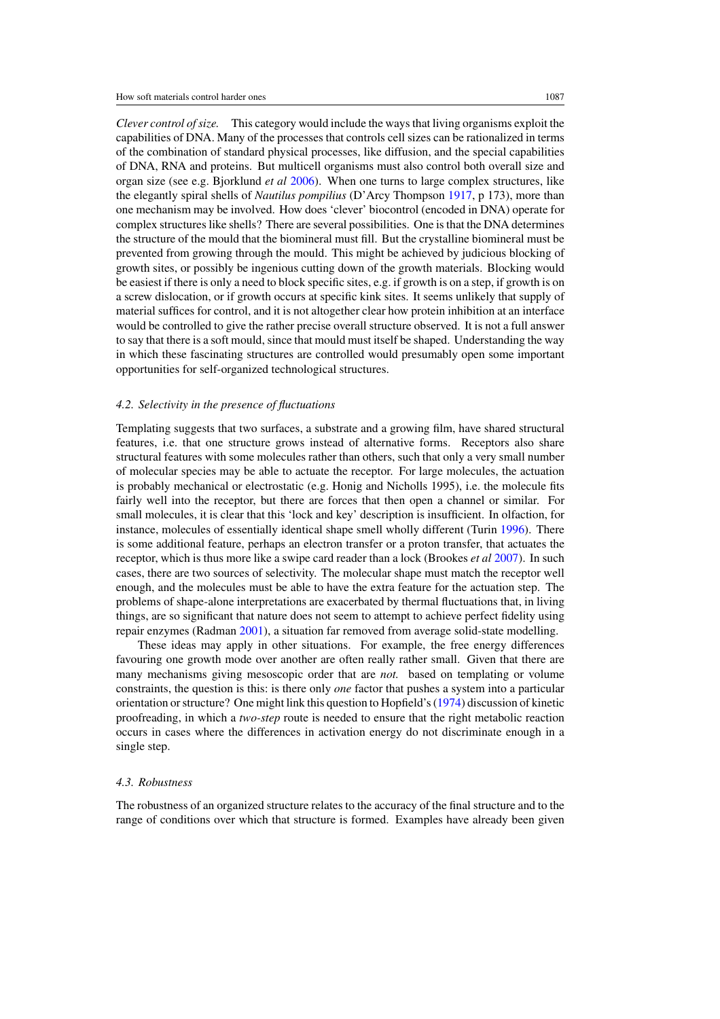<span id="page-32-0"></span>*Clever control of size.* This category would include the ways that living organisms exploit the capabilities of DNA. Many of the processes that controls cell sizes can be rationalized in terms of the combination of standard physical processes, like diffusion, and the special capabilities of DNA, RNA and proteins. But multicell organisms must also control both overall size and organ size (see e.g. Bjorklund *et al* [2006\)](#page-36-0). When one turns to large complex structures, like the elegantly spiral shells of *Nautilus pompilius* (D'Arcy Thompson [1917](#page-41-0), p 173), more than one mechanism may be involved. How does 'clever' biocontrol (encoded in DNA) operate for complex structures like shells? There are several possibilities. One is that the DNA determines the structure of the mould that the biomineral must fill. But the crystalline biomineral must be prevented from growing through the mould. This might be achieved by judicious blocking of growth sites, or possibly be ingenious cutting down of the growth materials. Blocking would be easiest if there is only a need to block specific sites, e.g. if growth is on a step, if growth is on a screw dislocation, or if growth occurs at specific kink sites. It seems unlikely that supply of material suffices for control, and it is not altogether clear how protein inhibition at an interface would be controlled to give the rather precise overall structure observed. It is not a full answer to say that there is a soft mould, since that mould must itself be shaped. Understanding the way in which these fascinating structures are controlled would presumably open some important opportunities for self-organized technological structures.

#### *4.2. Selectivity in the presence of fluctuations*

Templating suggests that two surfaces, a substrate and a growing film, have shared structural features, i.e. that one structure grows instead of alternative forms. Receptors also share structural features with some molecules rather than others, such that only a very small number of molecular species may be able to actuate the receptor. For large molecules, the actuation is probably mechanical or electrostatic (e.g. Honig and Nicholls 1995), i.e. the molecule fits fairly well into the receptor, but there are forces that then open a channel or similar. For small molecules, it is clear that this 'lock and key' description is insufficient. In olfaction, for instance, molecules of essentially identical shape smell wholly different (Turin [1996](#page-41-0)). There is some additional feature, perhaps an electron transfer or a proton transfer, that actuates the receptor, which is thus more like a swipe card reader than a lock (Brookes *et al* [2007](#page-36-0)). In such cases, there are two sources of selectivity. The molecular shape must match the receptor well enough, and the molecules must be able to have the extra feature for the actuation step. The problems of shape-alone interpretations are exacerbated by thermal fluctuations that, in living things, are so significant that nature does not seem to attempt to achieve perfect fidelity using repair enzymes (Radman [2001\)](#page-40-0), a situation far removed from average solid-state modelling.

These ideas may apply in other situations. For example, the free energy differences favouring one growth mode over another are often really rather small. Given that there are many mechanisms giving mesoscopic order that are *not.* based on templating or volume constraints, the question is this: is there only *one* factor that pushes a system into a particular orientation or structure? One might link this question to Hopfield's [\(1974](#page-38-0)) discussion of kinetic proofreading, in which a *two-step* route is needed to ensure that the right metabolic reaction occurs in cases where the differences in activation energy do not discriminate enough in a single step.

#### *4.3. Robustness*

The robustness of an organized structure relates to the accuracy of the final structure and to the range of conditions over which that structure is formed. Examples have already been given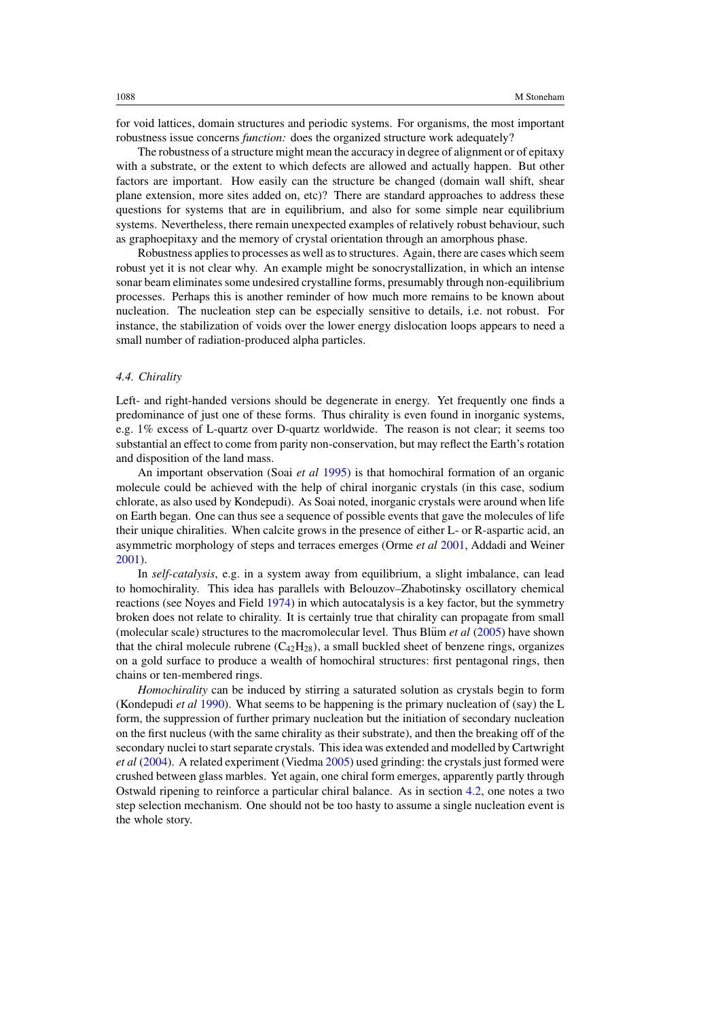<span id="page-33-0"></span>for void lattices, domain structures and periodic systems. For organisms, the most important robustness issue concerns *function:* does the organized structure work adequately?

The robustness of a structure might mean the accuracy in degree of alignment or of epitaxy with a substrate, or the extent to which defects are allowed and actually happen. But other factors are important. How easily can the structure be changed (domain wall shift, shear plane extension, more sites added on, etc)? There are standard approaches to address these questions for systems that are in equilibrium, and also for some simple near equilibrium systems. Nevertheless, there remain unexpected examples of relatively robust behaviour, such as graphoepitaxy and the memory of crystal orientation through an amorphous phase.

Robustness applies to processes as well as to structures. Again, there are cases which seem robust yet it is not clear why. An example might be sonocrystallization, in which an intense sonar beam eliminates some undesired crystalline forms, presumably through non-equilibrium processes. Perhaps this is another reminder of how much more remains to be known about nucleation. The nucleation step can be especially sensitive to details, i.e. not robust. For instance, the stabilization of voids over the lower energy dislocation loops appears to need a small number of radiation-produced alpha particles.

#### *4.4. Chirality*

Left- and right-handed versions should be degenerate in energy. Yet frequently one finds a predominance of just one of these forms. Thus chirality is even found in inorganic systems, e.g. 1% excess of L-quartz over D-quartz worldwide. The reason is not clear; it seems too substantial an effect to come from parity non-conservation, but may reflect the Earth's rotation and disposition of the land mass.

An important observation (Soai *et al* [1995\)](#page-40-0) is that homochiral formation of an organic molecule could be achieved with the help of chiral inorganic crystals (in this case, sodium chlorate, as also used by Kondepudi). As Soai noted, inorganic crystals were around when life on Earth began. One can thus see a sequence of possible events that gave the molecules of life their unique chiralities. When calcite grows in the presence of either L- or R-aspartic acid, an asymmetric morphology of steps and terraces emerges (Orme *et al* [2001](#page-40-0), Addadi and Weiner [2001\)](#page-36-0).

In *self-catalysis*, e.g. in a system away from equilibrium, a slight imbalance, can lead to homochirality. This idea has parallels with Belouzov–Zhabotinsky oscillatory chemical reactions (see Noyes and Field [1974](#page-40-0)) in which autocatalysis is a key factor, but the symmetry broken does not relate to chirality. It is certainly true that chirality can propagate from small (molecular scale) structures to the macromolecular level. Thus Blum *et al* [\(2005](#page-36-0)) have shown that the chiral molecule rubrene (C42H28*)*, a small buckled sheet of benzene rings, organizes on a gold surface to produce a wealth of homochiral structures: first pentagonal rings, then chains or ten-membered rings.

*Homochirality* can be induced by stirring a saturated solution as crystals begin to form (Kondepudi *et al* [1990\)](#page-39-0). What seems to be happening is the primary nucleation of (say) the L form, the suppression of further primary nucleation but the initiation of secondary nucleation on the first nucleus (with the same chirality as their substrate), and then the breaking off of the secondary nuclei to start separate crystals. This idea was extended and modelled by Cartwright *et al* [\(2004](#page-37-0)). A related experiment (Viedma [2005](#page-41-0)) used grinding: the crystals just formed were crushed between glass marbles. Yet again, one chiral form emerges, apparently partly through Ostwald ripening to reinforce a particular chiral balance. As in section [4.2,](#page-32-0) one notes a two step selection mechanism. One should not be too hasty to assume a single nucleation event is the whole story.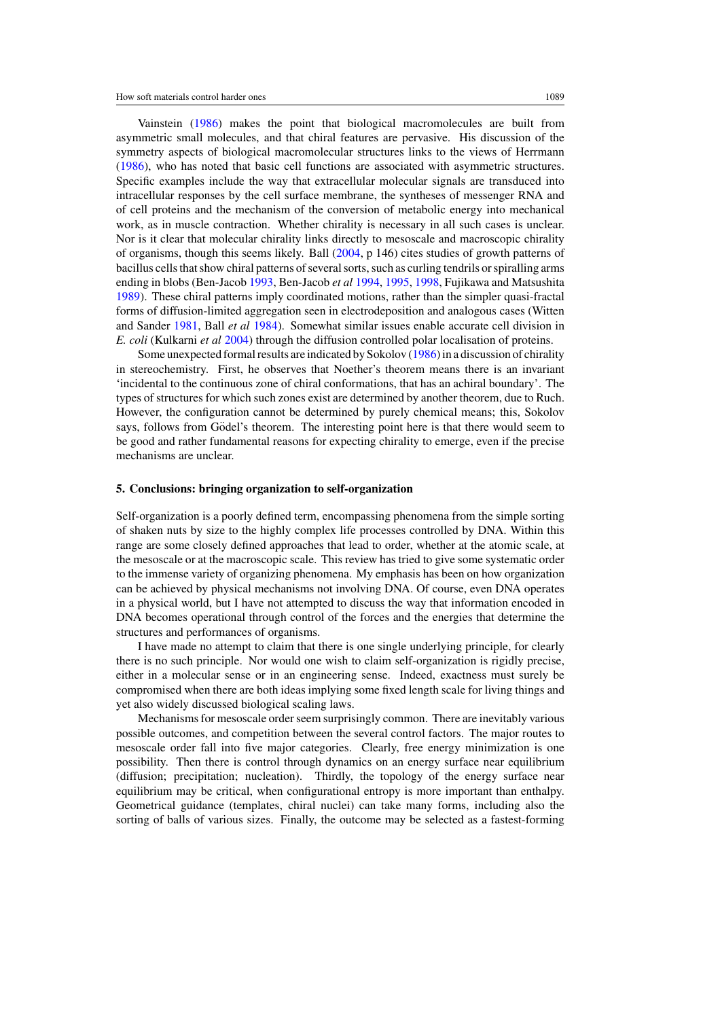<span id="page-34-0"></span>Vainstein [\(1986](#page-41-0)) makes the point that biological macromolecules are built from asymmetric small molecules, and that chiral features are pervasive. His discussion of the symmetry aspects of biological macromolecular structures links to the views of Herrmann [\(1986](#page-38-0)), who has noted that basic cell functions are associated with asymmetric structures. Specific examples include the way that extracellular molecular signals are transduced into intracellular responses by the cell surface membrane, the syntheses of messenger RNA and of cell proteins and the mechanism of the conversion of metabolic energy into mechanical work, as in muscle contraction. Whether chirality is necessary in all such cases is unclear. Nor is it clear that molecular chirality links directly to mesoscale and macroscopic chirality of organisms, though this seems likely. Ball [\(2004,](#page-36-0) p 146) cites studies of growth patterns of bacillus cells that show chiral patterns of several sorts, such as curling tendrils or spiralling arms ending in blobs (Ben-Jacob [1993,](#page-36-0) Ben-Jacob *et al* [1994,](#page-36-0) [1995](#page-36-0), [1998,](#page-36-0) Fujikawa and Matsushita [1989\)](#page-38-0). These chiral patterns imply coordinated motions, rather than the simpler quasi-fractal forms of diffusion-limited aggregation seen in electrodeposition and analogous cases (Witten and Sander [1981,](#page-42-0) Ball *et al* [1984](#page-36-0)). Somewhat similar issues enable accurate cell division in *E. coli* (Kulkarni *et al* [2004\)](#page-39-0) through the diffusion controlled polar localisation of proteins.

Some unexpected formal results are indicated by Sokolov [\(1986\)](#page-40-0) in a discussion of chirality in stereochemistry. First, he observes that Noether's theorem means there is an invariant 'incidental to the continuous zone of chiral conformations, that has an achiral boundary'. The types of structures for which such zones exist are determined by another theorem, due to Ruch. However, the configuration cannot be determined by purely chemical means; this, Sokolov says, follows from Gödel's theorem. The interesting point here is that there would seem to be good and rather fundamental reasons for expecting chirality to emerge, even if the precise mechanisms are unclear.

#### **5. Conclusions: bringing organization to self-organization**

Self-organization is a poorly defined term, encompassing phenomena from the simple sorting of shaken nuts by size to the highly complex life processes controlled by DNA. Within this range are some closely defined approaches that lead to order, whether at the atomic scale, at the mesoscale or at the macroscopic scale. This review has tried to give some systematic order to the immense variety of organizing phenomena. My emphasis has been on how organization can be achieved by physical mechanisms not involving DNA. Of course, even DNA operates in a physical world, but I have not attempted to discuss the way that information encoded in DNA becomes operational through control of the forces and the energies that determine the structures and performances of organisms.

I have made no attempt to claim that there is one single underlying principle, for clearly there is no such principle. Nor would one wish to claim self-organization is rigidly precise, either in a molecular sense or in an engineering sense. Indeed, exactness must surely be compromised when there are both ideas implying some fixed length scale for living things and yet also widely discussed biological scaling laws.

Mechanisms for mesoscale order seem surprisingly common. There are inevitably various possible outcomes, and competition between the several control factors. The major routes to mesoscale order fall into five major categories. Clearly, free energy minimization is one possibility. Then there is control through dynamics on an energy surface near equilibrium (diffusion; precipitation; nucleation). Thirdly, the topology of the energy surface near equilibrium may be critical, when configurational entropy is more important than enthalpy. Geometrical guidance (templates, chiral nuclei) can take many forms, including also the sorting of balls of various sizes. Finally, the outcome may be selected as a fastest-forming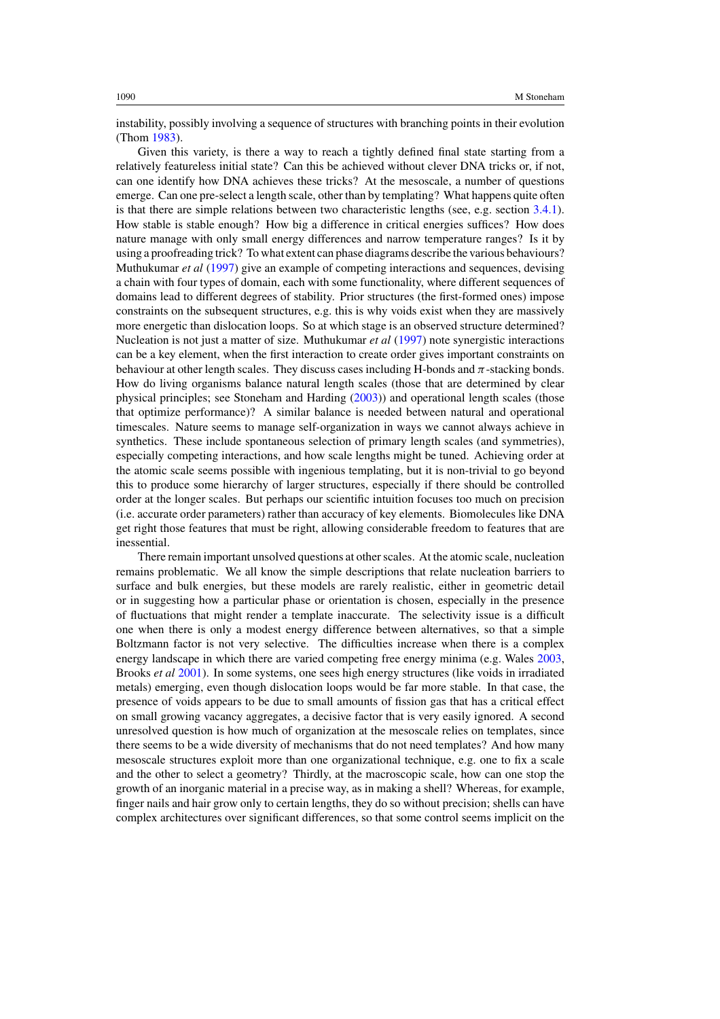instability, possibly involving a sequence of structures with branching points in their evolution (Thom [1983](#page-41-0)).

Given this variety, is there a way to reach a tightly defined final state starting from a relatively featureless initial state? Can this be achieved without clever DNA tricks or, if not, can one identify how DNA achieves these tricks? At the mesoscale, a number of questions emerge. Can one pre-select a length scale, other than by templating? What happens quite often is that there are simple relations between two characteristic lengths (see, e.g. section [3.4.1\)](#page-16-0). How stable is stable enough? How big a difference in critical energies suffices? How does nature manage with only small energy differences and narrow temperature ranges? Is it by using a proofreading trick? To what extent can phase diagrams describe the various behaviours? Muthukumar *et al* [\(1997\)](#page-40-0) give an example of competing interactions and sequences, devising a chain with four types of domain, each with some functionality, where different sequences of domains lead to different degrees of stability. Prior structures (the first-formed ones) impose constraints on the subsequent structures, e.g. this is why voids exist when they are massively more energetic than dislocation loops. So at which stage is an observed structure determined? Nucleation is not just a matter of size. Muthukumar *et al* [\(1997](#page-40-0)) note synergistic interactions can be a key element, when the first interaction to create order gives important constraints on behaviour at other length scales. They discuss cases including H-bonds and  $\pi$ -stacking bonds. How do living organisms balance natural length scales (those that are determined by clear physical principles; see Stoneham and Harding [\(2003](#page-41-0))) and operational length scales (those that optimize performance)? A similar balance is needed between natural and operational timescales. Nature seems to manage self-organization in ways we cannot always achieve in synthetics. These include spontaneous selection of primary length scales (and symmetries), especially competing interactions, and how scale lengths might be tuned. Achieving order at the atomic scale seems possible with ingenious templating, but it is non-trivial to go beyond this to produce some hierarchy of larger structures, especially if there should be controlled order at the longer scales. But perhaps our scientific intuition focuses too much on precision (i.e. accurate order parameters) rather than accuracy of key elements. Biomolecules like DNA get right those features that must be right, allowing considerable freedom to features that are inessential.

There remain important unsolved questions at other scales. At the atomic scale, nucleation remains problematic. We all know the simple descriptions that relate nucleation barriers to surface and bulk energies, but these models are rarely realistic, either in geometric detail or in suggesting how a particular phase or orientation is chosen, especially in the presence of fluctuations that might render a template inaccurate. The selectivity issue is a difficult one when there is only a modest energy difference between alternatives, so that a simple Boltzmann factor is not very selective. The difficulties increase when there is a complex energy landscape in which there are varied competing free energy minima (e.g. Wales [2003](#page-41-0), Brooks *et al* [2001](#page-37-0)). In some systems, one sees high energy structures (like voids in irradiated metals) emerging, even though dislocation loops would be far more stable. In that case, the presence of voids appears to be due to small amounts of fission gas that has a critical effect on small growing vacancy aggregates, a decisive factor that is very easily ignored. A second unresolved question is how much of organization at the mesoscale relies on templates, since there seems to be a wide diversity of mechanisms that do not need templates? And how many mesoscale structures exploit more than one organizational technique, e.g. one to fix a scale and the other to select a geometry? Thirdly, at the macroscopic scale, how can one stop the growth of an inorganic material in a precise way, as in making a shell? Whereas, for example, finger nails and hair grow only to certain lengths, they do so without precision; shells can have complex architectures over significant differences, so that some control seems implicit on the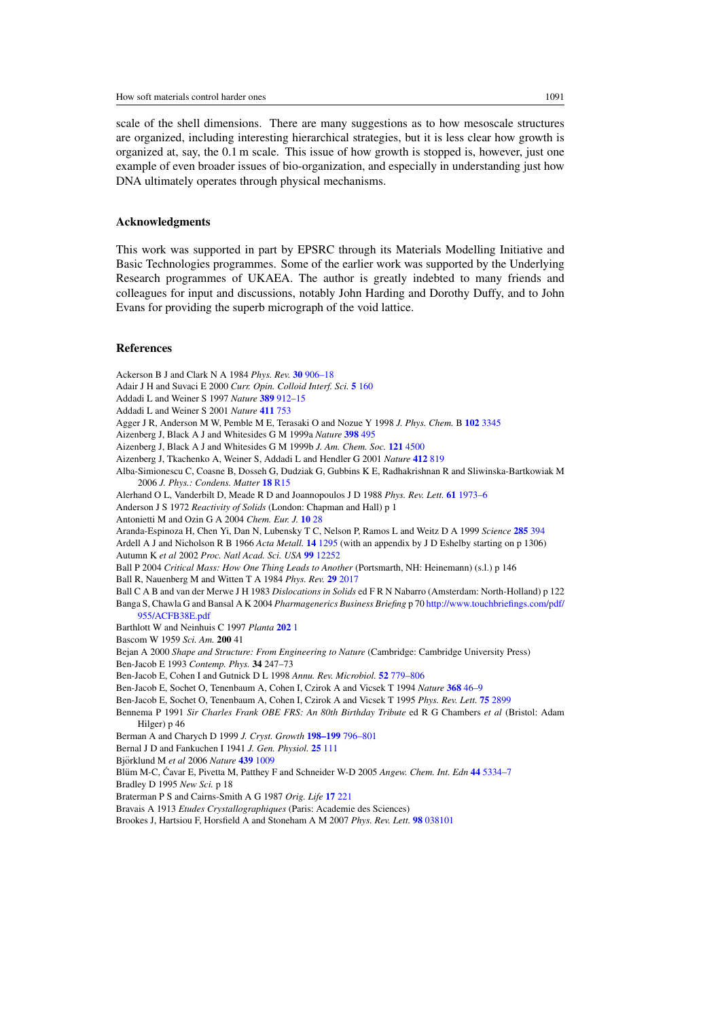<span id="page-36-0"></span>scale of the shell dimensions. There are many suggestions as to how mesoscale structures are organized, including interesting hierarchical strategies, but it is less clear how growth is organized at, say, the 0.1 m scale. This issue of how growth is stopped is, however, just one example of even broader issues of bio-organization, and especially in understanding just how DNA ultimately operates through physical mechanisms.

## **Acknowledgments**

This work was supported in part by EPSRC through its Materials Modelling Initiative and Basic Technologies programmes. Some of the earlier work was supported by the Underlying Research programmes of UKAEA. The author is greatly indebted to many friends and colleagues for input and discussions, notably John Harding and Dorothy Duffy, and to John Evans for providing the superb micrograph of the void lattice.

## **References**

Ackerson B J and Clark N A 1984 *Phys. Rev.* **30** [906–18](http://dx.doi.org/10.1103/PhysRevA.30.906)

Adair J H and Suvaci E 2000 *Curr. Opin. Colloid Interf. Sci.* **5** [160](http://dx.doi.org/10.1016/S1359-0294(00)00049-2)

Addadi L and Weiner S 1997 *Nature* **389** [912–15](http://dx.doi.org/10.1038/40010)

Addadi L and Weiner S 2001 *Nature* **[411](http://dx.doi.org/10.1038/35081227)** 753

Agger J R, Anderson M W, Pemble M E, Terasaki O and Nozue Y 1998 *J. Phys. Chem.* B **102** [3345](http://dx.doi.org/10.1021/jp972994u)

Aizenberg J, Black A J and Whitesides G M 1999a *Nature* **[398](http://dx.doi.org/10.1038/19047)** 495

Aizenberg J, Black A J and Whitesides G M 1999b *J. Am. Chem. Soc.* **121** [4500](http://dx.doi.org/10.1021/ja984254k)

Aizenberg J, Tkachenko A, Weiner S, Addadi L and Hendler G 2001 *Nature* **[412](http://dx.doi.org/10.1038/35090573)** 819

Alba-Simionescu C, Coasne B, Dosseh G, Dudziak G, Gubbins K E, Radhakrishnan R and Sliwinska-Bartkowiak M 2006 *J. Phys.: Condens. Matter* **18** [R15](http://dx.doi.org/10.1088/0953-8984/18/6/R01)

Alerhand O L, Vanderbilt D, Meade R D and Joannopoulos J D 1988 *Phys. Rev. Lett.* **61** [1973–6](http://dx.doi.org/10.1103/PhysRevLett.61.1973)

Anderson J S 1972 *Reactivity of Solids* (London: Chapman and Hall) p 1

Antonietti M and Ozin G A 2004 *Chem. Eur. J.* **[10](http://dx.doi.org/10.1002/chem.200305009)** 28

Aranda-Espinoza H, Chen Yi, Dan N, Lubensky T C, Nelson P, Ramos L and Weitz D A 1999 *Science* **[285](http://dx.doi.org/10.1126/science.285.5426.394)** 394

Ardell A J and Nicholson R B 1966 *Acta Metall.* **14** [1295](http://dx.doi.org/10.1016/0001-6160(66)90247-1) (with an appendix by J D Eshelby starting on p 1306)

Autumn K *et al* 2002 *Proc. Natl Acad. Sci. USA* **99** [12252](http://dx.doi.org/10.1073/pnas.192252799) Ball P 2004 *Critical Mass: How One Thing Leads to Another* (Portsmarth, NH: Heinemann) (s.l.) p 146

Ball R, Nauenberg M and Witten T A 1984 *Phys. Rev.* **29** [2017](http://dx.doi.org/10.1103/PhysRevA.29.2017)

Ball C A B and van der Merwe J H 1983 *Dislocations in Solids* ed F R N Nabarro (Amsterdam: North-Holland) p 122 Banga S, Chawla G and Bansal A K 2004 *Pharmagenerics Business Briefing* p 70 [http://www.touchbriefings.com/pdf/](http://www.touchbriefings.com/pdf/955/ACFB38E.pdf) [955/ACFB38E.pdf](http://www.touchbriefings.com/pdf/955/ACFB38E.pdf)

Barthlott W and Neinhuis C 1997 *Planta* **[202](http://dx.doi.org/10.1007/s004250050096)** 1

Bascom W 1959 *Sci. Am.* **200** 41

Bejan A 2000 *Shape and Structure: From Engineering to Nature* (Cambridge: Cambridge University Press)

Ben-Jacob E 1993 *Contemp. Phys.* **34** 247–73

Ben-Jacob E, Cohen I and Gutnick D L 1998 *Annu. Rev. Microbiol.* **52** [779–806](http://dx.doi.org/10.1146/annurev.micro.52.1.779)

Ben-Jacob E, Sochet O, Tenenbaum A, Cohen I, Czirok A and Vicsek T 1994 *Nature* **368** [46–9](http://dx.doi.org/10.1038/368046a0)

Ben-Jacob E, Sochet O, Tenenbaum A, Cohen I, Czirok A and Vicsek T 1995 *Phys. Rev. Lett.* **75** [2899](http://dx.doi.org/10.1103/PhysRevLett.75.2899)

Bennema P 1991 *Sir Charles Frank OBE FRS: An 80th Birthday Tribute* ed R G Chambers *et al* (Bristol: Adam Hilger) p 46

Berman A and Charych D 1999 *J. Cryst. Growth* **[198–199](http://dx.doi.org/10.1016/S0022-0248(98)01225-1)** 796–801

Bernal J D and Fankuchen I 1941 *J. Gen. Physiol.* **25** [111](http://dx.doi.org/10.1085/jgp.25.1.111)

Björklund M et al 2006 Nature **439** [1009](http://dx.doi.org/10.1038/nature04469)

Blum M-C, Cavar E, Pivetta M, Patthey F and Schneider W-D 2005 Angew. Chem. Int. Edn 44 [5334–7](http://dx.doi.org/10.1002/anie.200501467) Bradley D 1995 *New Sci.* p 18

Braterman P S and Cairns-Smith A G 1987 *Orig. Life* **17** [221](http://dx.doi.org/10.1007/BF02386463)

Bravais A 1913 *Etudes Crystallographiques* (Paris: Academie des Sciences)

Brookes J, Hartsiou F, Horsfield A and Stoneham A M 2007 *Phys. Rev. Lett.* **98** [038101](http://dx.doi.org/10.1103/PhysRevLett.98.038101)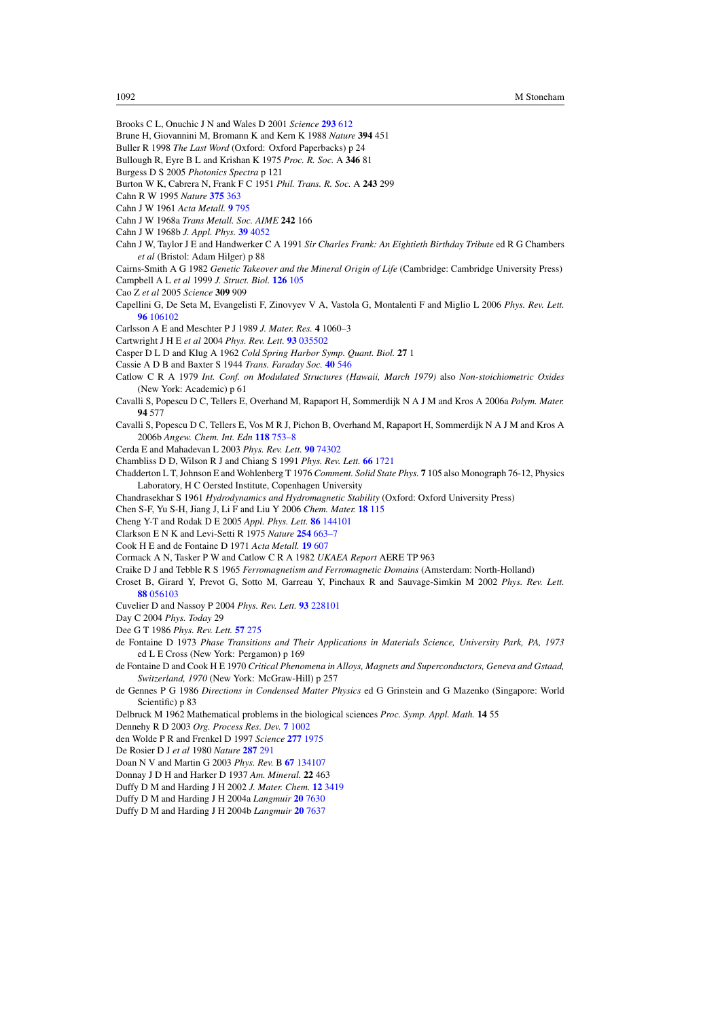- <span id="page-37-0"></span>Brooks C L, Onuchic J N and Wales D 2001 *Science* **[293](http://dx.doi.org/10.1126/science.1062559)** 612
- Brune H, Giovannini M, Bromann K and Kern K 1988 *Nature* **394** 451
- Buller R 1998 *The Last Word* (Oxford: Oxford Paperbacks) p 24
- Bullough R, Eyre B L and Krishan K 1975 *Proc. R. Soc.* A **346** 81
- Burgess D S 2005 *Photonics Spectra* p 121
- Burton W K, Cabrera N, Frank F C 1951 *Phil. Trans. R. Soc.* A **243** 299
- Cahn R W 1995 *Nature* **[375](http://dx.doi.org/10.1038/375363a0)** 363
- Cahn J W 1961 *Acta Metall.* **9** [795](http://dx.doi.org/10.1016/0001-6160(61)90182-1)
- Cahn J W 1968a *Trans Metall. Soc. AIME* **242** 166
- Cahn J W 1968b *J. Appl. Phys.* **39** [4052](http://dx.doi.org/10.1063/1.1656923)
- Cahn J W, Taylor J E and Handwerker C A 1991 *Sir Charles Frank: An Eightieth Birthday Tribute* ed R G Chambers *et al* (Bristol: Adam Hilger) p 88
- Cairns-Smith A G 1982 *Genetic Takeover and the Mineral Origin of Life* (Cambridge: Cambridge University Press) Campbell A L *et al* 1999 *J. Struct. Biol.* **[126](http://dx.doi.org/10.1006/jsbi.1999.4121)** 105
- Cao Z *et al* 2005 *Science* **309** 909
- Capellini G, De Seta M, Evangelisti F, Zinovyev V A, Vastola G, Montalenti F and Miglio L 2006 *Phys. Rev. Lett.* **96** [106102](http://dx.doi.org/10.1103/PhysRevLett.96.106102)
- Carlsson A E and Meschter P J 1989 *J. Mater. Res.* **4** 1060–3
- CartwrightJHE *et al* 2004 *Phys. Rev. Lett.* **93** [035502](http://dx.doi.org/10.1103/PhysRevLett.93.035502)
- Casper D L D and Klug A 1962 *Cold Spring Harbor Symp. Quant. Biol.* **27** 1
- Cassie A D B and Baxter S 1944 *Trans. Faraday Soc.* **40** [546](http://dx.doi.org/10.1039/tf9444000546)
- Catlow C R A 1979 *Int. Conf. on Modulated Structures (Hawaii, March 1979)* also *Non-stoichiometric Oxides* (New York: Academic) p 61
- Cavalli S, Popescu D C, Tellers E, Overhand M, Rapaport H, Sommerdijk N A J M and Kros A 2006a *Polym. Mater.* **94** 577
- Cavalli S, Popescu D C, Tellers E, Vos M R J, Pichon B, Overhand M, Rapaport H, Sommerdijk N A J M and Kros A 2006b *Angew. Chem. Int. Edn* **118** [753–8](http://dx.doi.org/10.1002/ange.200501654)
- Cerda E and Mahadevan L 2003 *Phys. Rev. Lett.* **90** [74302](http://dx.doi.org/10.1103/PhysRevLett.90.074302)
- Chambliss D D, Wilson R J and Chiang S 1991 *Phys. Rev. Lett.* **66** [1721](http://dx.doi.org/10.1103/PhysRevLett.66.1721)
- Chadderton L T, Johnson E and Wohlenberg T 1976 *Comment. Solid State Phys.* **7** 105 also Monograph 76-12, Physics Laboratory, H C Oersted Institute, Copenhagen University
- Chandrasekhar S 1961 *Hydrodynamics and Hydromagnetic Stability* (Oxford: Oxford University Press)
- Chen S-F, Yu S-H, Jiang J, Li F and Liu Y 2006 *Chem. Mater.* **18** [115](http://dx.doi.org/10.1021/cm0519028)

Cheng Y-T and Rodak D E 2005 *Appl. Phys. Lett.* **86** [144101](http://dx.doi.org/10.1063/1.1895487)

- Clarkson E N K and Levi-Setti R 1975 *Nature* **254** [663–7](http://dx.doi.org/10.1038/254663a0)
- Cook H E and de Fontaine D 1971 *Acta Metall.* **19** [607](http://dx.doi.org/10.1016/0001-6160(71)90013-7)
- Cormack A N, Tasker P W and CatlowCRA 1982 *UKAEA Report* AERE TP 963
- Craike D J and Tebble R S 1965 *Ferromagnetism and Ferromagnetic Domains* (Amsterdam: North-Holland)
- Croset B, Girard Y, Prevot G, Sotto M, Garreau Y, Pinchaux R and Sauvage-Simkin M 2002 *Phys. Rev. Lett.* **88** [056103](http://dx.doi.org/10.1103/PhysRevLett.88.056103)
- Cuvelier D and Nassoy P 2004 *Phys. Rev. Lett.* **93** [228101](http://dx.doi.org/10.1103/PhysRevLett.93.228101)
- Day C 2004 *Phys. Today* 29

Dee G T 1986 *Phys. Rev. Lett.* **57** [275](http://dx.doi.org/10.1103/PhysRevLett.57.275)

de Fontaine D 1973 *Phase Transitions and Their Applications in Materials Science, University Park, PA, 1973* ed L E Cross (New York: Pergamon) p 169

de Fontaine D and Cook H E 1970 *Critical Phenomena in Alloys, Magnets and Superconductors, Geneva and Gstaad, Switzerland, 1970* (New York: McGraw-Hill) p 257

- de Gennes P G 1986 *Directions in Condensed Matter Physics* ed G Grinstein and G Mazenko (Singapore: World Scientific) p 83
- Delbruck M 1962 Mathematical problems in the biological sciences *Proc. Symp. Appl. Math.* **14** 55
- Dennehy R D 2003 *Org. Process Res. Dev.* **7** [1002](http://dx.doi.org/10.1021/op034124i)
- den Wolde P R and Frenkel D 1997 *Science* **277** [1975](http://dx.doi.org/10.1126/science.277.5334.1975)
- De Rosier D J *et al* 1980 *Nature* **[287](http://dx.doi.org/10.1038/287291a0)** 291
- Doan N V and Martin G 2003 *Phys. Rev.* B **67** [134107](http://dx.doi.org/10.1103/PhysRevB.67.134107)
- Donnay J D H and Harker D 1937 *Am. Mineral.* **22** 463
- Duffy D M and Harding J H 2002 *J. Mater. Chem.* **12** [3419](http://dx.doi.org/10.1039/b205657g)
- Duffy D M and Harding J H 2004a *Langmuir* **20** [7630](http://dx.doi.org/10.1021/la049552b)
- Duffy D M and Harding J H 2004b *Langmuir* **20** [7637](http://dx.doi.org/10.1021/la049551j)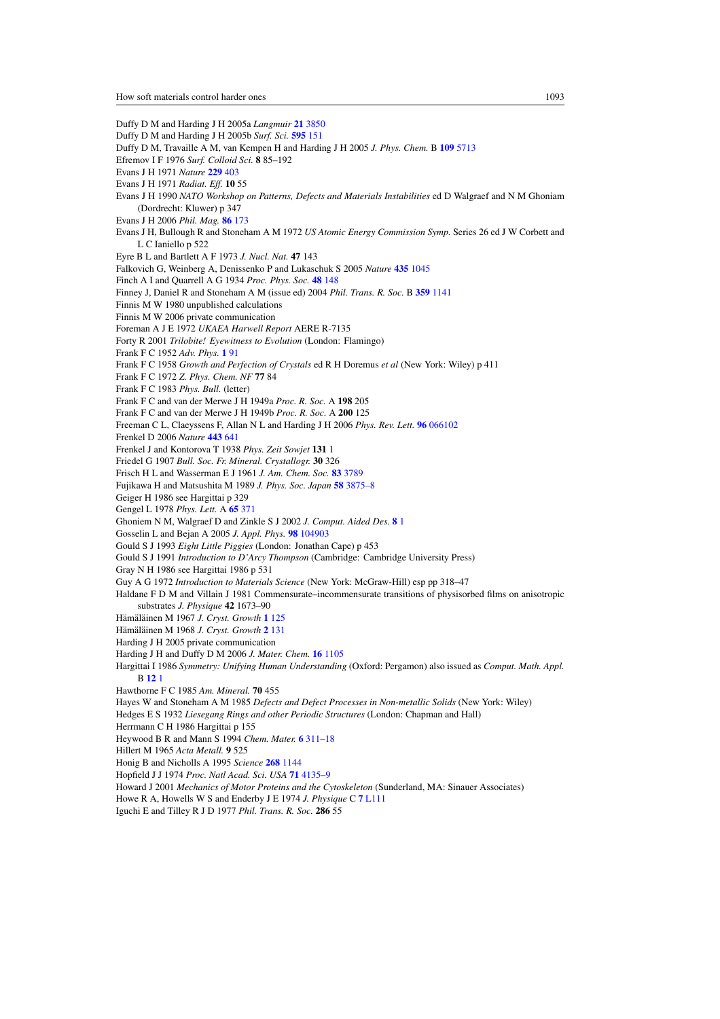<span id="page-38-0"></span>Duffy D M and Harding J H 2005a *Langmuir* **21** [3850](http://dx.doi.org/10.1021/la0473660) Duffy D M and Harding J H 2005b *Surf. Sci.* **[595](http://dx.doi.org/10.1016/j.susc.2005.08.006)** 151 Duffy D M, Travaille A M, van Kempen H and Harding J H 2005 *J. Phys. Chem.* B **109** [5713](http://dx.doi.org/10.1021/jp044594u) Efremov I F 1976 *Surf. Colloid Sci.* **8** 85–192 Evans J H 1971 *Nature* **[229](http://dx.doi.org/10.1038/229403a0)** 403 Evans J H 1971 *Radiat. Eff.* **10** 55 Evans J H 1990 *NATO Workshop on Patterns, Defects and Materials Instabilities* ed D Walgraef and N M Ghoniam (Dordrecht: Kluwer) p 347 Evans J H 2006 *Phil. Mag.* **86** [173](http://dx.doi.org/10.1080/14786430500380134) Evans J H, Bullough R and Stoneham A M 1972 *US Atomic Energy Commission Symp.* Series 26 ed J W Corbett and L C Ianiello p 522 Eyre B L and Bartlett A F 1973 *J. Nucl. Nat.* **47** 143 Falkovich G, Weinberg A, Denissenko P and Lukaschuk S 2005 *Nature* **435** [1045](http://dx.doi.org/10.1038/4351045a) Finch A I and Quarrell A G 1934 *Proc. Phys. Soc.* **48** [148](http://dx.doi.org/10.1088/0959-5309/46/2/303) Finney J, Daniel R and Stoneham A M (issue ed) 2004 *Phil. Trans. R. Soc.* B **359** [1141](http://dx.doi.org/10.1098/rstb.2004.1495) Finnis M W 1980 unpublished calculations Finnis M W 2006 private communication ForemanAJE 1972 *UKAEA Harwell Report* AERE R-7135 Forty R 2001 *Trilobite! Eyewitness to Evolution* (London: Flamingo) Frank F C 1952 *Adv. Phys.* **1** [91](http://dx.doi.org/10.1080/00018735200101171) Frank F C 1958 *Growth and Perfection of Crystals* ed R H Doremus *et al* (New York: Wiley) p 411 Frank F C 1972 *Z. Phys. Chem. NF* **77** 84 Frank F C 1983 *Phys. Bull.* (letter) Frank F C and van der Merwe J H 1949a *Proc. R. Soc.* A **198** 205 Frank F C and van der Merwe J H 1949b *Proc. R. Soc.* A **200** 125 Freeman C L, Claeyssens F, Allan N L and Harding J H 2006 *Phys. Rev. Lett.* **96** [066102](http://dx.doi.org/10.1103/PhysRevLett.96.066102) Frenkel D 2006 *Nature* **[443](http://dx.doi.org/10.1038/443641a)** 641 Frenkel J and Kontorova T 1938 *Phys. Zeit Sowjet* **131** 1 Friedel G 1907 *Bull. Soc. Fr. Mineral. Crystallogr.* **30** 326 Frisch H L and Wasserman E J 1961 *J. Am. Chem. Soc.* **83** [3789](http://dx.doi.org/10.1021/ja01479a015) Fujikawa H and Matsushita M 1989 *J. Phys. Soc. Japan* **58** [3875–8](http://dx.doi.org/10.1143/JPSJ.58.3875) Geiger H 1986 see Hargittai p 329 Gengel L 1978 *Phys. Lett.* A **65** [371](http://dx.doi.org/10.1016/0375-9601(78)90734-X) Ghoniem N M, Walgraef D and Zinkle S J 2002 *J. Comput. Aided Des.* **[8](http://dx.doi.org/10.1023/A:1015062218246)** 1 Gosselin L and Bejan A 2005 *J. Appl. Phys.* **98** [104903](http://dx.doi.org/10.1063/1.2133899) Gould S J 1993 *Eight Little Piggies* (London: Jonathan Cape) p 453 Gould S J 1991 *Introduction to D'Arcy Thompson* (Cambridge: Cambridge University Press) Gray N H 1986 see Hargittai 1986 p 531 Guy A G 1972 *Introduction to Materials Science* (New York: McGraw-Hill) esp pp 318–47 Haldane F D M and Villain J 1981 Commensurate–incommensurate transitions of physisorbed films on anisotropic substrates *J. Physique* **42** 1673–90 Hämäläinen M 1967 J. Cryst. Growth 1 [125](http://dx.doi.org/10.1016/0022-0248(67)90022-X) Hämäläinen M 1968 J. Cryst. Growth 2 [131](http://dx.doi.org/10.1016/0022-0248(68)90075-4) Harding J H 2005 private communication Harding J H and Duffy D M 2006 *J. Mater. Chem.* **16** [1105](http://dx.doi.org/10.1039/b511650c) Hargittai I 1986 *Symmetry: Unifying Human Understanding* (Oxford: Pergamon) also issued as *Comput. Math. Appl.* B **[12](http://dx.doi.org/10.1016/0898-1221(86)90135-5)** 1 Hawthorne F C 1985 *Am. Mineral.* **70** 455 Hayes W and Stoneham A M 1985 *Defects and Defect Processes in Non-metallic Solids* (New York: Wiley) Hedges E S 1932 *Liesegang Rings and other Periodic Structures* (London: Chapman and Hall) Herrmann C H 1986 Hargittai p 155 Heywood B R and Mann S 1994 *Chem. Mater.* **6** [311–18](http://dx.doi.org/10.1021/cm00039a011) Hillert M 1965 *Acta Metall.* **9** 525 Honig B and Nicholls A 1995 *Science* **268** [1144](http://dx.doi.org/10.1126/science.7761829) Hopfield J J 1974 *Proc. Natl Acad. Sci. USA* **71** [4135–9](http://dx.doi.org/10.1073/pnas.71.10.4135) Howard J 2001 *Mechanics of Motor Proteins and the Cytoskeleton* (Sunderland, MA: Sinauer Associates) Howe R A, Howells W S and Enderby J E 1974 *J. Physique* C **7** [L111](http://dx.doi.org/10.1088/0022-3719/7/7/001) Iguchi E and TilleyRJD 1977 *Phil. Trans. R. Soc.* **286** 55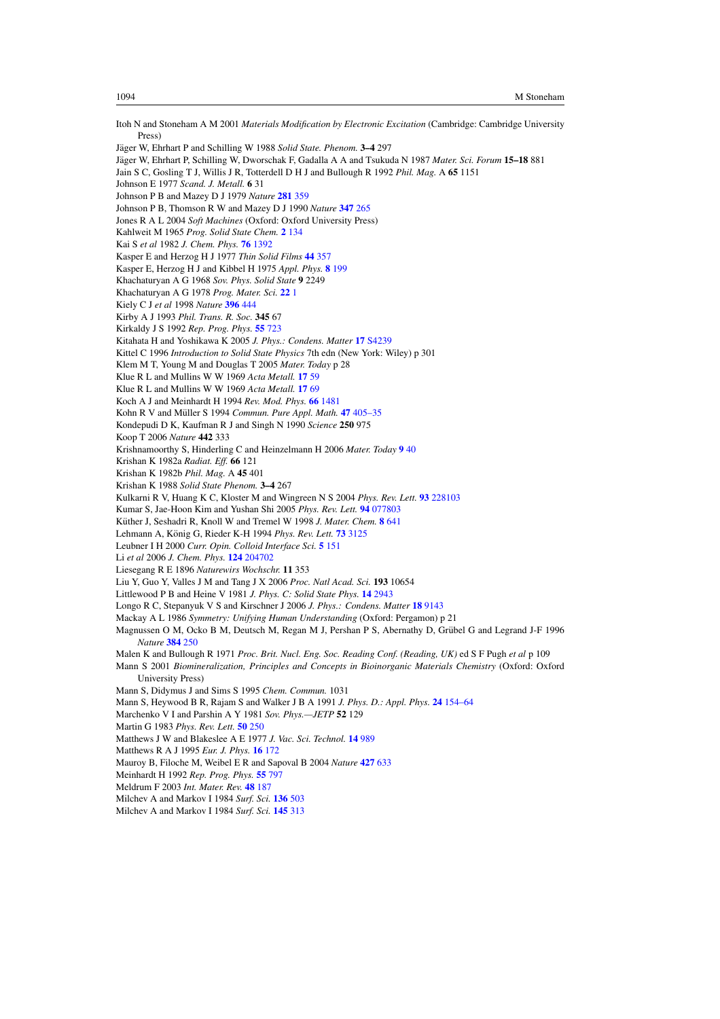Itoh N and Stoneham A M 2001 *Materials Modification by Electronic Excitation* (Cambridge: Cambridge University Press) Jäger W, Ehrhart P and Schilling W 1988 Solid State. Phenom. 3-4 297 Jäger W, Ehrhart P, Schilling W, Dworschak F, Gadalla A A and Tsukuda N 1987 Mater. Sci. Forum 15-18 881 Jain S C, Gosling T J, Willis J R, Totterdell D H J and Bullough R 1992 *Phil. Mag.* A **65** 1151 Johnson E 1977 *Scand. J. Metall.* **6** 31 Johnson P B and Mazey D J 1979 *Nature* **[281](http://dx.doi.org/10.1038/281359a0)** 359 Johnson P B, Thomson R W and Mazey D J 1990 *Nature* **[347](http://dx.doi.org/10.1038/347265a0)** 265 Jones R A L 2004 Soft Machines (Oxford: Oxford University Press) Kahlweit M 1965 *Prog. Solid State Chem.* **2** [134](http://dx.doi.org/10.1016/0079-6786(65)90006-3) Kai S *et al* 1982 *J. Chem. Phys.* **76** [1392](http://dx.doi.org/10.1063/1.443131) Kasper E and Herzog H J 1977 *Thin Solid Films* **44** [357](http://dx.doi.org/10.1016/0040-6090(77)90443-6) Kasper E, Herzog H J and Kibbel H 1975 *Appl. Phys.* **8** [199](http://dx.doi.org/10.1007/BF00896611) Khachaturyan A G 1968 *Sov. Phys. Solid State* **9** 2249 Khachaturyan A G 1978 *Prog. Mater. Sci.* **[22](http://dx.doi.org/10.1016/0079-6425(78)90003-8)** 1 Kiely C J *et al* 1998 *Nature* **[396](http://dx.doi.org/10.1038/24808)** 444 Kirby A J 1993 *Phil. Trans. R. Soc.* **345** 67 Kirkaldy J S 1992 *Rep. Prog. Phys.* **55** [723](http://dx.doi.org/10.1088/0034-4885/55/6/002) Kitahata H and Yoshikawa K 2005 *J. Phys.: Condens. Matter* **17** [S4239](http://dx.doi.org/10.1088/0953-8984/17/49/017) Kittel C 1996 *Introduction to Solid State Physics* 7th edn (New York: Wiley) p 301 Klem M T, Young M and Douglas T 2005 *Mater. Today* p 28 Klue R L and Mullins W W 1969 *Acta Metall.* **[17](http://dx.doi.org/10.1016/0001-6160(69)90163-1)** 59 Klue R L and Mullins W W 1969 *Acta Metall.* **[17](http://dx.doi.org/10.1016/0001-6160(69)90164-3)** 69 Koch A J and Meinhardt H 1994 *Rev. Mod. Phys.* **66** [1481](http://dx.doi.org/10.1103/RevModPhys.66.1481) Kohn R V and Müller S 1994 Commun. Pure Appl. Math. 47 405-35 Kondepudi D K, Kaufman R J and Singh N 1990 *Science* **250** 975 Koop T 2006 *Nature* **442** 333 Krishnamoorthy S, Hinderling C and Heinzelmann H 2006 *Mater. Today* **9** [40](http://dx.doi.org/10.1016/S1369-7021(06)71621-2) Krishan K 1982a *Radiat. Eff.* **66** 121 Krishan K 1982b *Phil. Mag.* A **45** 401 Krishan K 1988 *Solid State Phenom.* **3–4** 267 Kulkarni R V, Huang K C, Kloster M and Wingreen N S 2004 *Phys. Rev. Lett.* **93** [228103](http://dx.doi.org/10.1103/PhysRevLett.93.228103) Kumar S, Jae-Hoon Kim and Yushan Shi 2005 *Phys. Rev. Lett.* **94** [077803](http://dx.doi.org/10.1103/PhysRevLett.94.077803) Küther J, Seshadri R, Knoll W and Tremel W 1998 *J. Mater. Chem.* 8 [641](http://dx.doi.org/10.1039/a705859d) Lehmann A, König G, Rieder K-H 1994 Phys. Rev. Lett. **73** [3125](http://dx.doi.org/10.1103/PhysRevLett.73.3125) Leubner I H 2000 *Curr. Opin. Colloid Interface Sci.* **5** [151](http://dx.doi.org/10.1016/S1359-0294(00)00048-0) Li *et al* 2006 *J. Chem. Phys.* **124** [204702](http://dx.doi.org/10.1063/1.2186309) Liesegang R E 1896 *Naturewirs Wochschr.* **11** 353 Liu Y, Guo Y, Valles J M and Tang J X 2006 *Proc. Natl Acad. Sci.* **193** 10654 Littlewood P B and Heine V 1981 *J. Phys. C: Solid State Phys.* **14** [2943](http://dx.doi.org/10.1088/0022-3719/14/21/012) Longo R C, Stepanyuk V S and Kirschner J 2006 *J. Phys.: Condens. Matter* **18** [9143](http://dx.doi.org/10.1088/0953-8984/18/40/001) Mackay A L 1986 *Symmetry: Unifying Human Understanding* (Oxford: Pergamon) p 21 Magnussen O M, Ocko B M, Deutsch M, Regan M J, Pershan P S, Abernathy D, Grübel G and Legrand J-F 1996 *Nature* **[384](http://dx.doi.org/10.1038/384250a0)** 250 Malen K and Bullough R 1971 *Proc. Brit. Nucl. Eng. Soc. Reading Conf. (Reading, UK)* ed S F Pugh *et al* p 109 Mann S 2001 *Biomineralization, Principles and Concepts in Bioinorganic Materials Chemistry* (Oxford: Oxford University Press) Mann S, Didymus J and Sims S 1995 *Chem. Commun.* 1031 Mann S, Heywood B R, Rajam S and WalkerJBA 1991 *J. Phys. D.: Appl. Phys.* **24** [154–64](http://dx.doi.org/10.1088/0022-3727/24/2/011) Marchenko V I and Parshin A Y 1981 *Sov. Phys.—JETP* **52** 129 Martin G 1983 *Phys. Rev. Lett.* **50** [250](http://dx.doi.org/10.1103/PhysRevLett.50.250) Matthews J W and Blakeslee A E 1977 *J. Vac. Sci. Technol.* **14** [989](http://dx.doi.org/10.1116/1.569409) MatthewsRAJ 1995 *Eur. J. Phys.* **16** [172](http://dx.doi.org/10.1088/0143-0807/16/4/005) Mauroy B, Filoche M, Weibel E R and Sapoval B 2004 *Nature* **[427](http://dx.doi.org/10.1038/nature02287)** 633 Meinhardt H 1992 *Rep. Prog. Phys.* **55** [797](http://dx.doi.org/10.1088/0034-4885/55/6/003) Meldrum F 2003 *Int. Mater. Rev.* **48** [187](http://dx.doi.org/10.1179/095066003225005836) Milchev A and Markov I 1984 *Surf. Sci.* **[136](http://dx.doi.org/10.1016/0039-6028(84)90626-5)** 503 Milchev A and Markov I 1984 *Surf. Sci.* **[145](http://dx.doi.org/10.1016/0039-6028(84)90085-2)** 313

<span id="page-39-0"></span>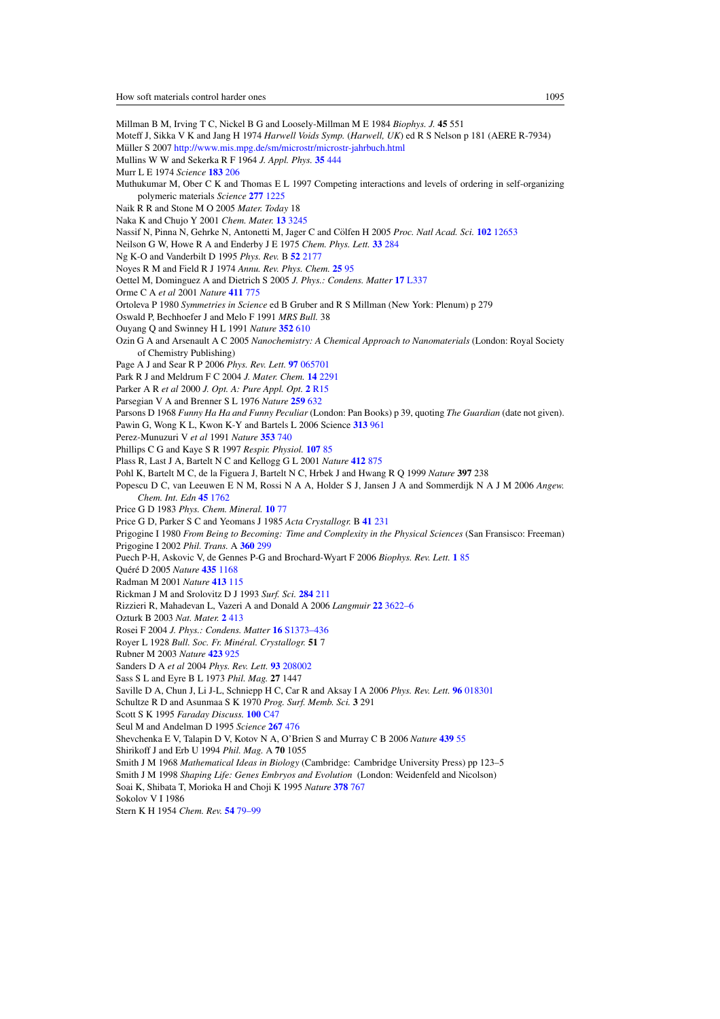<span id="page-40-0"></span>Millman B M, Irving T C, Nickel B G and Loosely-Millman M E 1984 *Biophys. J.* **45** 551 Moteff J, Sikka V K and Jang H 1974 *Harwell Voids Symp.* (*Harwell, UK*) ed R S Nelson p 181 (AERE R-7934) Müller S 2007 <http://www.mis.mpg.de/sm/microstr/microstr-jahrbuch.html> Mullins W W and Sekerka R F 1964 *J. Appl. Phys.* **35** [444](http://dx.doi.org/10.1063/1.1713333) Murr L E 1974 *Science* **[183](http://dx.doi.org/10.1126/science.183.4121.206)** 206 Muthukumar M, Ober C K and Thomas E L 1997 Competing interactions and levels of ordering in self-organizing polymeric materials *Science* **277** [1225](http://dx.doi.org/10.1126/science.277.5330.1225) Naik R R and Stone M O 2005 *Mater. Today* 18 Naka K and Chujo Y 2001 *Chem. Mater.* **13** [3245](http://dx.doi.org/10.1021/cm011035g) Nassif N, Pinna N, Gehrke N, Antonetti M, Jager C and Cölfen H 2005 Proc. Natl Acad. Sci. 102 [12653](http://dx.doi.org/10.1073/pnas.0502577102) Neilson G W, Howe R A and Enderby J E 1975 *Chem. Phys. Lett.* **33** [284](http://dx.doi.org/10.1016/0009-2614(75)80156-4) Ng K-O and Vanderbilt D 1995 *Phys. Rev.* B **52** [2177](http://dx.doi.org/10.1103/PhysRevB.52.2177) Noyes R M and Field R J 1974 *Annu. Rev. Phys. Chem.* **[25](http://dx.doi.org/10.1146/annurev.pc.25.100174.000523)** 95 Oettel M, Dominguez A and Dietrich S 2005 *J. Phys.: Condens. Matter* **17** [L337](http://dx.doi.org/10.1088/0953-8984/17/32/L02) Orme C A *et al* 2001 *Nature* **[411](http://dx.doi.org/10.1038/35081034)** 775 Ortoleva P 1980 Symmetries in Science ed B Gruber and R S Millman (New York: Plenum) p 279 Oswald P, Bechhoefer J and Melo F 1991 *MRS Bull.* 38 Ouyang Q and Swinney H L 1991 *Nature* **[352](http://dx.doi.org/10.1038/352610a0)** 610 Ozin G A and Arsenault A C 2005 *Nanochemistry: A Chemical Approach to Nanomaterials* (London: Royal Society of Chemistry Publishing) Page A J and Sear R P 2006 *Phys. Rev. Lett.* **97** [065701](http://dx.doi.org/10.1103/PhysRevLett.97.065701) Park R J and Meldrum F C 2004 *J. Mater. Chem.* **14** [2291](http://dx.doi.org/10.1039/b401594k) Parker A R *et al* 2000 *J. Opt. A: Pure Appl. Opt.* **2** [R15](http://dx.doi.org/10.1088/1464-4258/2/6/201) Parsegian V A and Brenner S L 1976 *Nature* **[259](http://dx.doi.org/10.1038/259632a0)** 632 Parsons D 1968 *Funny Ha Ha and Funny Peculiar* (London: Pan Books) p 39, quoting *The Guardian* (date not given). Pawin G, Wong K L, Kwon K-Y and Bartels L 2006 Science **[313](http://dx.doi.org/10.1126/science.1129309)** 961 Perez-Munuzuri V *et al* 1991 *Nature* **[353](http://dx.doi.org/10.1038/353740a0)** 740 Phillips C G and Kaye S R 1997 *Respir. Physiol.* **[107](http://dx.doi.org/10.1016/S0034-5687(96)02506-6)** 85 Plass R, Last J A, Bartelt N C and Kellogg G L 2001 *Nature* **[412](http://dx.doi.org/10.1038/35091143)** 875 Pohl K, Bartelt M C, de la Figuera J, Bartelt N C, Hrbek J and Hwang R Q 1999 *Nature* **397** 238 Popescu D C, van Leeuwen E N M, Rossi N A A, Holder S J, Jansen J A and Sommerdijk N A J M 2006 *Angew. Chem. Int. Edn* **45** [1762](http://dx.doi.org/10.1002/anie.200502602) Price G D 1983 *Phys. Chem. Mineral.* **[10](http://dx.doi.org/10.1007/BF00309588)** 77 Price G D, Parker S C and Yeomans J 1985 *Acta Crystallogr.* B **41** [231](http://dx.doi.org/10.1107/S010876818500204X) Prigogine I 1980 *From Being to Becoming: Time and Complexity in the Physical Sciences* (San Fransisco: Freeman) Prigogine I 2002 *Phil. Trans.* A **[360](http://dx.doi.org/10.1098/rsta.2001.0957)** 299 Puech P-H, Askovic V, de Gennes P-G and Brochard-Wyart F 2006 *Biophys. Rev. Lett.* **1** [85](http://dx.doi.org/10.1142/S1793048006000082) Quéré D 2005 Nature **435** [1168](http://dx.doi.org/10.1038/4351168a) Radman M 2001 *Nature* **[413](http://dx.doi.org/10.1038/35093178)** 115 Rickman J M and Srolovitz D J 1993 *Surf. Sci.* **[284](http://dx.doi.org/10.1016/0039-6028(93)90538-U)** 211 Rizzieri R, Mahadevan L, Vazeri A and Donald A 2006 *Langmuir* **22** [3622–6](http://dx.doi.org/10.1021/la052343m) Ozturk B 2003 *Nat. Mater.* **2** [413](http://dx.doi.org/10.1038/nmat906) Rosei F 2004 *J. Phys.: Condens. Matter* **16** [S1373–436](http://dx.doi.org/10.1088/0953-8984/16/17/001) Royer L 1928 *Bull. Soc. Fr. Mineral. Crystallogr. ´* **51** 7 Rubner M 2003 *Nature* **[423](http://dx.doi.org/10.1038/423925a)** 925 Sanders D A *et al* 2004 *Phys. Rev. Lett.* **93** [208002](http://dx.doi.org/10.1103/PhysRevLett.93.208002) Sass S L and Eyre B L 1973 *Phil. Mag.* **27** 1447 Saville D A, Chun J, Li J-L, Schniepp H C, Car R and Aksay I A 2006 *Phys. Rev. Lett.* **96** [018301](http://dx.doi.org/10.1103/PhysRevLett.96.018301) Schultze R D and Asunmaa S K 1970 *Prog. Surf. Memb. Sci.* **3** 291 Scott S K 1995 *Faraday Discuss.* **100** [C47](http://dx.doi.org/10.1039/fd9950000c47) Seul M and Andelman D 1995 *Science* **[267](http://dx.doi.org/10.1126/science.267.5197.476)** 476 Shevchenka E V, Talapin D V, Kotov N A, O'Brien S and Murray C B 2006 *Nature* **[439](http://dx.doi.org/10.1038/nature04414)** 55 Shirikoff J and Erb U 1994 *Phil. Mag.* A **70** 1055 Smith J M 1968 *Mathematical Ideas in Biology* (Cambridge: Cambridge University Press) pp 123–5 Smith J M 1998 *Shaping Life: Genes Embryos and Evolution* (London: Weidenfeld and Nicolson) Soai K, Shibata T, Morioka H and Choji K 1995 *Nature* **[378](http://dx.doi.org/10.1038/378767a0)** 767 Sokolov V I 1986 Stern K H 1954 *Chem. Rev.* **54** [79–99](http://dx.doi.org/10.1021/cr60167a003)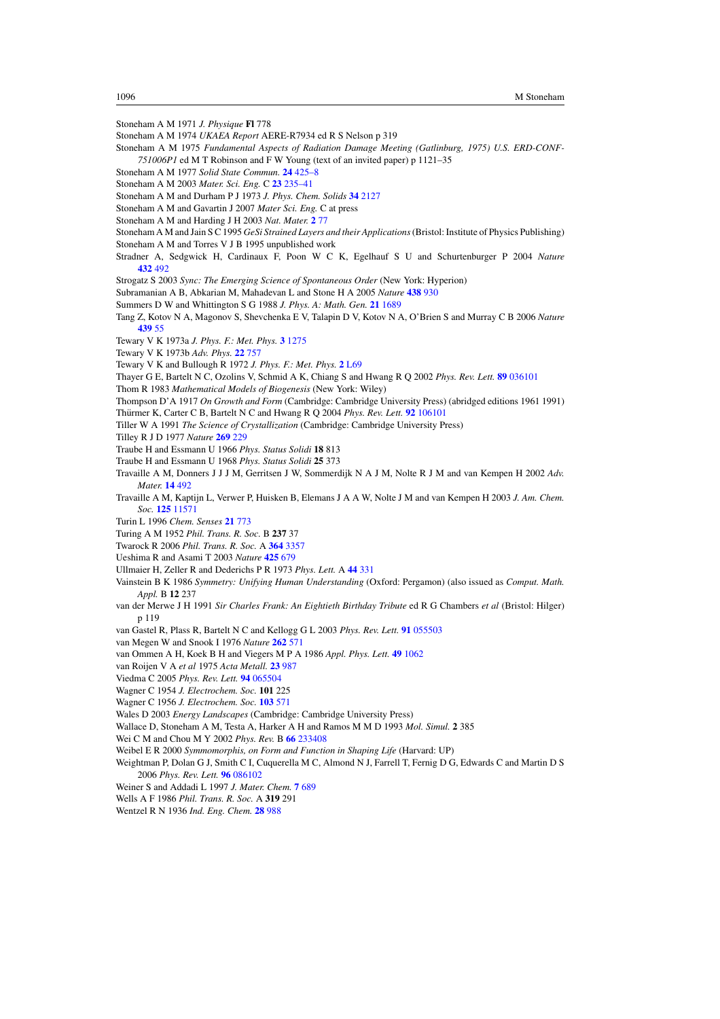- <span id="page-41-0"></span>Stoneham A M 1971 *J. Physique* **Fl** 778
- Stoneham A M 1974 *UKAEA Report* AERE-R7934 ed R S Nelson p 319
- Stoneham A M 1975 *Fundamental Aspects of Radiation Damage Meeting (Gatlinburg, 1975) U.S. ERD-CONF-751006P1* ed M T Robinson and F W Young (text of an invited paper) p 1121–35
- Stoneham A M 1977 *Solid State Commun.* **24** [425–8](http://dx.doi.org/10.1016/0038-1098(77)91309-6)
- Stoneham A M 2003 *Mater. Sci. Eng.* C **23** [235–41](http://dx.doi.org/10.1016/S0928-4931(02)00274-6)
- Stoneham A M and Durham P J 1973 *J. Phys. Chem. Solids* **34** [2127](http://dx.doi.org/10.1016/S0022-3697(73)80060-5)
- Stoneham A M and Gavartin J 2007 *Mater Sci. Eng.* C at press
- Stoneham A M and Harding J H 2003 *Nat. Mater.* **2** [77](http://dx.doi.org/10.1038/nmat804)
- Stoneham A M and Jain S C 1995 *GeSi Strained Layers and their Applications*(Bristol: Institute of Physics Publishing) Stoneham A M and Torres V J B 1995 unpublished work
- Stradner A, Sedgwick H, Cardinaux F, Poon W C K, Egelhauf S U and Schurtenburger P 2004 *Nature* **[432](http://dx.doi.org/10.1038/nature03109)** 492
- Strogatz S 2003 *Sync: The Emerging Science of Spontaneous Order* (New York: Hyperion)
- Subramanian A B, Abkarian M, Mahadevan L and Stone H A 2005 *Nature* **[438](http://dx.doi.org/10.1038/438930a)** 930
- Summers D W and Whittington S G 1988 *J. Phys. A: Math. Gen.* **21** [1689](http://dx.doi.org/10.1088/0305-4470/21/7/030)
- Tang Z, Kotov N A, Magonov S, Shevchenka E V, Talapin D V, Kotov N A, O'Brien S and Murray C B 2006 *Nature* **[439](http://dx.doi.org/10.1038/nature04414)** 55
- Tewary V K 1973a *J. Phys. F.: Met. Phys.* **3** [1275](http://dx.doi.org/10.1088/0305-4608/3/7/003)
- Tewary V K 1973b *Adv. Phys.* **22** [757](http://dx.doi.org/10.1080/00018737300101389)
- Tewary V K and Bullough R 1972 *J. Phys. F.: Met. Phys.* **2** [L69](http://dx.doi.org/10.1088/0305-4608/2/4/001)
- Thayer G E, Bartelt N C, Ozolins V, Schmid A K, Chiang S and Hwang R Q 2002 *Phys. Rev. Lett.* **89** [036101](http://dx.doi.org/10.1103/PhysRevLett.89.036101)
- Thom R 1983 *Mathematical Models of Biogenesis* (New York: Wiley)
- Thompson D'A 1917 *On Growth and Form* (Cambridge: Cambridge University Press) (abridged editions 1961 1991)
- Thürmer K, Carter C B, Bartelt N C and Hwang R Q 2004 Phys. Rev. Lett. 92 [106101](http://dx.doi.org/10.1103/PhysRevLett.92.106101)
- Tiller W A 1991 *The Science of Crystallization* (Cambridge: Cambridge University Press)
- TilleyRJD 1977 *Nature* **[269](http://dx.doi.org/10.1038/269229a0)** 229
- Traube H and Essmann U 1966 *Phys. Status Solidi* **18** 813
- Traube H and Essmann U 1968 *Phys. Status Solidi* **25** 373
- Travaille A M, Donners J J J M, Gerritsen J W, Sommerdijk N A J M, Nolte R J M and van Kempen H 2002 *Adv. Mater.* **14** [492](http://dx.doi.org/10.1002/1521-4095(20020404)14:7<492::AID-ADMA492>3.0.CO;2-L)
- Travaille A M, Kaptijn L, Verwer P, Huisken B, Elemans J A A W, Nolte J M and van Kempen H 2003 *J. Am. Chem. Soc.* **125** [11571](http://dx.doi.org/10.1021/ja034624r)
- Turin L 1996 *Chem. Senses* **21** [773](http://dx.doi.org/10.1093/chemse/21.6.773)
- Turing A M 1952 *Phil. Trans. R. Soc.* B **237** 37

Twarock R 2006 *Phil. Trans. R. Soc.* A **364** [3357](http://dx.doi.org/10.1098/rsta.2006.1900)

- Ueshima R and Asami T 2003 *Nature* **[425](http://dx.doi.org/10.1038/425679a)** 679
- Ullmaier H, Zeller R and Dederichs P R 1973 *Phys. Lett.* A **44** [331](http://dx.doi.org/10.1016/0375-9601(73)90769-X)
- Vainstein B K 1986 *Symmetry: Unifying Human Understanding* (Oxford: Pergamon) (also issued as *Comput. Math. Appl.* B **12** 237
- van der Merwe J H 1991 *Sir Charles Frank: An Eightieth Birthday Tribute* ed R G Chambers *et al* (Bristol: Hilger) p 119
- van Gastel R, Plass R, Bartelt N C and Kellogg G L 2003 *Phys. Rev. Lett.* **91** [055503](http://dx.doi.org/10.1103/PhysRevLett.91.055503)
- van Megen W and Snook I 1976 *Nature* **[262](http://dx.doi.org/10.1038/262571a0)** 571
- van Ommen A H, Koek B H and Viegers M P A 1986 *Appl. Phys. Lett.* **49** [1062](http://dx.doi.org/10.1063/1.97475)
- van Roijen V A *et al* 1975 *Acta Metall.* **23** [987](http://dx.doi.org/10.1016/0001-6160(75)90013-9)
- Viedma C 2005 *Phys. Rev. Lett.* **94** [065504](http://dx.doi.org/10.1103/PhysRevLett.94.065504)
- Wagner C 1954 *J. Electrochem. Soc.* **101** 225
- Wagner C 1956 *J. Electrochem. Soc.* **[103](http://dx.doi.org/10.1149/1.2430159)** 571
- Wales D 2003 *Energy Landscapes* (Cambridge: Cambridge University Press)
- Wallace D, Stoneham A M, Testa A, Harker A H and Ramos M M D 1993 *Mol. Simul.* **2** 385
- Wei C M and Chou M Y 2002 *Phys. Rev.* B **66** [233408](http://dx.doi.org/10.1103/PhysRevB.66.233408)
- Weibel E R 2000 *Symmomorphis, on Form and Function in Shaping Life* (Harvard: UP)
- Weightman P, Dolan G J, Smith C I, Cuquerella M C, Almond N J, Farrell T, Fernig D G, Edwards C and Martin D S 2006 *Phys. Rev. Lett.* **96** [086102](http://dx.doi.org/10.1103/PhysRevLett.96.086102)
- Weiner S and Addadi L 1997 *J. Mater. Chem.* **7** [689](http://dx.doi.org/10.1039/a604512j)
- Wells A F 1986 *Phil. Trans. R. Soc.* A **319** 291
- Wentzel R N 1936 *Ind. Eng. Chem.* **28** [988](http://dx.doi.org/10.1021/ie50320a024)